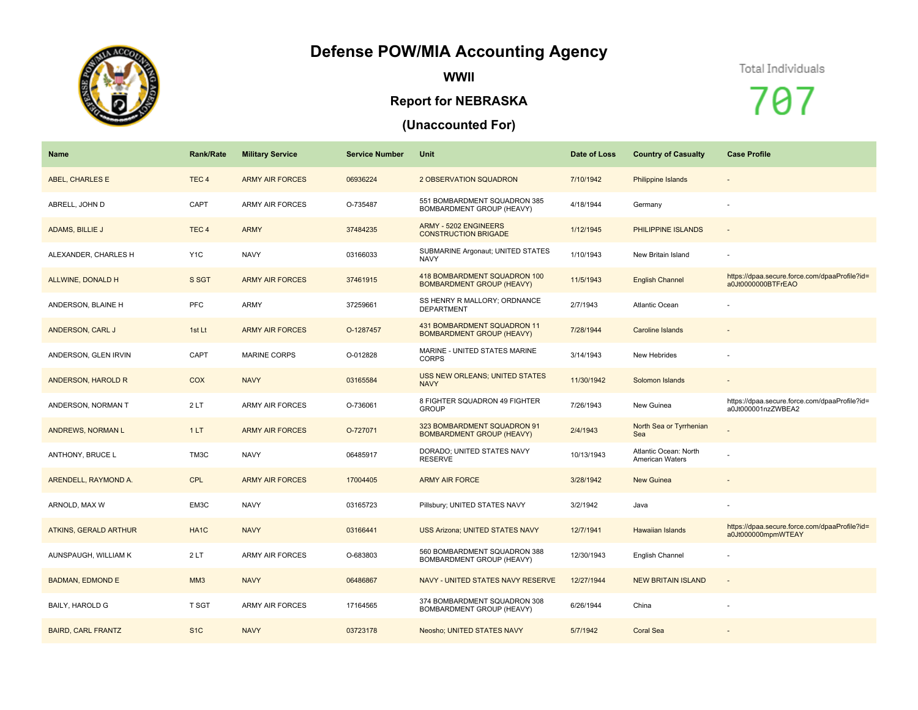## **Defense POW/MIA Accounting Agency**



**WWII**

## **Report for NEBRASKA**

## **(Unaccounted For)**

## Total Individuals

707

| <b>Name</b>                  | <b>Rank/Rate</b>  | <b>Military Service</b> | <b>Service Number</b> | Unit                                                             | Date of Loss | <b>Country of Casualty</b>               | <b>Case Profile</b>                                                 |
|------------------------------|-------------------|-------------------------|-----------------------|------------------------------------------------------------------|--------------|------------------------------------------|---------------------------------------------------------------------|
| <b>ABEL, CHARLES E</b>       | TEC <sub>4</sub>  | <b>ARMY AIR FORCES</b>  | 06936224              | <b>2 OBSERVATION SQUADRON</b>                                    | 7/10/1942    | Philippine Islands                       | $\overline{\phantom{a}}$                                            |
| ABRELL, JOHN D               | CAPT              | <b>ARMY AIR FORCES</b>  | O-735487              | 551 BOMBARDMENT SQUADRON 385<br>BOMBARDMENT GROUP (HEAVY)        | 4/18/1944    | Germany                                  |                                                                     |
| ADAMS, BILLIE J              | TEC <sub>4</sub>  | <b>ARMY</b>             | 37484235              | <b>ARMY - 5202 ENGINEERS</b><br><b>CONSTRUCTION BRIGADE</b>      | 1/12/1945    | PHILIPPINE ISLANDS                       | $\overline{\phantom{a}}$                                            |
| ALEXANDER, CHARLES H         | Y <sub>1</sub> C  | <b>NAVY</b>             | 03166033              | SUBMARINE Argonaut; UNITED STATES<br><b>NAVY</b>                 | 1/10/1943    | New Britain Island                       |                                                                     |
| ALLWINE, DONALD H            | S SGT             | <b>ARMY AIR FORCES</b>  | 37461915              | 418 BOMBARDMENT SQUADRON 100<br><b>BOMBARDMENT GROUP (HEAVY)</b> | 11/5/1943    | <b>English Channel</b>                   | https://dpaa.secure.force.com/dpaaProfile?id=<br>a0Jt0000000BTFrEAO |
| ANDERSON, BLAINE H           | PFC               | <b>ARMY</b>             | 37259661              | SS HENRY R MALLORY; ORDNANCE<br><b>DEPARTMENT</b>                | 2/7/1943     | Atlantic Ocean                           |                                                                     |
| ANDERSON, CARL J             | 1st Lt            | <b>ARMY AIR FORCES</b>  | O-1287457             | 431 BOMBARDMENT SQUADRON 11<br><b>BOMBARDMENT GROUP (HEAVY)</b>  | 7/28/1944    | <b>Caroline Islands</b>                  |                                                                     |
| ANDERSON, GLEN IRVIN         | CAPT              | <b>MARINE CORPS</b>     | O-012828              | MARINE - UNITED STATES MARINE<br><b>CORPS</b>                    | 3/14/1943    | New Hebrides                             |                                                                     |
| ANDERSON, HAROLD R           | COX               | <b>NAVY</b>             | 03165584              | <b>USS NEW ORLEANS; UNITED STATES</b><br><b>NAVY</b>             | 11/30/1942   | Solomon Islands                          | $\overline{\phantom{a}}$                                            |
| ANDERSON, NORMAN T           | 2LT               | <b>ARMY AIR FORCES</b>  | O-736061              | 8 FIGHTER SQUADRON 49 FIGHTER<br><b>GROUP</b>                    | 7/26/1943    | New Guinea                               | https://dpaa.secure.force.com/dpaaProfile?id=<br>a0Jt000001nzZWBEA2 |
| ANDREWS, NORMAN L            | 1LT               | <b>ARMY AIR FORCES</b>  | O-727071              | 323 BOMBARDMENT SQUADRON 91<br><b>BOMBARDMENT GROUP (HEAVY)</b>  | 2/4/1943     | North Sea or Tyrrhenian<br>Sea           |                                                                     |
| ANTHONY, BRUCE L             | TM3C              | <b>NAVY</b>             | 06485917              | DORADO; UNITED STATES NAVY<br><b>RESERVE</b>                     | 10/13/1943   | Atlantic Ocean: North<br>American Waters |                                                                     |
| ARENDELL, RAYMOND A.         | <b>CPL</b>        | <b>ARMY AIR FORCES</b>  | 17004405              | <b>ARMY AIR FORCE</b>                                            | 3/28/1942    | <b>New Guinea</b>                        | $\overline{\phantom{a}}$                                            |
| ARNOLD, MAX W                | EM3C              | <b>NAVY</b>             | 03165723              | Pillsbury; UNITED STATES NAVY                                    | 3/2/1942     | Java                                     |                                                                     |
| <b>ATKINS, GERALD ARTHUR</b> | HA <sub>1</sub> C | <b>NAVY</b>             | 03166441              | <b>USS Arizona; UNITED STATES NAVY</b>                           | 12/7/1941    | <b>Hawaiian Islands</b>                  | https://dpaa.secure.force.com/dpaaProfile?id=<br>a0Jt000000mpmWTEAY |
| AUNSPAUGH, WILLIAM K         | 2LT               | <b>ARMY AIR FORCES</b>  | O-683803              | 560 BOMBARDMENT SQUADRON 388<br>BOMBARDMENT GROUP (HEAVY)        | 12/30/1943   | English Channel                          | ä,                                                                  |
| <b>BADMAN, EDMOND E</b>      | MM <sub>3</sub>   | <b>NAVY</b>             | 06486867              | NAVY - UNITED STATES NAVY RESERVE                                | 12/27/1944   | <b>NEW BRITAIN ISLAND</b>                | $\overline{\phantom{a}}$                                            |
| BAILY, HAROLD G              | T SGT             | <b>ARMY AIR FORCES</b>  | 17164565              | 374 BOMBARDMENT SQUADRON 308<br>BOMBARDMENT GROUP (HEAVY)        | 6/26/1944    | China                                    | ä,                                                                  |
| <b>BAIRD, CARL FRANTZ</b>    | S <sub>1</sub> C  | <b>NAVY</b>             | 03723178              | Neosho; UNITED STATES NAVY                                       | 5/7/1942     | <b>Coral Sea</b>                         |                                                                     |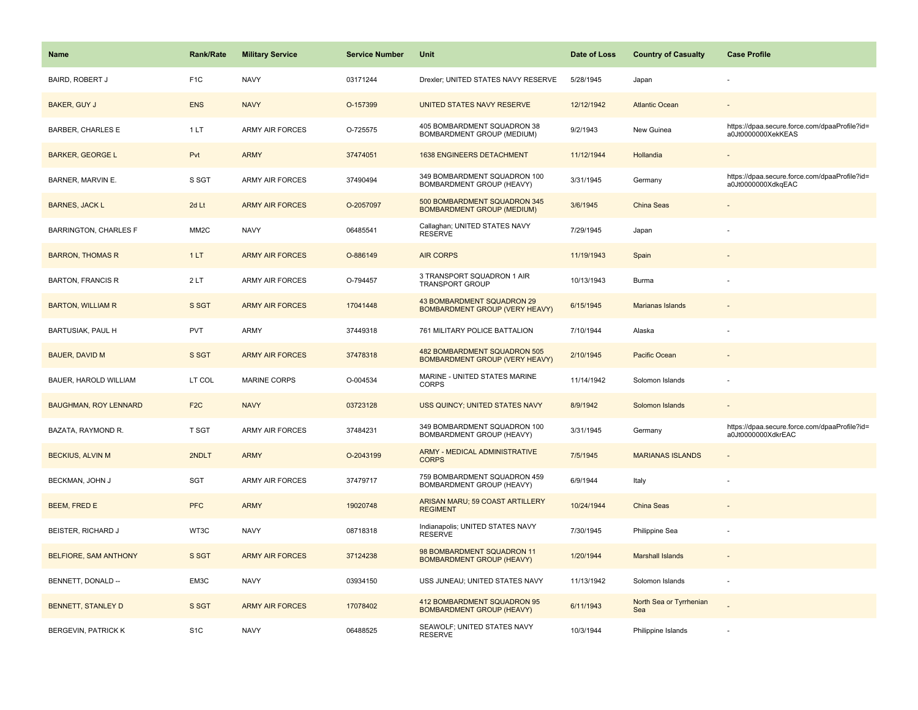| Name                         | <b>Rank/Rate</b>  | <b>Military Service</b> | <b>Service Number</b> | Unit                                                                  | Date of Loss | <b>Country of Casualty</b>     | <b>Case Profile</b>                                                 |
|------------------------------|-------------------|-------------------------|-----------------------|-----------------------------------------------------------------------|--------------|--------------------------------|---------------------------------------------------------------------|
| <b>BAIRD, ROBERT J</b>       | F <sub>1</sub> C  | <b>NAVY</b>             | 03171244              | Drexler; UNITED STATES NAVY RESERVE                                   | 5/28/1945    | Japan                          |                                                                     |
| <b>BAKER, GUY J</b>          | <b>ENS</b>        | <b>NAVY</b>             | O-157399              | UNITED STATES NAVY RESERVE                                            | 12/12/1942   | <b>Atlantic Ocean</b>          |                                                                     |
| BARBER, CHARLES E            | 1LT               | ARMY AIR FORCES         | O-725575              | 405 BOMBARDMENT SQUADRON 38<br>BOMBARDMENT GROUP (MEDIUM)             | 9/2/1943     | New Guinea                     | https://dpaa.secure.force.com/dpaaProfile?id=<br>a0Jt0000000XekKEAS |
| <b>BARKER, GEORGE L</b>      | Pvt               | <b>ARMY</b>             | 37474051              | 1638 ENGINEERS DETACHMENT                                             | 11/12/1944   | Hollandia                      |                                                                     |
| BARNER, MARVIN E.            | S SGT             | <b>ARMY AIR FORCES</b>  | 37490494              | 349 BOMBARDMENT SQUADRON 100<br>BOMBARDMENT GROUP (HEAVY)             | 3/31/1945    | Germany                        | https://dpaa.secure.force.com/dpaaProfile?id=<br>a0Jt0000000XdkqEAC |
| <b>BARNES, JACK L</b>        | 2d Lt             | <b>ARMY AIR FORCES</b>  | O-2057097             | 500 BOMBARDMENT SQUADRON 345<br><b>BOMBARDMENT GROUP (MEDIUM)</b>     | 3/6/1945     | China Seas                     |                                                                     |
| <b>BARRINGTON, CHARLES F</b> | MM <sub>2</sub> C | <b>NAVY</b>             | 06485541              | Callaghan; UNITED STATES NAVY<br><b>RESERVE</b>                       | 7/29/1945    | Japan                          |                                                                     |
| <b>BARRON, THOMAS R</b>      | 1LT               | <b>ARMY AIR FORCES</b>  | O-886149              | <b>AIR CORPS</b>                                                      | 11/19/1943   | Spain                          |                                                                     |
| <b>BARTON, FRANCIS R</b>     | 2LT               | <b>ARMY AIR FORCES</b>  | O-794457              | 3 TRANSPORT SQUADRON 1 AIR<br><b>TRANSPORT GROUP</b>                  | 10/13/1943   | Burma                          |                                                                     |
| <b>BARTON, WILLIAM R</b>     | S SGT             | <b>ARMY AIR FORCES</b>  | 17041448              | 43 BOMBARDMENT SQUADRON 29<br>BOMBARDMENT GROUP (VERY HEAVY)          | 6/15/1945    | <b>Marianas Islands</b>        |                                                                     |
| BARTUSIAK, PAUL H            | PVT               | ARMY                    | 37449318              | 761 MILITARY POLICE BATTALION                                         | 7/10/1944    | Alaska                         |                                                                     |
| <b>BAUER, DAVID M</b>        | S SGT             | <b>ARMY AIR FORCES</b>  | 37478318              | 482 BOMBARDMENT SQUADRON 505<br><b>BOMBARDMENT GROUP (VERY HEAVY)</b> | 2/10/1945    | Pacific Ocean                  |                                                                     |
| BAUER, HAROLD WILLIAM        | LT COL            | <b>MARINE CORPS</b>     | O-004534              | MARINE - UNITED STATES MARINE<br><b>CORPS</b>                         | 11/14/1942   | Solomon Islands                |                                                                     |
| <b>BAUGHMAN, ROY LENNARD</b> | F <sub>2</sub> C  | <b>NAVY</b>             | 03723128              | USS QUINCY; UNITED STATES NAVY                                        | 8/9/1942     | Solomon Islands                |                                                                     |
| BAZATA, RAYMOND R.           | <b>T SGT</b>      | ARMY AIR FORCES         | 37484231              | 349 BOMBARDMENT SQUADRON 100<br>BOMBARDMENT GROUP (HEAVY)             | 3/31/1945    | Germany                        | https://dpaa.secure.force.com/dpaaProfile?id=<br>a0Jt0000000XdkrEAC |
| <b>BECKIUS, ALVIN M</b>      | 2NDLT             | <b>ARMY</b>             | O-2043199             | ARMY - MEDICAL ADMINISTRATIVE<br><b>CORPS</b>                         | 7/5/1945     | <b>MARIANAS ISLANDS</b>        |                                                                     |
| BECKMAN, JOHN J              | <b>SGT</b>        | <b>ARMY AIR FORCES</b>  | 37479717              | 759 BOMBARDMENT SQUADRON 459<br>BOMBARDMENT GROUP (HEAVY)             | 6/9/1944     | Italy                          |                                                                     |
| BEEM, FRED E                 | <b>PFC</b>        | <b>ARMY</b>             | 19020748              | ARISAN MARU; 59 COAST ARTILLERY<br><b>REGIMENT</b>                    | 10/24/1944   | China Seas                     |                                                                     |
| BEISTER, RICHARD J           | WT3C              | <b>NAVY</b>             | 08718318              | Indianapolis; UNITED STATES NAVY<br><b>RESERVE</b>                    | 7/30/1945    | Philippine Sea                 |                                                                     |
| BELFIORE, SAM ANTHONY        | S SGT             | <b>ARMY AIR FORCES</b>  | 37124238              | 98 BOMBARDMENT SQUADRON 11<br><b>BOMBARDMENT GROUP (HEAVY)</b>        | 1/20/1944    | <b>Marshall Islands</b>        |                                                                     |
| BENNETT, DONALD --           | EM3C              | <b>NAVY</b>             | 03934150              | USS JUNEAU; UNITED STATES NAVY                                        | 11/13/1942   | Solomon Islands                | ÷,                                                                  |
| <b>BENNETT, STANLEY D</b>    | S SGT             | <b>ARMY AIR FORCES</b>  | 17078402              | 412 BOMBARDMENT SQUADRON 95<br><b>BOMBARDMENT GROUP (HEAVY)</b>       | 6/11/1943    | North Sea or Tyrrhenian<br>Sea |                                                                     |
| <b>BERGEVIN, PATRICK K</b>   | S <sub>1</sub> C  | <b>NAVY</b>             | 06488525              | SEAWOLF; UNITED STATES NAVY<br><b>RESERVE</b>                         | 10/3/1944    | Philippine Islands             |                                                                     |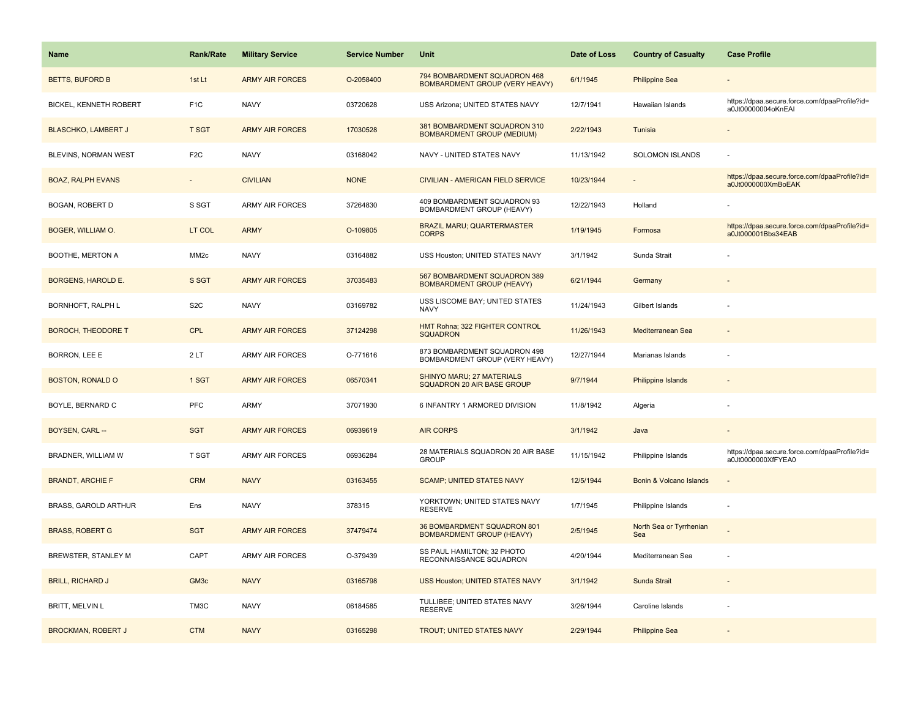| <b>Name</b>                   | <b>Rank/Rate</b> | <b>Military Service</b> | <b>Service Number</b> | Unit                                                                  | Date of Loss | <b>Country of Casualty</b>     | <b>Case Profile</b>                                                 |
|-------------------------------|------------------|-------------------------|-----------------------|-----------------------------------------------------------------------|--------------|--------------------------------|---------------------------------------------------------------------|
| <b>BETTS, BUFORD B</b>        | 1st Lt           | <b>ARMY AIR FORCES</b>  | O-2058400             | 794 BOMBARDMENT SQUADRON 468<br><b>BOMBARDMENT GROUP (VERY HEAVY)</b> | 6/1/1945     | <b>Philippine Sea</b>          |                                                                     |
| <b>BICKEL, KENNETH ROBERT</b> | F <sub>1</sub> C | <b>NAVY</b>             | 03720628              | USS Arizona; UNITED STATES NAVY                                       | 12/7/1941    | Hawaiian Islands               | https://dpaa.secure.force.com/dpaaProfile?id=<br>a0Jt00000004oKnEAI |
| <b>BLASCHKO, LAMBERT J</b>    | <b>T SGT</b>     | <b>ARMY AIR FORCES</b>  | 17030528              | 381 BOMBARDMENT SQUADRON 310<br><b>BOMBARDMENT GROUP (MEDIUM)</b>     | 2/22/1943    | Tunisia                        |                                                                     |
| BLEVINS, NORMAN WEST          | F <sub>2</sub> C | <b>NAVY</b>             | 03168042              | NAVY - UNITED STATES NAVY                                             | 11/13/1942   | SOLOMON ISLANDS                |                                                                     |
| <b>BOAZ, RALPH EVANS</b>      |                  | <b>CIVILIAN</b>         | <b>NONE</b>           | <b>CIVILIAN - AMERICAN FIELD SERVICE</b>                              | 10/23/1944   |                                | https://dpaa.secure.force.com/dpaaProfile?id=<br>a0Jt0000000XmBoEAK |
| BOGAN, ROBERT D               | S SGT            | <b>ARMY AIR FORCES</b>  | 37264830              | 409 BOMBARDMENT SQUADRON 93<br>BOMBARDMENT GROUP (HEAVY)              | 12/22/1943   | Holland                        |                                                                     |
| <b>BOGER, WILLIAM O.</b>      | LT COL           | <b>ARMY</b>             | O-109805              | <b>BRAZIL MARU; QUARTERMASTER</b><br><b>CORPS</b>                     | 1/19/1945    | Formosa                        | https://dpaa.secure.force.com/dpaaProfile?id=<br>a0Jt000001Bbs34EAB |
| BOOTHE, MERTON A              | MM <sub>2c</sub> | <b>NAVY</b>             | 03164882              | USS Houston; UNITED STATES NAVY                                       | 3/1/1942     | Sunda Strait                   |                                                                     |
| <b>BORGENS, HAROLD E.</b>     | S SGT            | <b>ARMY AIR FORCES</b>  | 37035483              | 567 BOMBARDMENT SQUADRON 389<br><b>BOMBARDMENT GROUP (HEAVY)</b>      | 6/21/1944    | Germany                        |                                                                     |
| BORNHOFT, RALPH L             | S <sub>2</sub> C | <b>NAVY</b>             | 03169782              | USS LISCOME BAY; UNITED STATES<br><b>NAVY</b>                         | 11/24/1943   | Gilbert Islands                |                                                                     |
| <b>BOROCH, THEODORE T</b>     | <b>CPL</b>       | <b>ARMY AIR FORCES</b>  | 37124298              | HMT Rohna; 322 FIGHTER CONTROL<br><b>SQUADRON</b>                     | 11/26/1943   | Mediterranean Sea              |                                                                     |
| BORRON, LEE E                 | 2LT              | <b>ARMY AIR FORCES</b>  | O-771616              | 873 BOMBARDMENT SQUADRON 498<br>BOMBARDMENT GROUP (VERY HEAVY)        | 12/27/1944   | Marianas Islands               |                                                                     |
| <b>BOSTON, RONALD O</b>       | 1 SGT            | <b>ARMY AIR FORCES</b>  | 06570341              | SHINYO MARU; 27 MATERIALS<br>SQUADRON 20 AIR BASE GROUP               | 9/7/1944     | Philippine Islands             |                                                                     |
| BOYLE, BERNARD C              | PFC              | <b>ARMY</b>             | 37071930              | 6 INFANTRY 1 ARMORED DIVISION                                         | 11/8/1942    | Algeria                        |                                                                     |
| BOYSEN, CARL --               | <b>SGT</b>       | <b>ARMY AIR FORCES</b>  | 06939619              | <b>AIR CORPS</b>                                                      | 3/1/1942     | Java                           |                                                                     |
| BRADNER, WILLIAM W            | <b>T SGT</b>     | <b>ARMY AIR FORCES</b>  | 06936284              | 28 MATERIALS SQUADRON 20 AIR BASE<br><b>GROUP</b>                     | 11/15/1942   | Philippine Islands             | https://dpaa.secure.force.com/dpaaProfile?id=<br>a0Jt0000000XfFYEA0 |
| <b>BRANDT, ARCHIE F</b>       | <b>CRM</b>       | <b>NAVY</b>             | 03163455              | <b>SCAMP; UNITED STATES NAVY</b>                                      | 12/5/1944    | Bonin & Volcano Islands        |                                                                     |
| <b>BRASS, GAROLD ARTHUR</b>   | Ens              | <b>NAVY</b>             | 378315                | YORKTOWN; UNITED STATES NAVY<br><b>RESERVE</b>                        | 1/7/1945     | Philippine Islands             |                                                                     |
| <b>BRASS, ROBERT G</b>        | <b>SGT</b>       | <b>ARMY AIR FORCES</b>  | 37479474              | 36 BOMBARDMENT SQUADRON 801<br><b>BOMBARDMENT GROUP (HEAVY)</b>       | 2/5/1945     | North Sea or Tyrrhenian<br>Sea |                                                                     |
| <b>BREWSTER, STANLEY M</b>    | CAPT             | <b>ARMY AIR FORCES</b>  | O-379439              | SS PAUL HAMILTON; 32 PHOTO<br>RECONNAISSANCE SQUADRON                 | 4/20/1944    | Mediterranean Sea              |                                                                     |
| <b>BRILL, RICHARD J</b>       | GM <sub>3c</sub> | <b>NAVY</b>             | 03165798              | USS Houston; UNITED STATES NAVY                                       | 3/1/1942     | Sunda Strait                   |                                                                     |
| BRITT, MELVIN L               | TM3C             | <b>NAVY</b>             | 06184585              | TULLIBEE; UNITED STATES NAVY<br><b>RESERVE</b>                        | 3/26/1944    | Caroline Islands               |                                                                     |
| <b>BROCKMAN, ROBERT J</b>     | <b>CTM</b>       | <b>NAVY</b>             | 03165298              | <b>TROUT; UNITED STATES NAVY</b>                                      | 2/29/1944    | <b>Philippine Sea</b>          |                                                                     |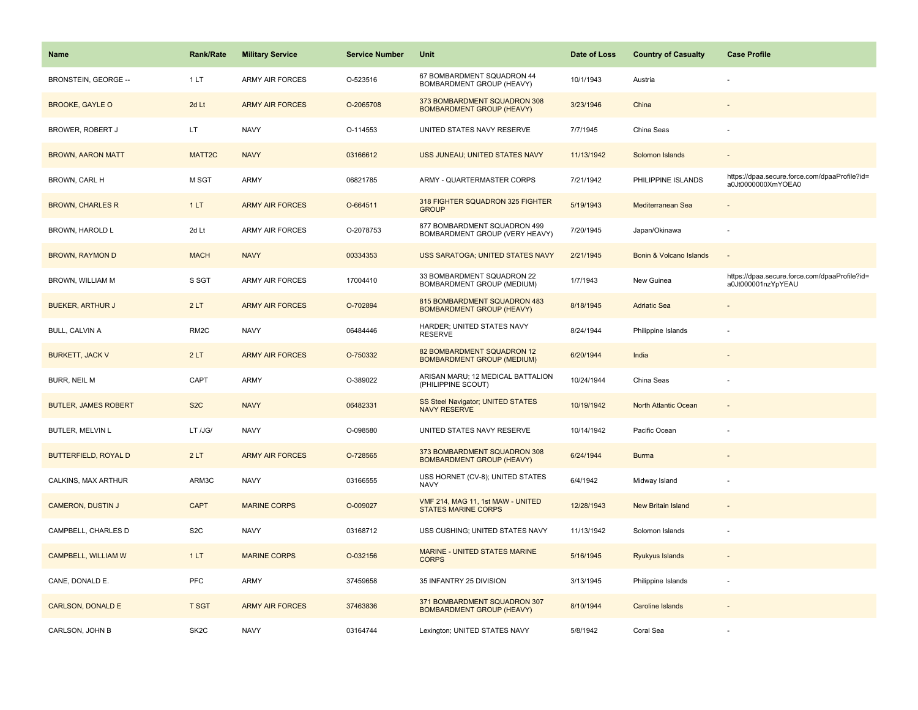| Name                        | <b>Rank/Rate</b>  | <b>Military Service</b> | <b>Service Number</b> | Unit                                                             | Date of Loss | <b>Country of Casualty</b>  | <b>Case Profile</b>                                                 |
|-----------------------------|-------------------|-------------------------|-----------------------|------------------------------------------------------------------|--------------|-----------------------------|---------------------------------------------------------------------|
| <b>BRONSTEIN. GEORGE --</b> | 1LT               | <b>ARMY AIR FORCES</b>  | O-523516              | 67 BOMBARDMENT SQUADRON 44<br>BOMBARDMENT GROUP (HEAVY)          | 10/1/1943    | Austria                     |                                                                     |
| <b>BROOKE, GAYLE O</b>      | 2d Lt             | <b>ARMY AIR FORCES</b>  | O-2065708             | 373 BOMBARDMENT SQUADRON 308<br><b>BOMBARDMENT GROUP (HEAVY)</b> | 3/23/1946    | China                       |                                                                     |
| BROWER, ROBERT J            | LT.               | <b>NAVY</b>             | O-114553              | UNITED STATES NAVY RESERVE                                       | 7/7/1945     | China Seas                  |                                                                     |
| <b>BROWN, AARON MATT</b>    | MATT2C            | <b>NAVY</b>             | 03166612              | USS JUNEAU; UNITED STATES NAVY                                   | 11/13/1942   | Solomon Islands             |                                                                     |
| BROWN, CARL H               | M SGT             | <b>ARMY</b>             | 06821785              | ARMY - QUARTERMASTER CORPS                                       | 7/21/1942    | PHILIPPINE ISLANDS          | https://dpaa.secure.force.com/dpaaProfile?id=<br>a0Jt0000000XmYOEA0 |
| <b>BROWN, CHARLES R</b>     | 1LT               | <b>ARMY AIR FORCES</b>  | O-664511              | 318 FIGHTER SQUADRON 325 FIGHTER<br><b>GROUP</b>                 | 5/19/1943    | Mediterranean Sea           | $\overline{\phantom{a}}$                                            |
| BROWN, HAROLD L             | 2d Lt             | <b>ARMY AIR FORCES</b>  | O-2078753             | 877 BOMBARDMENT SQUADRON 499<br>BOMBARDMENT GROUP (VERY HEAVY)   | 7/20/1945    | Japan/Okinawa               | ä,                                                                  |
| <b>BROWN, RAYMON D</b>      | <b>MACH</b>       | <b>NAVY</b>             | 00334353              | <b>USS SARATOGA; UNITED STATES NAVY</b>                          | 2/21/1945    | Bonin & Volcano Islands     | $\overline{a}$                                                      |
| BROWN, WILLIAM M            | S SGT             | <b>ARMY AIR FORCES</b>  | 17004410              | 33 BOMBARDMENT SQUADRON 22<br><b>BOMBARDMENT GROUP (MEDIUM)</b>  | 1/7/1943     | New Guinea                  | https://dpaa.secure.force.com/dpaaProfile?id=<br>a0Jt000001nzYpYEAU |
| <b>BUEKER, ARTHUR J</b>     | 2LT               | <b>ARMY AIR FORCES</b>  | O-702894              | 815 BOMBARDMENT SQUADRON 483<br><b>BOMBARDMENT GROUP (HEAVY)</b> | 8/18/1945    | <b>Adriatic Sea</b>         |                                                                     |
| BULL, CALVIN A              | RM <sub>2</sub> C | <b>NAVY</b>             | 06484446              | HARDER; UNITED STATES NAVY<br><b>RESERVE</b>                     | 8/24/1944    | Philippine Islands          |                                                                     |
| <b>BURKETT, JACK V</b>      | 2LT               | <b>ARMY AIR FORCES</b>  | O-750332              | 82 BOMBARDMENT SQUADRON 12<br><b>BOMBARDMENT GROUP (MEDIUM)</b>  | 6/20/1944    | India                       |                                                                     |
| BURR, NEIL M                | CAPT              | <b>ARMY</b>             | O-389022              | ARISAN MARU; 12 MEDICAL BATTALION<br>(PHILIPPINE SCOUT)          | 10/24/1944   | China Seas                  | ٠                                                                   |
| <b>BUTLER, JAMES ROBERT</b> | S <sub>2</sub> C  | <b>NAVY</b>             | 06482331              | SS Steel Navigator; UNITED STATES<br><b>NAVY RESERVE</b>         | 10/19/1942   | <b>North Atlantic Ocean</b> |                                                                     |
| BUTLER, MELVIN L            | LT /JG/           | <b>NAVY</b>             | O-098580              | UNITED STATES NAVY RESERVE                                       | 10/14/1942   | Pacific Ocean               |                                                                     |
| <b>BUTTERFIELD, ROYAL D</b> | 2LT               | <b>ARMY AIR FORCES</b>  | O-728565              | 373 BOMBARDMENT SQUADRON 308<br><b>BOMBARDMENT GROUP (HEAVY)</b> | 6/24/1944    | <b>Burma</b>                |                                                                     |
| CALKINS, MAX ARTHUR         | ARM3C             | <b>NAVY</b>             | 03166555              | USS HORNET (CV-8); UNITED STATES<br><b>NAVY</b>                  | 6/4/1942     | Midway Island               |                                                                     |
| <b>CAMERON, DUSTIN J</b>    | <b>CAPT</b>       | <b>MARINE CORPS</b>     | O-009027              | VMF 214, MAG 11, 1st MAW - UNITED<br><b>STATES MARINE CORPS</b>  | 12/28/1943   | <b>New Britain Island</b>   |                                                                     |
| CAMPBELL, CHARLES D         | S <sub>2</sub> C  | <b>NAVY</b>             | 03168712              | USS CUSHING; UNITED STATES NAVY                                  | 11/13/1942   | Solomon Islands             |                                                                     |
| CAMPBELL, WILLIAM W         | 1LT               | <b>MARINE CORPS</b>     | O-032156              | <b>MARINE - UNITED STATES MARINE</b><br><b>CORPS</b>             | 5/16/1945    | Ryukyus Islands             |                                                                     |
| CANE, DONALD E.             | <b>PFC</b>        | <b>ARMY</b>             | 37459658              | 35 INFANTRY 25 DIVISION                                          | 3/13/1945    | Philippine Islands          |                                                                     |
| <b>CARLSON, DONALD E</b>    | <b>T SGT</b>      | <b>ARMY AIR FORCES</b>  | 37463836              | 371 BOMBARDMENT SQUADRON 307<br><b>BOMBARDMENT GROUP (HEAVY)</b> | 8/10/1944    | <b>Caroline Islands</b>     |                                                                     |
| CARLSON, JOHN B             | SK <sub>2</sub> C | <b>NAVY</b>             | 03164744              | Lexington; UNITED STATES NAVY                                    | 5/8/1942     | Coral Sea                   |                                                                     |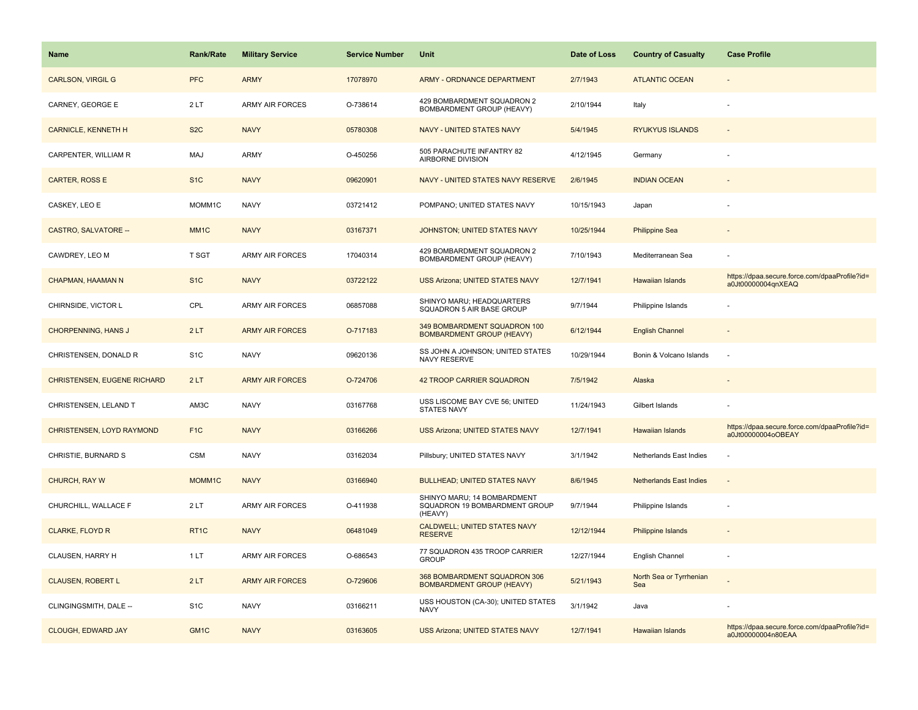| Name                               | <b>Rank/Rate</b>  | <b>Military Service</b> | <b>Service Number</b> | Unit                                                                    | Date of Loss | <b>Country of Casualty</b>     | <b>Case Profile</b>                                                 |
|------------------------------------|-------------------|-------------------------|-----------------------|-------------------------------------------------------------------------|--------------|--------------------------------|---------------------------------------------------------------------|
| <b>CARLSON, VIRGIL G</b>           | <b>PFC</b>        | <b>ARMY</b>             | 17078970              | <b>ARMY - ORDNANCE DEPARTMENT</b>                                       | 2/7/1943     | <b>ATLANTIC OCEAN</b>          |                                                                     |
| CARNEY, GEORGE E                   | 2LT               | <b>ARMY AIR FORCES</b>  | O-738614              | 429 BOMBARDMENT SQUADRON 2<br>BOMBARDMENT GROUP (HEAVY)                 | 2/10/1944    | Italy                          |                                                                     |
| <b>CARNICLE, KENNETH H</b>         | S <sub>2</sub> C  | <b>NAVY</b>             | 05780308              | <b>NAVY - UNITED STATES NAVY</b>                                        | 5/4/1945     | <b>RYUKYUS ISLANDS</b>         |                                                                     |
| CARPENTER, WILLIAM R               | MAJ               | ARMY                    | O-450256              | 505 PARACHUTE INFANTRY 82<br>AIRBORNE DIVISION                          | 4/12/1945    | Germany                        |                                                                     |
| CARTER, ROSS E                     | S <sub>1</sub> C  | <b>NAVY</b>             | 09620901              | NAVY - UNITED STATES NAVY RESERVE                                       | 2/6/1945     | <b>INDIAN OCEAN</b>            |                                                                     |
| CASKEY, LEO E                      | MOMM1C            | <b>NAVY</b>             | 03721412              | POMPANO; UNITED STATES NAVY                                             | 10/15/1943   | Japan                          |                                                                     |
| <b>CASTRO, SALVATORE --</b>        | MM <sub>1</sub> C | <b>NAVY</b>             | 03167371              | JOHNSTON; UNITED STATES NAVY                                            | 10/25/1944   | <b>Philippine Sea</b>          |                                                                     |
| CAWDREY, LEO M                     | <b>T SGT</b>      | <b>ARMY AIR FORCES</b>  | 17040314              | 429 BOMBARDMENT SQUADRON 2<br>BOMBARDMENT GROUP (HEAVY)                 | 7/10/1943    | Mediterranean Sea              |                                                                     |
| CHAPMAN, HAAMAN N                  | S <sub>1C</sub>   | <b>NAVY</b>             | 03722122              | <b>USS Arizona; UNITED STATES NAVY</b>                                  | 12/7/1941    | <b>Hawaiian Islands</b>        | https://dpaa.secure.force.com/dpaaProfile?id=<br>a0Jt00000004qnXEAQ |
| CHIRNSIDE, VICTOR L                | CPL               | <b>ARMY AIR FORCES</b>  | 06857088              | SHINYO MARU; HEADQUARTERS<br>SQUADRON 5 AIR BASE GROUP                  | 9/7/1944     | Philippine Islands             |                                                                     |
| <b>CHORPENNING, HANS J</b>         | 2LT               | <b>ARMY AIR FORCES</b>  | O-717183              | 349 BOMBARDMENT SQUADRON 100<br><b>BOMBARDMENT GROUP (HEAVY)</b>        | 6/12/1944    | <b>English Channel</b>         |                                                                     |
| CHRISTENSEN, DONALD R              | S <sub>1</sub> C  | <b>NAVY</b>             | 09620136              | SS JOHN A JOHNSON; UNITED STATES<br><b>NAVY RESERVE</b>                 | 10/29/1944   | Bonin & Volcano Islands        |                                                                     |
| <b>CHRISTENSEN, EUGENE RICHARD</b> | 2LT               | <b>ARMY AIR FORCES</b>  | O-724706              | 42 TROOP CARRIER SQUADRON                                               | 7/5/1942     | Alaska                         |                                                                     |
| CHRISTENSEN, LELAND T              | AM3C              | <b>NAVY</b>             | 03167768              | USS LISCOME BAY CVE 56: UNITED<br><b>STATES NAVY</b>                    | 11/24/1943   | Gilbert Islands                |                                                                     |
| CHRISTENSEN, LOYD RAYMOND          | F <sub>1C</sub>   | <b>NAVY</b>             | 03166266              | <b>USS Arizona; UNITED STATES NAVY</b>                                  | 12/7/1941    | Hawaiian Islands               | https://dpaa.secure.force.com/dpaaProfile?id=<br>a0Jt00000004oOBEAY |
| CHRISTIE, BURNARD S                | <b>CSM</b>        | <b>NAVY</b>             | 03162034              | Pillsbury; UNITED STATES NAVY                                           | 3/1/1942     | Netherlands East Indies        |                                                                     |
| CHURCH, RAY W                      | MOMM1C            | <b>NAVY</b>             | 03166940              | <b>BULLHEAD; UNITED STATES NAVY</b>                                     | 8/6/1945     | <b>Netherlands East Indies</b> | $\overline{a}$                                                      |
| CHURCHILL, WALLACE F               | 2LT               | <b>ARMY AIR FORCES</b>  | O-411938              | SHINYO MARU; 14 BOMBARDMENT<br>SQUADRON 19 BOMBARDMENT GROUP<br>(HEAVY) | 9/7/1944     | Philippine Islands             |                                                                     |
| <b>CLARKE, FLOYD R</b>             | RT1C              | <b>NAVY</b>             | 06481049              | CALDWELL; UNITED STATES NAVY<br><b>RESERVE</b>                          | 12/12/1944   | <b>Philippine Islands</b>      |                                                                     |
| <b>CLAUSEN, HARRY H</b>            | 1LT               | ARMY AIR FORCES         | O-686543              | 77 SQUADRON 435 TROOP CARRIER<br><b>GROUP</b>                           | 12/27/1944   | English Channel                |                                                                     |
| <b>CLAUSEN, ROBERT L</b>           | 2LT               | <b>ARMY AIR FORCES</b>  | O-729606              | 368 BOMBARDMENT SQUADRON 306<br><b>BOMBARDMENT GROUP (HEAVY)</b>        | 5/21/1943    | North Sea or Tyrrhenian<br>Sea |                                                                     |
| CLINGINGSMITH, DALE --             | S <sub>1</sub> C  | <b>NAVY</b>             | 03166211              | USS HOUSTON (CA-30); UNITED STATES<br><b>NAVY</b>                       | 3/1/1942     | Java                           |                                                                     |
| <b>CLOUGH, EDWARD JAY</b>          | GM <sub>1C</sub>  | <b>NAVY</b>             | 03163605              | <b>USS Arizona; UNITED STATES NAVY</b>                                  | 12/7/1941    | <b>Hawaiian Islands</b>        | https://dpaa.secure.force.com/dpaaProfile?id=<br>a0Jt00000004n80EAA |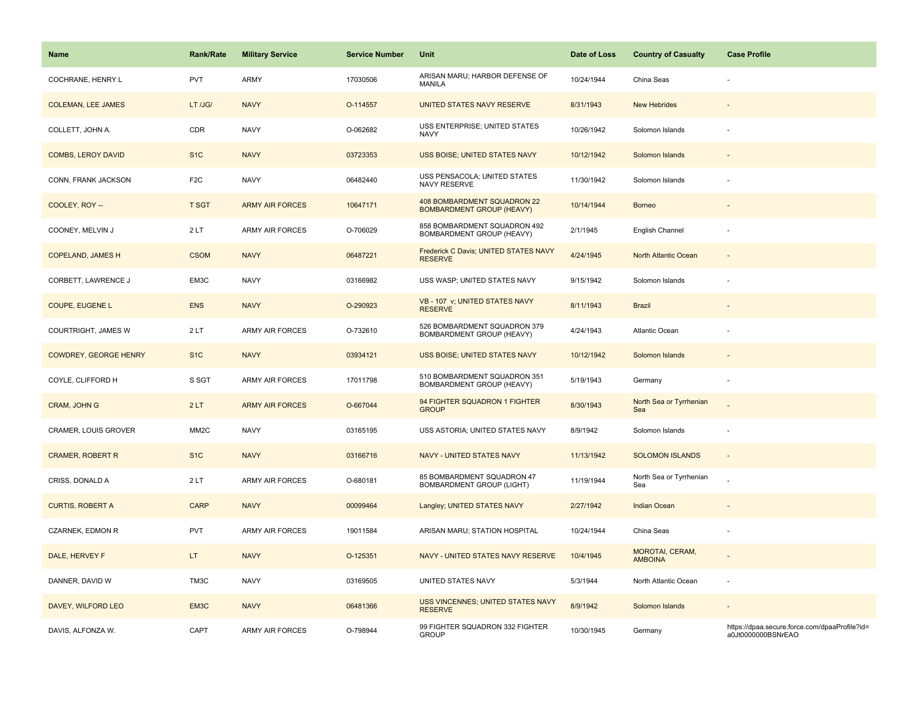| Name                         | Rank/Rate         | <b>Military Service</b> | <b>Service Number</b> | Unit                                                            | Date of Loss | <b>Country of Casualty</b>        | <b>Case Profile</b>                                                 |
|------------------------------|-------------------|-------------------------|-----------------------|-----------------------------------------------------------------|--------------|-----------------------------------|---------------------------------------------------------------------|
| COCHRANE, HENRY L            | PVT               | ARMY                    | 17030506              | ARISAN MARU; HARBOR DEFENSE OF<br>MANILA                        | 10/24/1944   | China Seas                        |                                                                     |
| <b>COLEMAN, LEE JAMES</b>    | LT /JG/           | <b>NAVY</b>             | O-114557              | UNITED STATES NAVY RESERVE                                      | 8/31/1943    | <b>New Hebrides</b>               |                                                                     |
| COLLETT, JOHN A.             | CDR               | <b>NAVY</b>             | O-062682              | USS ENTERPRISE; UNITED STATES<br><b>NAVY</b>                    | 10/26/1942   | Solomon Islands                   |                                                                     |
| <b>COMBS, LEROY DAVID</b>    | S <sub>1</sub> C  | <b>NAVY</b>             | 03723353              | <b>USS BOISE; UNITED STATES NAVY</b>                            | 10/12/1942   | Solomon Islands                   |                                                                     |
| CONN, FRANK JACKSON          | F <sub>2</sub> C  | <b>NAVY</b>             | 06482440              | USS PENSACOLA; UNITED STATES<br><b>NAVY RESERVE</b>             | 11/30/1942   | Solomon Islands                   |                                                                     |
| COOLEY, ROY --               | <b>T SGT</b>      | <b>ARMY AIR FORCES</b>  | 10647171              | 408 BOMBARDMENT SQUADRON 22<br><b>BOMBARDMENT GROUP (HEAVY)</b> | 10/14/1944   | <b>Borneo</b>                     |                                                                     |
| COONEY, MELVIN J             | 2LT               | <b>ARMY AIR FORCES</b>  | O-706029              | 858 BOMBARDMENT SQUADRON 492<br>BOMBARDMENT GROUP (HEAVY)       | 2/1/1945     | English Channel                   | ÷,                                                                  |
| <b>COPELAND, JAMES H</b>     | <b>CSOM</b>       | <b>NAVY</b>             | 06487221              | Frederick C Davis; UNITED STATES NAVY<br><b>RESERVE</b>         | 4/24/1945    | North Atlantic Ocean              | $\sim$                                                              |
| CORBETT, LAWRENCE J          | EM3C              | <b>NAVY</b>             | 03166982              | USS WASP; UNITED STATES NAVY                                    | 9/15/1942    | Solomon Islands                   |                                                                     |
| COUPE, EUGENE L              | <b>ENS</b>        | <b>NAVY</b>             | O-290923              | VB - 107 v; UNITED STATES NAVY<br><b>RESERVE</b>                | 8/11/1943    | <b>Brazil</b>                     |                                                                     |
| COURTRIGHT, JAMES W          | 2LT               | <b>ARMY AIR FORCES</b>  | O-732610              | 526 BOMBARDMENT SQUADRON 379<br>BOMBARDMENT GROUP (HEAVY)       | 4/24/1943    | Atlantic Ocean                    |                                                                     |
| <b>COWDREY, GEORGE HENRY</b> | S <sub>1</sub> C  | <b>NAVY</b>             | 03934121              | USS BOISE; UNITED STATES NAVY                                   | 10/12/1942   | Solomon Islands                   |                                                                     |
| COYLE, CLIFFORD H            | S SGT             | ARMY AIR FORCES         | 17011798              | 510 BOMBARDMENT SQUADRON 351<br>BOMBARDMENT GROUP (HEAVY)       | 5/19/1943    | Germany                           | ÷,                                                                  |
| CRAM, JOHN G                 | 2LT               | <b>ARMY AIR FORCES</b>  | O-667044              | 94 FIGHTER SQUADRON 1 FIGHTER<br><b>GROUP</b>                   | 8/30/1943    | North Sea or Tyrrhenian<br>Sea    |                                                                     |
| CRAMER, LOUIS GROVER         | MM <sub>2</sub> C | <b>NAVY</b>             | 03165195              | USS ASTORIA; UNITED STATES NAVY                                 | 8/9/1942     | Solomon Islands                   | ÷,                                                                  |
| <b>CRAMER, ROBERT R</b>      | S <sub>1</sub> C  | <b>NAVY</b>             | 03166716              | NAVY - UNITED STATES NAVY                                       | 11/13/1942   | <b>SOLOMON ISLANDS</b>            | $\sim$                                                              |
| CRISS, DONALD A              | 2LT               | <b>ARMY AIR FORCES</b>  | O-680181              | 85 BOMBARDMENT SQUADRON 47<br>BOMBARDMENT GROUP (LIGHT)         | 11/19/1944   | North Sea or Tyrrhenian<br>Sea    |                                                                     |
| <b>CURTIS, ROBERT A</b>      | <b>CARP</b>       | <b>NAVY</b>             | 00099464              | Langley; UNITED STATES NAVY                                     | 2/27/1942    | Indian Ocean                      |                                                                     |
| CZARNEK, EDMON R             | <b>PVT</b>        | ARMY AIR FORCES         | 19011584              | ARISAN MARU; STATION HOSPITAL                                   | 10/24/1944   | China Seas                        |                                                                     |
| DALE, HERVEY F               | LT.               | <b>NAVY</b>             | O-125351              | NAVY - UNITED STATES NAVY RESERVE                               | 10/4/1945    | MOROTAI, CERAM,<br><b>AMBOINA</b> |                                                                     |
| DANNER, DAVID W              | TM3C              | <b>NAVY</b>             | 03169505              | UNITED STATES NAVY                                              | 5/3/1944     | North Atlantic Ocean              | $\overline{\phantom{a}}$                                            |
| DAVEY, WILFORD LEO           | EM3C              | <b>NAVY</b>             | 06481366              | USS VINCENNES; UNITED STATES NAVY<br><b>RESERVE</b>             | 8/9/1942     | Solomon Islands                   |                                                                     |
| DAVIS, ALFONZA W.            | CAPT              | <b>ARMY AIR FORCES</b>  | O-798944              | 99 FIGHTER SQUADRON 332 FIGHTER<br><b>GROUP</b>                 | 10/30/1945   | Germany                           | https://dpaa.secure.force.com/dpaaProfile?id=<br>a0Jt0000000BSNrEAO |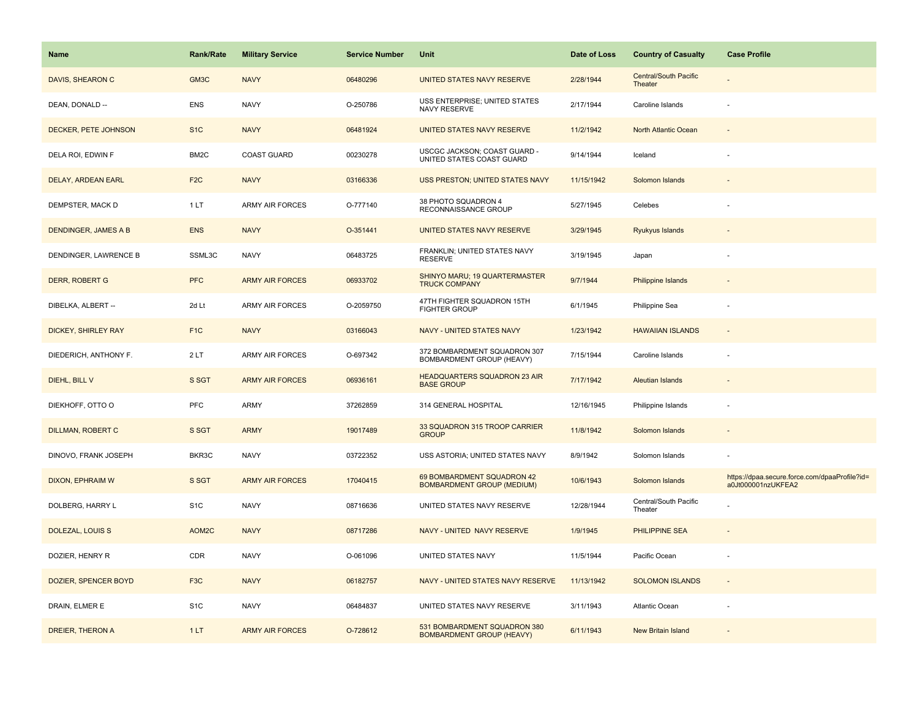| Name                      | <b>Rank/Rate</b> | <b>Military Service</b> | <b>Service Number</b> | Unit                                                             | Date of Loss | <b>Country of Casualty</b>       | <b>Case Profile</b>                                                 |
|---------------------------|------------------|-------------------------|-----------------------|------------------------------------------------------------------|--------------|----------------------------------|---------------------------------------------------------------------|
| DAVIS, SHEARON C          | GM3C             | <b>NAVY</b>             | 06480296              | UNITED STATES NAVY RESERVE                                       | 2/28/1944    | Central/South Pacific<br>Theater |                                                                     |
| DEAN, DONALD --           | <b>ENS</b>       | <b>NAVY</b>             | O-250786              | <b>USS ENTERPRISE; UNITED STATES</b><br><b>NAVY RESERVE</b>      | 2/17/1944    | Caroline Islands                 |                                                                     |
| DECKER, PETE JOHNSON      | S <sub>1</sub> C | <b>NAVY</b>             | 06481924              | UNITED STATES NAVY RESERVE                                       | 11/2/1942    | North Atlantic Ocean             |                                                                     |
| DELA ROI, EDWIN F         | BM2C             | <b>COAST GUARD</b>      | 00230278              | USCGC JACKSON; COAST GUARD -<br>UNITED STATES COAST GUARD        | 9/14/1944    | Iceland                          |                                                                     |
| <b>DELAY, ARDEAN EARL</b> | F <sub>2C</sub>  | <b>NAVY</b>             | 03166336              | <b>USS PRESTON; UNITED STATES NAVY</b>                           | 11/15/1942   | Solomon Islands                  |                                                                     |
| DEMPSTER, MACK D          | 1LT              | <b>ARMY AIR FORCES</b>  | O-777140              | 38 PHOTO SQUADRON 4<br>RECONNAISSANCE GROUP                      | 5/27/1945    | Celebes                          |                                                                     |
| DENDINGER, JAMES A B      | <b>ENS</b>       | <b>NAVY</b>             | O-351441              | UNITED STATES NAVY RESERVE                                       | 3/29/1945    | Ryukyus Islands                  |                                                                     |
| DENDINGER, LAWRENCE B     | SSML3C           | <b>NAVY</b>             | 06483725              | FRANKLIN; UNITED STATES NAVY<br><b>RESERVE</b>                   | 3/19/1945    | Japan                            |                                                                     |
| <b>DERR, ROBERT G</b>     | <b>PFC</b>       | <b>ARMY AIR FORCES</b>  | 06933702              | SHINYO MARU; 19 QUARTERMASTER<br><b>TRUCK COMPANY</b>            | 9/7/1944     | Philippine Islands               |                                                                     |
| DIBELKA, ALBERT --        | 2d Lt            | <b>ARMY AIR FORCES</b>  | O-2059750             | 47TH FIGHTER SQUADRON 15TH<br><b>FIGHTER GROUP</b>               | 6/1/1945     | Philippine Sea                   |                                                                     |
| DICKEY, SHIRLEY RAY       | F <sub>1</sub> C | <b>NAVY</b>             | 03166043              | <b>NAVY - UNITED STATES NAVY</b>                                 | 1/23/1942    | <b>HAWAIIAN ISLANDS</b>          |                                                                     |
| DIEDERICH, ANTHONY F.     | 2LT              | ARMY AIR FORCES         | O-697342              | 372 BOMBARDMENT SQUADRON 307<br>BOMBARDMENT GROUP (HEAVY)        | 7/15/1944    | Caroline Islands                 |                                                                     |
| DIEHL, BILL V             | S SGT            | <b>ARMY AIR FORCES</b>  | 06936161              | <b>HEADQUARTERS SQUADRON 23 AIR</b><br><b>BASE GROUP</b>         | 7/17/1942    | <b>Aleutian Islands</b>          |                                                                     |
| DIEKHOFF, OTTO O          | PFC              | ARMY                    | 37262859              | 314 GENERAL HOSPITAL                                             | 12/16/1945   | Philippine Islands               |                                                                     |
| <b>DILLMAN, ROBERT C</b>  | S SGT            | <b>ARMY</b>             | 19017489              | 33 SQUADRON 315 TROOP CARRIER<br><b>GROUP</b>                    | 11/8/1942    | Solomon Islands                  |                                                                     |
| DINOVO, FRANK JOSEPH      | BKR3C            | <b>NAVY</b>             | 03722352              | USS ASTORIA; UNITED STATES NAVY                                  | 8/9/1942     | Solomon Islands                  |                                                                     |
| DIXON, EPHRAIM W          | S SGT            | <b>ARMY AIR FORCES</b>  | 17040415              | 69 BOMBARDMENT SQUADRON 42<br><b>BOMBARDMENT GROUP (MEDIUM)</b>  | 10/6/1943    | Solomon Islands                  | https://dpaa.secure.force.com/dpaaProfile?id=<br>a0Jt000001nzUKFEA2 |
| DOLBERG, HARRY L          | S <sub>1</sub> C | <b>NAVY</b>             | 08716636              | UNITED STATES NAVY RESERVE                                       | 12/28/1944   | Central/South Pacific<br>Theater |                                                                     |
| <b>DOLEZAL, LOUIS S</b>   | AOM2C            | <b>NAVY</b>             | 08717286              | NAVY - UNITED NAVY RESERVE                                       | 1/9/1945     | <b>PHILIPPINE SEA</b>            |                                                                     |
| DOZIER, HENRY R           | CDR              | <b>NAVY</b>             | O-061096              | UNITED STATES NAVY                                               | 11/5/1944    | Pacific Ocean                    |                                                                     |
| DOZIER, SPENCER BOYD      | F <sub>3</sub> C | <b>NAVY</b>             | 06182757              | NAVY - UNITED STATES NAVY RESERVE                                | 11/13/1942   | <b>SOLOMON ISLANDS</b>           |                                                                     |
| DRAIN, ELMER E            | S <sub>1</sub> C | <b>NAVY</b>             | 06484837              | UNITED STATES NAVY RESERVE                                       | 3/11/1943    | <b>Atlantic Ocean</b>            |                                                                     |
| DREIER, THERON A          | 1LT              | <b>ARMY AIR FORCES</b>  | O-728612              | 531 BOMBARDMENT SQUADRON 380<br><b>BOMBARDMENT GROUP (HEAVY)</b> | 6/11/1943    | <b>New Britain Island</b>        |                                                                     |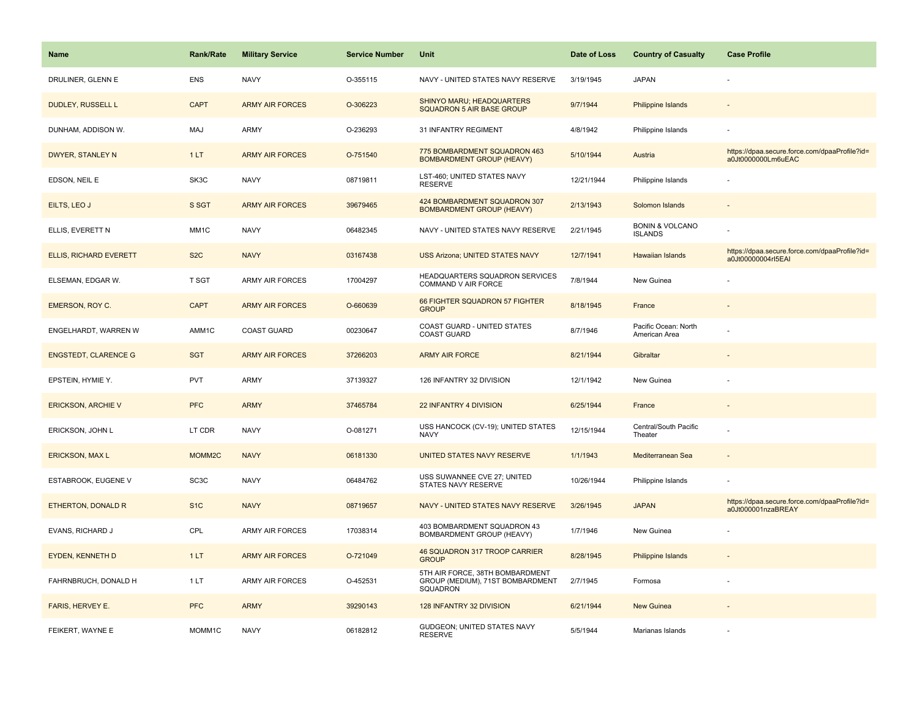| <b>Name</b>                   | Rank/Rate          | <b>Military Service</b> | <b>Service Number</b> | Unit                                                                            | Date of Loss | <b>Country of Casualty</b>                   | <b>Case Profile</b>                                                 |
|-------------------------------|--------------------|-------------------------|-----------------------|---------------------------------------------------------------------------------|--------------|----------------------------------------------|---------------------------------------------------------------------|
| DRULINER, GLENN E             | <b>ENS</b>         | <b>NAVY</b>             | O-355115              | NAVY - UNITED STATES NAVY RESERVE                                               | 3/19/1945    | <b>JAPAN</b>                                 |                                                                     |
| <b>DUDLEY, RUSSELL L</b>      | <b>CAPT</b>        | <b>ARMY AIR FORCES</b>  | O-306223              | SHINYO MARU; HEADQUARTERS<br>SQUADRON 5 AIR BASE GROUP                          | 9/7/1944     | <b>Philippine Islands</b>                    |                                                                     |
| DUNHAM, ADDISON W.            | MAJ                | <b>ARMY</b>             | O-236293              | 31 INFANTRY REGIMENT                                                            | 4/8/1942     | Philippine Islands                           |                                                                     |
| DWYER, STANLEY N              | 1LT                | <b>ARMY AIR FORCES</b>  | O-751540              | 775 BOMBARDMENT SQUADRON 463<br><b>BOMBARDMENT GROUP (HEAVY)</b>                | 5/10/1944    | Austria                                      | https://dpaa.secure.force.com/dpaaProfile?id=<br>a0Jt0000000Lm6uEAC |
| EDSON, NEIL E                 | SK3C               | <b>NAVY</b>             | 08719811              | LST-460; UNITED STATES NAVY<br><b>RESERVE</b>                                   | 12/21/1944   | Philippine Islands                           |                                                                     |
| EILTS, LEO J                  | S SGT              | <b>ARMY AIR FORCES</b>  | 39679465              | 424 BOMBARDMENT SQUADRON 307<br><b>BOMBARDMENT GROUP (HEAVY)</b>                | 2/13/1943    | Solomon Islands                              |                                                                     |
| ELLIS, EVERETT N              | MM1C               | <b>NAVY</b>             | 06482345              | NAVY - UNITED STATES NAVY RESERVE                                               | 2/21/1945    | <b>BONIN &amp; VOLCANO</b><br><b>ISLANDS</b> |                                                                     |
| <b>ELLIS, RICHARD EVERETT</b> | S <sub>2</sub> C   | <b>NAVY</b>             | 03167438              | <b>USS Arizona; UNITED STATES NAVY</b>                                          | 12/7/1941    | Hawaiian Islands                             | https://dpaa.secure.force.com/dpaaProfile?id=<br>a0Jt00000004rl5EAI |
| ELSEMAN, EDGAR W.             | T SGT              | <b>ARMY AIR FORCES</b>  | 17004297              | HEADQUARTERS SQUADRON SERVICES<br>COMMAND V AIR FORCE                           | 7/8/1944     | New Guinea                                   |                                                                     |
| EMERSON, ROY C.               | <b>CAPT</b>        | <b>ARMY AIR FORCES</b>  | O-660639              | 66 FIGHTER SQUADRON 57 FIGHTER<br><b>GROUP</b>                                  | 8/18/1945    | France                                       |                                                                     |
| ENGELHARDT, WARREN W          | AMM1C              | <b>COAST GUARD</b>      | 00230647              | COAST GUARD - UNITED STATES<br><b>COAST GUARD</b>                               | 8/7/1946     | Pacific Ocean: North<br>American Area        |                                                                     |
| <b>ENGSTEDT, CLARENCE G</b>   | <b>SGT</b>         | <b>ARMY AIR FORCES</b>  | 37266203              | <b>ARMY AIR FORCE</b>                                                           | 8/21/1944    | Gibraltar                                    | $\overline{\phantom{a}}$                                            |
| EPSTEIN, HYMIE Y.             | <b>PVT</b>         | <b>ARMY</b>             | 37139327              | 126 INFANTRY 32 DIVISION                                                        | 12/1/1942    | New Guinea                                   |                                                                     |
| <b>ERICKSON, ARCHIE V</b>     | <b>PFC</b>         | <b>ARMY</b>             | 37465784              | 22 INFANTRY 4 DIVISION                                                          | 6/25/1944    | France                                       | $\overline{a}$                                                      |
| ERICKSON, JOHN L              | LT CDR             | <b>NAVY</b>             | O-081271              | USS HANCOCK (CV-19); UNITED STATES<br><b>NAVY</b>                               | 12/15/1944   | Central/South Pacific<br>Theater             |                                                                     |
| <b>ERICKSON, MAXL</b>         | MOMM <sub>2C</sub> | <b>NAVY</b>             | 06181330              | UNITED STATES NAVY RESERVE                                                      | 1/1/1943     | Mediterranean Sea                            |                                                                     |
| ESTABROOK, EUGENE V           | SC <sub>3</sub> C  | <b>NAVY</b>             | 06484762              | USS SUWANNEE CVE 27; UNITED<br>STATES NAVY RESERVE                              | 10/26/1944   | Philippine Islands                           |                                                                     |
| ETHERTON, DONALD R            | S <sub>1</sub> C   | <b>NAVY</b>             | 08719657              | NAVY - UNITED STATES NAVY RESERVE                                               | 3/26/1945    | <b>JAPAN</b>                                 | https://dpaa.secure.force.com/dpaaProfile?id=<br>a0Jt000001nzaBREAY |
| EVANS, RICHARD J              | CPL                | <b>ARMY AIR FORCES</b>  | 17038314              | 403 BOMBARDMENT SQUADRON 43<br>BOMBARDMENT GROUP (HEAVY)                        | 1/7/1946     | New Guinea                                   |                                                                     |
| <b>EYDEN, KENNETH D</b>       | 1LT                | <b>ARMY AIR FORCES</b>  | O-721049              | 46 SQUADRON 317 TROOP CARRIER<br><b>GROUP</b>                                   | 8/28/1945    | Philippine Islands                           |                                                                     |
| FAHRNBRUCH, DONALD H          | 1 LT               | <b>ARMY AIR FORCES</b>  | O-452531              | 5TH AIR FORCE, 38TH BOMBARDMENT<br>GROUP (MEDIUM), 71ST BOMBARDMENT<br>SQUADRON | 2/7/1945     | Formosa                                      |                                                                     |
| FARIS, HERVEY E.              | <b>PFC</b>         | <b>ARMY</b>             | 39290143              | 128 INFANTRY 32 DIVISION                                                        | 6/21/1944    | <b>New Guinea</b>                            |                                                                     |
| FEIKERT, WAYNE E              | MOMM1C             | <b>NAVY</b>             | 06182812              | GUDGEON; UNITED STATES NAVY<br><b>RESERVE</b>                                   | 5/5/1944     | Marianas Islands                             |                                                                     |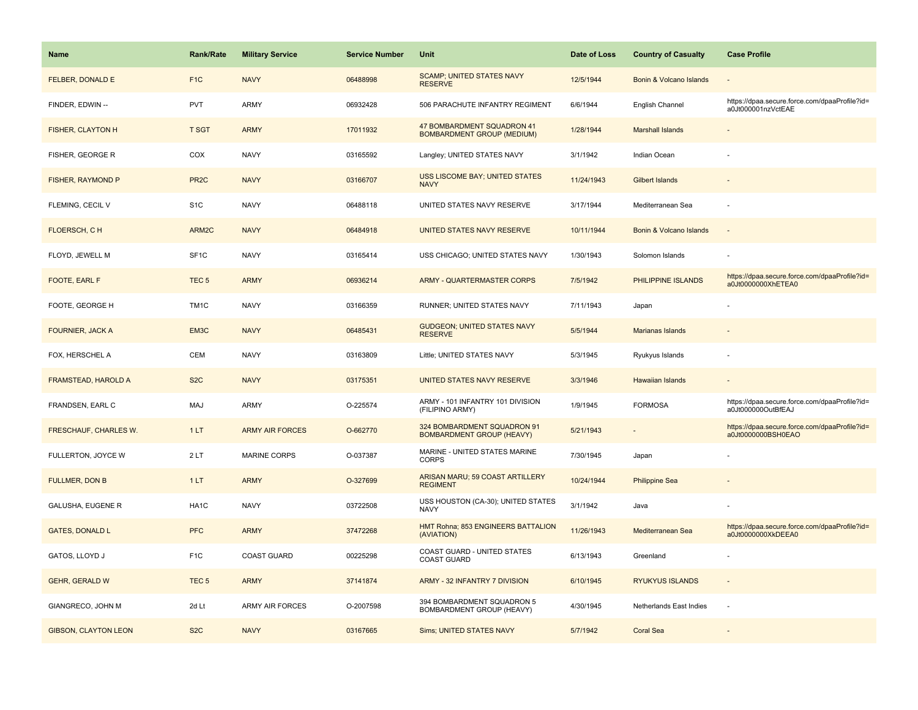| <b>Name</b>                  | <b>Rank/Rate</b>  | <b>Military Service</b> | <b>Service Number</b> | Unit                                                            | Date of Loss | <b>Country of Casualty</b> | <b>Case Profile</b>                                                 |
|------------------------------|-------------------|-------------------------|-----------------------|-----------------------------------------------------------------|--------------|----------------------------|---------------------------------------------------------------------|
| FELBER, DONALD E             | F <sub>1</sub> C  | <b>NAVY</b>             | 06488998              | <b>SCAMP; UNITED STATES NAVY</b><br><b>RESERVE</b>              | 12/5/1944    | Bonin & Volcano Islands    |                                                                     |
| FINDER, EDWIN --             | <b>PVT</b>        | ARMY                    | 06932428              | 506 PARACHUTE INFANTRY REGIMENT                                 | 6/6/1944     | English Channel            | https://dpaa.secure.force.com/dpaaProfile?id=<br>a0Jt000001nzVctEAE |
| <b>FISHER, CLAYTON H</b>     | <b>T SGT</b>      | <b>ARMY</b>             | 17011932              | 47 BOMBARDMENT SQUADRON 41<br><b>BOMBARDMENT GROUP (MEDIUM)</b> | 1/28/1944    | <b>Marshall Islands</b>    |                                                                     |
| FISHER, GEORGE R             | COX               | <b>NAVY</b>             | 03165592              | Langley; UNITED STATES NAVY                                     | 3/1/1942     | Indian Ocean               |                                                                     |
| FISHER, RAYMOND P            | PR <sub>2C</sub>  | <b>NAVY</b>             | 03166707              | <b>USS LISCOME BAY; UNITED STATES</b><br><b>NAVY</b>            | 11/24/1943   | <b>Gilbert Islands</b>     |                                                                     |
| FLEMING, CECIL V             | S <sub>1</sub> C  | <b>NAVY</b>             | 06488118              | UNITED STATES NAVY RESERVE                                      | 3/17/1944    | Mediterranean Sea          |                                                                     |
| FLOERSCH, CH                 | ARM2C             | <b>NAVY</b>             | 06484918              | UNITED STATES NAVY RESERVE                                      | 10/11/1944   | Bonin & Volcano Islands    | $\sim$                                                              |
| FLOYD, JEWELL M              | SF <sub>1</sub> C | <b>NAVY</b>             | 03165414              | USS CHICAGO; UNITED STATES NAVY                                 | 1/30/1943    | Solomon Islands            |                                                                     |
| FOOTE, EARL F                | TEC <sub>5</sub>  | <b>ARMY</b>             | 06936214              | <b>ARMY - QUARTERMASTER CORPS</b>                               | 7/5/1942     | PHILIPPINE ISLANDS         | https://dpaa.secure.force.com/dpaaProfile?id=<br>a0Jt0000000XhETEA0 |
| FOOTE, GEORGE H              | TM1C              | <b>NAVY</b>             | 03166359              | RUNNER; UNITED STATES NAVY                                      | 7/11/1943    | Japan                      |                                                                     |
| <b>FOURNIER, JACK A</b>      | EM3C              | <b>NAVY</b>             | 06485431              | <b>GUDGEON: UNITED STATES NAVY</b><br><b>RESERVE</b>            | 5/5/1944     | Marianas Islands           |                                                                     |
| FOX, HERSCHEL A              | CEM               | <b>NAVY</b>             | 03163809              | Little; UNITED STATES NAVY                                      | 5/3/1945     | Ryukyus Islands            |                                                                     |
| <b>FRAMSTEAD, HAROLD A</b>   | S <sub>2</sub> C  | <b>NAVY</b>             | 03175351              | UNITED STATES NAVY RESERVE                                      | 3/3/1946     | <b>Hawaiian Islands</b>    |                                                                     |
| FRANDSEN, EARL C             | MAJ               | ARMY                    | O-225574              | ARMY - 101 INFANTRY 101 DIVISION<br>(FILIPINO ARMY)             | 1/9/1945     | <b>FORMOSA</b>             | https://dpaa.secure.force.com/dpaaProfile?id=<br>a0Jt000000OutBfEAJ |
| <b>FRESCHAUF, CHARLES W.</b> | 1LT               | <b>ARMY AIR FORCES</b>  | O-662770              | 324 BOMBARDMENT SQUADRON 91<br><b>BOMBARDMENT GROUP (HEAVY)</b> | 5/21/1943    | $\overline{\phantom{a}}$   | https://dpaa.secure.force.com/dpaaProfile?id=<br>a0Jt0000000BSH0EAO |
| FULLERTON, JOYCE W           | 2LT               | MARINE CORPS            | O-037387              | MARINE - UNITED STATES MARINE<br><b>CORPS</b>                   | 7/30/1945    | Japan                      |                                                                     |
| <b>FULLMER, DON B</b>        | 1LT               | <b>ARMY</b>             | O-327699              | ARISAN MARU; 59 COAST ARTILLERY<br><b>REGIMENT</b>              | 10/24/1944   | <b>Philippine Sea</b>      |                                                                     |
| <b>GALUSHA, EUGENE R</b>     | HA1C              | <b>NAVY</b>             | 03722508              | USS HOUSTON (CA-30); UNITED STATES<br><b>NAVY</b>               | 3/1/1942     | Java                       |                                                                     |
| <b>GATES, DONALD L</b>       | <b>PFC</b>        | <b>ARMY</b>             | 37472268              | HMT Rohna; 853 ENGINEERS BATTALION<br>(AVIATION)                | 11/26/1943   | Mediterranean Sea          | https://dpaa.secure.force.com/dpaaProfile?id=<br>a0Jt0000000XkDEEA0 |
| GATOS, LLOYD J               | F <sub>1</sub> C  | <b>COAST GUARD</b>      | 00225298              | COAST GUARD - UNITED STATES<br><b>COAST GUARD</b>               | 6/13/1943    | Greenland                  |                                                                     |
| <b>GEHR, GERALD W</b>        | TEC <sub>5</sub>  | <b>ARMY</b>             | 37141874              | ARMY - 32 INFANTRY 7 DIVISION                                   | 6/10/1945    | <b>RYUKYUS ISLANDS</b>     |                                                                     |
| GIANGRECO, JOHN M            | 2d Lt             | <b>ARMY AIR FORCES</b>  | O-2007598             | 394 BOMBARDMENT SQUADRON 5<br>BOMBARDMENT GROUP (HEAVY)         | 4/30/1945    | Netherlands East Indies    |                                                                     |
| <b>GIBSON, CLAYTON LEON</b>  | S <sub>2</sub> C  | <b>NAVY</b>             | 03167665              | <b>Sims; UNITED STATES NAVY</b>                                 | 5/7/1942     | <b>Coral Sea</b>           |                                                                     |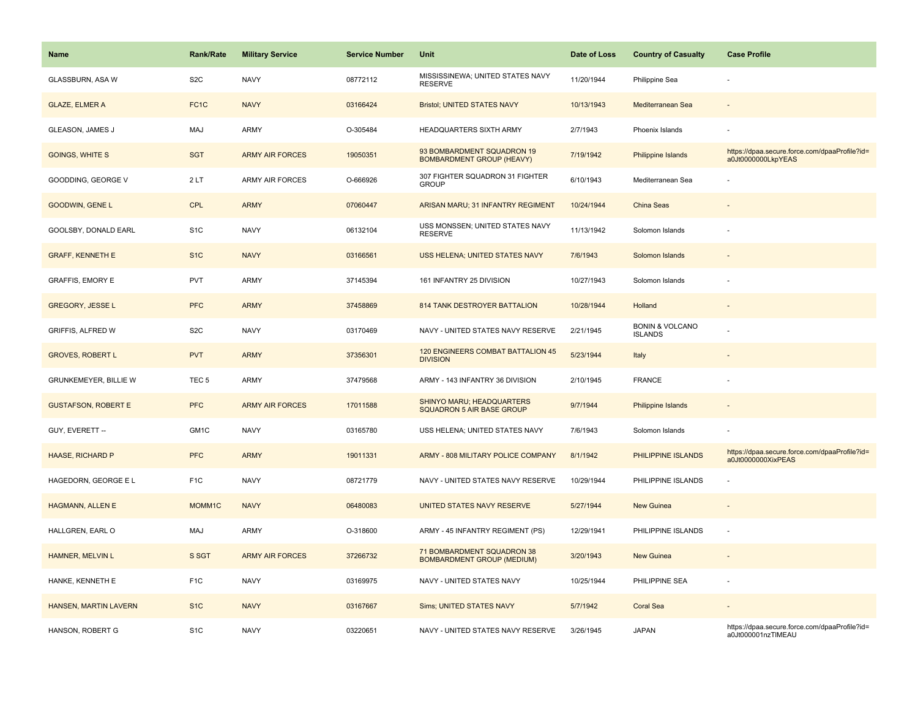| Name                       | <b>Rank/Rate</b>  | <b>Military Service</b> | <b>Service Number</b> | Unit                                                            | Date of Loss | <b>Country of Casualty</b>                   | <b>Case Profile</b>                                                 |
|----------------------------|-------------------|-------------------------|-----------------------|-----------------------------------------------------------------|--------------|----------------------------------------------|---------------------------------------------------------------------|
| GLASSBURN, ASA W           | S <sub>2</sub> C  | <b>NAVY</b>             | 08772112              | MISSISSINEWA; UNITED STATES NAVY<br>RESERVE                     | 11/20/1944   | Philippine Sea                               |                                                                     |
| <b>GLAZE, ELMER A</b>      | FC <sub>1</sub> C | <b>NAVY</b>             | 03166424              | <b>Bristol; UNITED STATES NAVY</b>                              | 10/13/1943   | Mediterranean Sea                            |                                                                     |
| GLEASON, JAMES J           | <b>MAJ</b>        | <b>ARMY</b>             | O-305484              | HEADQUARTERS SIXTH ARMY                                         | 2/7/1943     | Phoenix Islands                              |                                                                     |
| <b>GOINGS, WHITE S</b>     | <b>SGT</b>        | <b>ARMY AIR FORCES</b>  | 19050351              | 93 BOMBARDMENT SQUADRON 19<br><b>BOMBARDMENT GROUP (HEAVY)</b>  | 7/19/1942    | <b>Philippine Islands</b>                    | https://dpaa.secure.force.com/dpaaProfile?id=<br>a0Jt0000000LkpYEAS |
| GOODDING, GEORGE V         | 2LT               | <b>ARMY AIR FORCES</b>  | O-666926              | 307 FIGHTER SQUADRON 31 FIGHTER<br><b>GROUP</b>                 | 6/10/1943    | Mediterranean Sea                            |                                                                     |
| GOODWIN, GENE L            | <b>CPL</b>        | <b>ARMY</b>             | 07060447              | ARISAN MARU; 31 INFANTRY REGIMENT                               | 10/24/1944   | China Seas                                   |                                                                     |
| GOOLSBY, DONALD EARL       | S <sub>1</sub> C  | <b>NAVY</b>             | 06132104              | USS MONSSEN; UNITED STATES NAVY<br><b>RESERVE</b>               | 11/13/1942   | Solomon Islands                              |                                                                     |
| <b>GRAFF, KENNETH E</b>    | S <sub>1C</sub>   | <b>NAVY</b>             | 03166561              | USS HELENA; UNITED STATES NAVY                                  | 7/6/1943     | Solomon Islands                              |                                                                     |
| <b>GRAFFIS, EMORY E</b>    | PVT               | ARMY                    | 37145394              | 161 INFANTRY 25 DIVISION                                        | 10/27/1943   | Solomon Islands                              | ÷,                                                                  |
| <b>GREGORY, JESSE L</b>    | <b>PFC</b>        | <b>ARMY</b>             | 37458869              | 814 TANK DESTROYER BATTALION                                    | 10/28/1944   | Holland                                      |                                                                     |
| GRIFFIS, ALFRED W          | S <sub>2</sub> C  | <b>NAVY</b>             | 03170469              | NAVY - UNITED STATES NAVY RESERVE                               | 2/21/1945    | <b>BONIN &amp; VOLCANO</b><br><b>ISLANDS</b> |                                                                     |
| <b>GROVES, ROBERT L</b>    | <b>PVT</b>        | <b>ARMY</b>             | 37356301              | 120 ENGINEERS COMBAT BATTALION 45<br><b>DIVISION</b>            | 5/23/1944    | Italy                                        |                                                                     |
| GRUNKEMEYER, BILLIE W      | TEC <sub>5</sub>  | <b>ARMY</b>             | 37479568              | ARMY - 143 INFANTRY 36 DIVISION                                 | 2/10/1945    | <b>FRANCE</b>                                |                                                                     |
| <b>GUSTAFSON, ROBERT E</b> | <b>PFC</b>        | <b>ARMY AIR FORCES</b>  | 17011588              | SHINYO MARU; HEADQUARTERS<br><b>SQUADRON 5 AIR BASE GROUP</b>   | 9/7/1944     | Philippine Islands                           | $\overline{\phantom{a}}$                                            |
| GUY, EVERETT --            | GM1C              | <b>NAVY</b>             | 03165780              | USS HELENA; UNITED STATES NAVY                                  | 7/6/1943     | Solomon Islands                              |                                                                     |
| <b>HAASE, RICHARD P</b>    | <b>PFC</b>        | <b>ARMY</b>             | 19011331              | ARMY - 808 MILITARY POLICE COMPANY                              | 8/1/1942     | PHILIPPINE ISLANDS                           | https://dpaa.secure.force.com/dpaaProfile?id=<br>a0Jt0000000XixPEAS |
| HAGEDORN, GEORGE E L       | F <sub>1</sub> C  | <b>NAVY</b>             | 08721779              | NAVY - UNITED STATES NAVY RESERVE                               | 10/29/1944   | PHILIPPINE ISLANDS                           |                                                                     |
| <b>HAGMANN, ALLEN E</b>    | MOMM1C            | <b>NAVY</b>             | 06480083              | UNITED STATES NAVY RESERVE                                      | 5/27/1944    | New Guinea                                   |                                                                     |
| HALLGREN, EARL O           | <b>MAJ</b>        | <b>ARMY</b>             | O-318600              | ARMY - 45 INFANTRY REGIMENT (PS)                                | 12/29/1941   | PHILIPPINE ISLANDS                           | ÷,                                                                  |
| HAMNER, MELVIN L           | S SGT             | <b>ARMY AIR FORCES</b>  | 37266732              | 71 BOMBARDMENT SQUADRON 38<br><b>BOMBARDMENT GROUP (MEDIUM)</b> | 3/20/1943    | <b>New Guinea</b>                            |                                                                     |
| HANKE, KENNETH E           | F <sub>1</sub> C  | <b>NAVY</b>             | 03169975              | NAVY - UNITED STATES NAVY                                       | 10/25/1944   | PHILIPPINE SEA                               |                                                                     |
| HANSEN, MARTIN LAVERN      | S <sub>1</sub> C  | <b>NAVY</b>             | 03167667              | <b>Sims; UNITED STATES NAVY</b>                                 | 5/7/1942     | Coral Sea                                    |                                                                     |
| HANSON, ROBERT G           | S <sub>1</sub> C  | <b>NAVY</b>             | 03220651              | NAVY - UNITED STATES NAVY RESERVE                               | 3/26/1945    | <b>JAPAN</b>                                 | https://dpaa.secure.force.com/dpaaProfile?id=<br>a0Jt000001nzTIMEAU |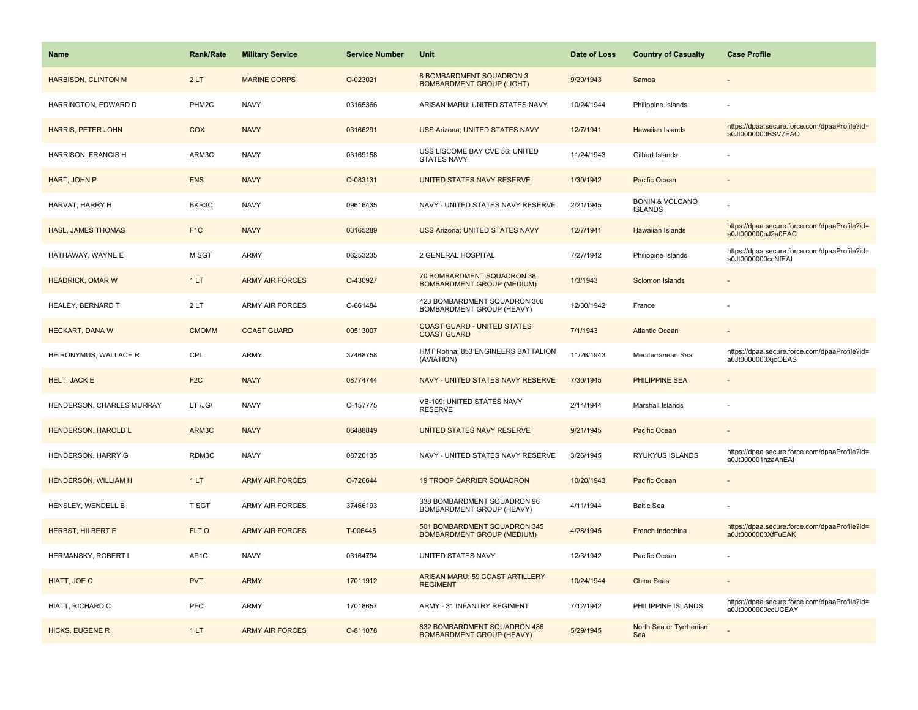| <b>Name</b>                 | <b>Rank/Rate</b>  | <b>Military Service</b> | <b>Service Number</b> | Unit                                                              | Date of Loss | <b>Country of Casualty</b>                   | <b>Case Profile</b>                                                 |
|-----------------------------|-------------------|-------------------------|-----------------------|-------------------------------------------------------------------|--------------|----------------------------------------------|---------------------------------------------------------------------|
| <b>HARBISON, CLINTON M</b>  | 2LT               | <b>MARINE CORPS</b>     | O-023021              | 8 BOMBARDMENT SQUADRON 3<br><b>BOMBARDMENT GROUP (LIGHT)</b>      | 9/20/1943    | Samoa                                        |                                                                     |
| HARRINGTON, EDWARD D        | PHM <sub>2C</sub> | <b>NAVY</b>             | 03165366              | ARISAN MARU; UNITED STATES NAVY                                   | 10/24/1944   | Philippine Islands                           |                                                                     |
| <b>HARRIS, PETER JOHN</b>   | COX               | <b>NAVY</b>             | 03166291              | <b>USS Arizona; UNITED STATES NAVY</b>                            | 12/7/1941    | Hawaiian Islands                             | https://dpaa.secure.force.com/dpaaProfile?id=<br>a0Jt0000000BSV7EAO |
| HARRISON, FRANCIS H         | ARM3C             | <b>NAVY</b>             | 03169158              | USS LISCOME BAY CVE 56; UNITED<br><b>STATES NAVY</b>              | 11/24/1943   | Gilbert Islands                              |                                                                     |
| HART, JOHN P                | <b>ENS</b>        | <b>NAVY</b>             | O-083131              | UNITED STATES NAVY RESERVE                                        | 1/30/1942    | Pacific Ocean                                |                                                                     |
| HARVAT, HARRY H             | BKR3C             | <b>NAVY</b>             | 09616435              | NAVY - UNITED STATES NAVY RESERVE                                 | 2/21/1945    | <b>BONIN &amp; VOLCANO</b><br><b>ISLANDS</b> |                                                                     |
| <b>HASL, JAMES THOMAS</b>   | F <sub>1</sub> C  | <b>NAVY</b>             | 03165289              | <b>USS Arizona: UNITED STATES NAVY</b>                            | 12/7/1941    | <b>Hawaiian Islands</b>                      | https://dpaa.secure.force.com/dpaaProfile?id=<br>a0Jt000000nJ2a0EAC |
| HATHAWAY, WAYNE E           | M SGT             | ARMY                    | 06253235              | 2 GENERAL HOSPITAL                                                | 7/27/1942    | Philippine Islands                           | https://dpaa.secure.force.com/dpaaProfile?id=<br>a0Jt0000000ccNfEAI |
| <b>HEADRICK, OMAR W</b>     | 1LT               | <b>ARMY AIR FORCES</b>  | O-430927              | 70 BOMBARDMENT SQUADRON 38<br><b>BOMBARDMENT GROUP (MEDIUM)</b>   | 1/3/1943     | Solomon Islands                              |                                                                     |
| HEALEY, BERNARD T           | 2LT               | <b>ARMY AIR FORCES</b>  | O-661484              | 423 BOMBARDMENT SQUADRON 306<br>BOMBARDMENT GROUP (HEAVY)         | 12/30/1942   | France                                       |                                                                     |
| <b>HECKART, DANA W</b>      | <b>CMOMM</b>      | <b>COAST GUARD</b>      | 00513007              | <b>COAST GUARD - UNITED STATES</b><br><b>COAST GUARD</b>          | 7/1/1943     | <b>Atlantic Ocean</b>                        |                                                                     |
| HEIRONYMUS, WALLACE R       | CPL               | <b>ARMY</b>             | 37468758              | HMT Rohna; 853 ENGINEERS BATTALION<br>(AVIATION)                  | 11/26/1943   | Mediterranean Sea                            | https://dpaa.secure.force.com/dpaaProfile?id=<br>a0Jt0000000XjoOEAS |
| <b>HELT, JACK E</b>         | F <sub>2C</sub>   | <b>NAVY</b>             | 08774744              | NAVY - UNITED STATES NAVY RESERVE                                 | 7/30/1945    | <b>PHILIPPINE SEA</b>                        |                                                                     |
| HENDERSON, CHARLES MURRAY   | LT /JG/           | <b>NAVY</b>             | O-157775              | VB-109; UNITED STATES NAVY<br><b>RESERVE</b>                      | 2/14/1944    | Marshall Islands                             |                                                                     |
| <b>HENDERSON, HAROLD L</b>  | ARM3C             | <b>NAVY</b>             | 06488849              | UNITED STATES NAVY RESERVE                                        | 9/21/1945    | Pacific Ocean                                |                                                                     |
| HENDERSON, HARRY G          | RDM3C             | <b>NAVY</b>             | 08720135              | NAVY - UNITED STATES NAVY RESERVE                                 | 3/26/1945    | RYUKYUS ISLANDS                              | https://dpaa.secure.force.com/dpaaProfile?id=<br>a0Jt000001nzaAnEAI |
| <b>HENDERSON, WILLIAM H</b> | 1LT               | <b>ARMY AIR FORCES</b>  | O-726644              | <b>19 TROOP CARRIER SQUADRON</b>                                  | 10/20/1943   | <b>Pacific Ocean</b>                         |                                                                     |
| HENSLEY, WENDELL B          | <b>T SGT</b>      | ARMY AIR FORCES         | 37466193              | 338 BOMBARDMENT SQUADRON 96<br>BOMBARDMENT GROUP (HEAVY)          | 4/11/1944    | <b>Baltic Sea</b>                            |                                                                     |
| HERBST, HILBERT E           | FLT O             | <b>ARMY AIR FORCES</b>  | T-006445              | 501 BOMBARDMENT SQUADRON 345<br><b>BOMBARDMENT GROUP (MEDIUM)</b> | 4/28/1945    | French Indochina                             | https://dpaa.secure.force.com/dpaaProfile?id=<br>a0Jt0000000XfFuEAK |
| HERMANSKY, ROBERT L         | AP <sub>1</sub> C | <b>NAVY</b>             | 03164794              | UNITED STATES NAVY                                                | 12/3/1942    | Pacific Ocean                                |                                                                     |
| HIATT, JOE C                | <b>PVT</b>        | <b>ARMY</b>             | 17011912              | ARISAN MARU; 59 COAST ARTILLERY<br><b>REGIMENT</b>                | 10/24/1944   | <b>China Seas</b>                            |                                                                     |
| HIATT, RICHARD C            | <b>PFC</b>        | <b>ARMY</b>             | 17018657              | ARMY - 31 INFANTRY REGIMENT                                       | 7/12/1942    | PHILIPPINE ISLANDS                           | https://dpaa.secure.force.com/dpaaProfile?id=<br>a0Jt0000000ccUCEAY |
| <b>HICKS, EUGENE R</b>      | 1LT               | <b>ARMY AIR FORCES</b>  | O-811078              | 832 BOMBARDMENT SQUADRON 486<br><b>BOMBARDMENT GROUP (HEAVY)</b>  | 5/29/1945    | North Sea or Tyrrhenian<br>Sea               |                                                                     |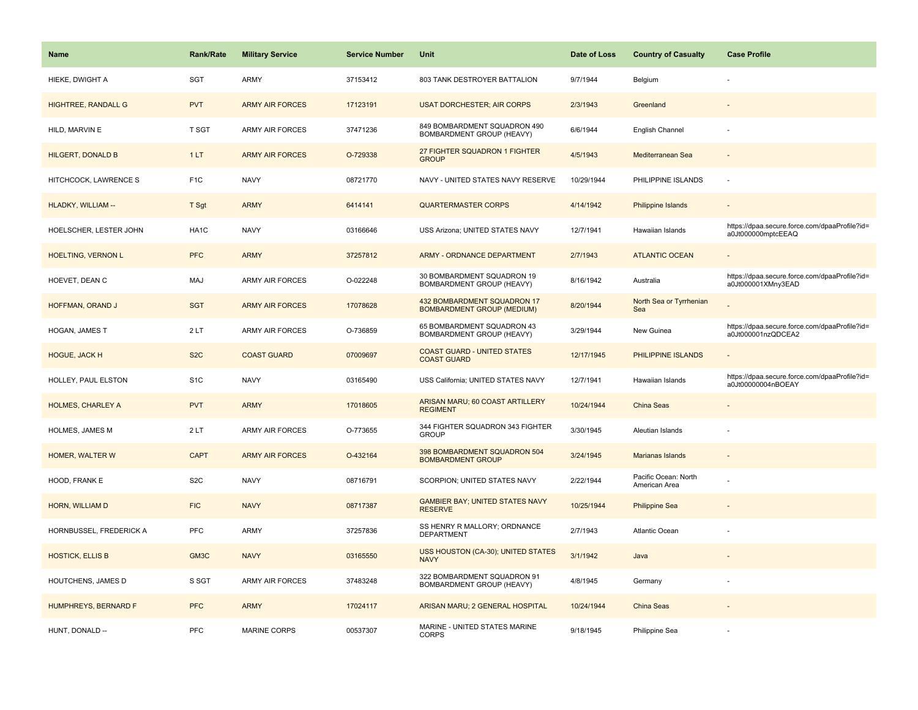| <b>Name</b>                | <b>Rank/Rate</b>  | <b>Military Service</b> | <b>Service Number</b> | Unit                                                             | Date of Loss | <b>Country of Casualty</b>            | <b>Case Profile</b>                                                 |
|----------------------------|-------------------|-------------------------|-----------------------|------------------------------------------------------------------|--------------|---------------------------------------|---------------------------------------------------------------------|
| HIEKE, DWIGHT A            | SGT               | <b>ARMY</b>             | 37153412              | 803 TANK DESTROYER BATTALION                                     | 9/7/1944     | Belgium                               |                                                                     |
| <b>HIGHTREE, RANDALL G</b> | <b>PVT</b>        | <b>ARMY AIR FORCES</b>  | 17123191              | <b>USAT DORCHESTER; AIR CORPS</b>                                | 2/3/1943     | Greenland                             |                                                                     |
| HILD, MARVIN E             | T SGT             | <b>ARMY AIR FORCES</b>  | 37471236              | 849 BOMBARDMENT SQUADRON 490<br>BOMBARDMENT GROUP (HEAVY)        | 6/6/1944     | English Channel                       |                                                                     |
| <b>HILGERT, DONALD B</b>   | 1LT               | <b>ARMY AIR FORCES</b>  | O-729338              | 27 FIGHTER SQUADRON 1 FIGHTER<br><b>GROUP</b>                    | 4/5/1943     | Mediterranean Sea                     |                                                                     |
| HITCHCOCK, LAWRENCE S      | F <sub>1</sub> C  | <b>NAVY</b>             | 08721770              | NAVY - UNITED STATES NAVY RESERVE                                | 10/29/1944   | PHILIPPINE ISLANDS                    |                                                                     |
| HLADKY, WILLIAM --         | T Sgt             | <b>ARMY</b>             | 6414141               | <b>QUARTERMASTER CORPS</b>                                       | 4/14/1942    | <b>Philippine Islands</b>             |                                                                     |
| HOELSCHER, LESTER JOHN     | HA <sub>1</sub> C | <b>NAVY</b>             | 03166646              | USS Arizona; UNITED STATES NAVY                                  | 12/7/1941    | Hawaiian Islands                      | https://dpaa.secure.force.com/dpaaProfile?id=<br>a0Jt000000mptcEEAQ |
| <b>HOELTING, VERNON L</b>  | <b>PFC</b>        | <b>ARMY</b>             | 37257812              | <b>ARMY - ORDNANCE DEPARTMENT</b>                                | 2/7/1943     | <b>ATLANTIC OCEAN</b>                 |                                                                     |
| HOEVET, DEAN C             | MAJ               | <b>ARMY AIR FORCES</b>  | O-022248              | 30 BOMBARDMENT SQUADRON 19<br>BOMBARDMENT GROUP (HEAVY)          | 8/16/1942    | Australia                             | https://dpaa.secure.force.com/dpaaProfile?id=<br>a0Jt000001XMny3EAD |
| HOFFMAN, ORAND J           | <b>SGT</b>        | <b>ARMY AIR FORCES</b>  | 17078628              | 432 BOMBARDMENT SQUADRON 17<br><b>BOMBARDMENT GROUP (MEDIUM)</b> | 8/20/1944    | North Sea or Tyrrhenian<br>Sea        |                                                                     |
| HOGAN, JAMES T             | 2LT               | <b>ARMY AIR FORCES</b>  | O-736859              | 65 BOMBARDMENT SQUADRON 43<br>BOMBARDMENT GROUP (HEAVY)          | 3/29/1944    | New Guinea                            | https://dpaa.secure.force.com/dpaaProfile?id=<br>a0Jt000001nzQDCEA2 |
| <b>HOGUE, JACK H</b>       | S <sub>2</sub> C  | <b>COAST GUARD</b>      | 07009697              | <b>COAST GUARD - UNITED STATES</b><br><b>COAST GUARD</b>         | 12/17/1945   | PHILIPPINE ISLANDS                    |                                                                     |
| HOLLEY, PAUL ELSTON        | S <sub>1</sub> C  | <b>NAVY</b>             | 03165490              | USS California; UNITED STATES NAVY                               | 12/7/1941    | Hawaiian Islands                      | https://dpaa.secure.force.com/dpaaProfile?id=<br>a0Jt00000004nBOEAY |
| <b>HOLMES, CHARLEY A</b>   | <b>PVT</b>        | <b>ARMY</b>             | 17018605              | ARISAN MARU; 60 COAST ARTILLERY<br><b>REGIMENT</b>               | 10/24/1944   | China Seas                            |                                                                     |
| HOLMES, JAMES M            | 2LT               | <b>ARMY AIR FORCES</b>  | O-773655              | 344 FIGHTER SQUADRON 343 FIGHTER<br><b>GROUP</b>                 | 3/30/1945    | Aleutian Islands                      |                                                                     |
| HOMER, WALTER W            | <b>CAPT</b>       | <b>ARMY AIR FORCES</b>  | O-432164              | 398 BOMBARDMENT SQUADRON 504<br><b>BOMBARDMENT GROUP</b>         | 3/24/1945    | Marianas Islands                      |                                                                     |
| HOOD, FRANK E              | S <sub>2</sub> C  | <b>NAVY</b>             | 08716791              | SCORPION; UNITED STATES NAVY                                     | 2/22/1944    | Pacific Ocean: North<br>American Area |                                                                     |
| HORN, WILLIAM D            | <b>FIC</b>        | <b>NAVY</b>             | 08717387              | <b>GAMBIER BAY; UNITED STATES NAVY</b><br><b>RESERVE</b>         | 10/25/1944   | <b>Philippine Sea</b>                 |                                                                     |
| HORNBUSSEL, FREDERICK A    | <b>PFC</b>        | <b>ARMY</b>             | 37257836              | SS HENRY R MALLORY; ORDNANCE<br><b>DEPARTMENT</b>                | 2/7/1943     | Atlantic Ocean                        |                                                                     |
| <b>HOSTICK, ELLIS B</b>    | GM3C              | <b>NAVY</b>             | 03165550              | USS HOUSTON (CA-30); UNITED STATES<br><b>NAVY</b>                | 3/1/1942     | Java                                  |                                                                     |
| HOUTCHENS, JAMES D         | S SGT             | <b>ARMY AIR FORCES</b>  | 37483248              | 322 BOMBARDMENT SQUADRON 91<br>BOMBARDMENT GROUP (HEAVY)         | 4/8/1945     | Germany                               |                                                                     |
| HUMPHREYS, BERNARD F       | <b>PFC</b>        | <b>ARMY</b>             | 17024117              | ARISAN MARU; 2 GENERAL HOSPITAL                                  | 10/24/1944   | China Seas                            |                                                                     |
| HUNT, DONALD --            | PFC               | MARINE CORPS            | 00537307              | MARINE - UNITED STATES MARINE<br><b>CORPS</b>                    | 9/18/1945    | Philippine Sea                        |                                                                     |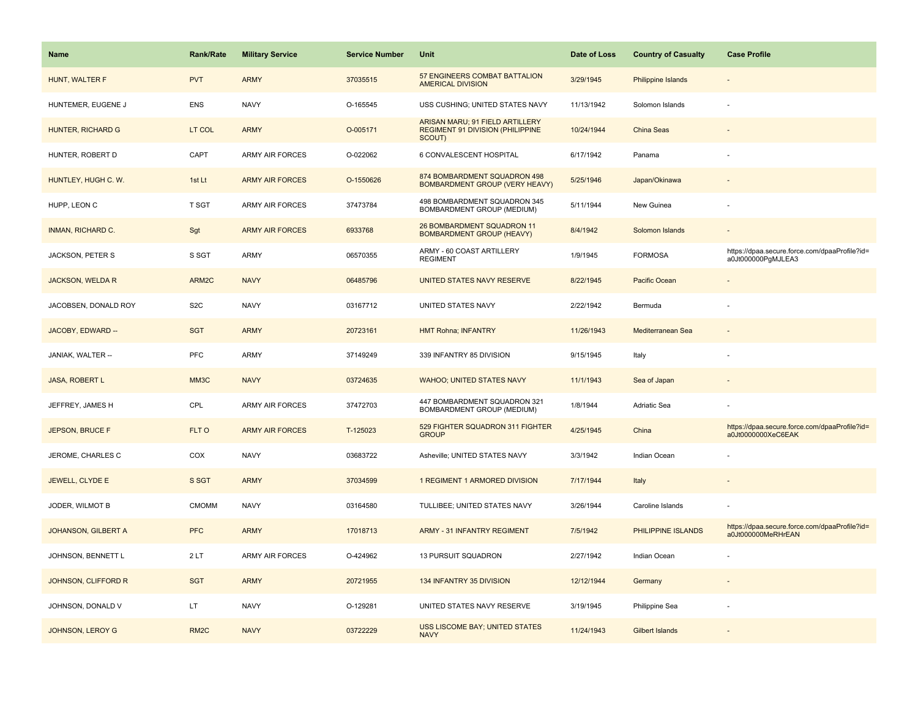| <b>Name</b>                | <b>Rank/Rate</b>  | <b>Military Service</b> | <b>Service Number</b> | Unit                                                                          | Date of Loss | <b>Country of Casualty</b> | <b>Case Profile</b>                                                 |
|----------------------------|-------------------|-------------------------|-----------------------|-------------------------------------------------------------------------------|--------------|----------------------------|---------------------------------------------------------------------|
| HUNT, WALTER F             | <b>PVT</b>        | <b>ARMY</b>             | 37035515              | 57 ENGINEERS COMBAT BATTALION<br><b>AMERICAL DIVISION</b>                     | 3/29/1945    | <b>Philippine Islands</b>  |                                                                     |
| HUNTEMER, EUGENE J         | <b>ENS</b>        | <b>NAVY</b>             | O-165545              | USS CUSHING; UNITED STATES NAVY                                               | 11/13/1942   | Solomon Islands            |                                                                     |
| HUNTER, RICHARD G          | LT COL            | <b>ARMY</b>             | O-005171              | ARISAN MARU; 91 FIELD ARTILLERY<br>REGIMENT 91 DIVISION (PHILIPPINE<br>SCOUT) | 10/24/1944   | China Seas                 |                                                                     |
| HUNTER, ROBERT D           | CAPT              | <b>ARMY AIR FORCES</b>  | O-022062              | 6 CONVALESCENT HOSPITAL                                                       | 6/17/1942    | Panama                     |                                                                     |
| HUNTLEY, HUGH C. W.        | 1st Lt            | <b>ARMY AIR FORCES</b>  | O-1550626             | 874 BOMBARDMENT SQUADRON 498<br><b>BOMBARDMENT GROUP (VERY HEAVY)</b>         | 5/25/1946    | Japan/Okinawa              |                                                                     |
| HUPP, LEON C               | T SGT             | <b>ARMY AIR FORCES</b>  | 37473784              | 498 BOMBARDMENT SQUADRON 345<br>BOMBARDMENT GROUP (MEDIUM)                    | 5/11/1944    | New Guinea                 |                                                                     |
| <b>INMAN, RICHARD C.</b>   | Sgt               | <b>ARMY AIR FORCES</b>  | 6933768               | 26 BOMBARDMENT SQUADRON 11<br><b>BOMBARDMENT GROUP (HEAVY)</b>                | 8/4/1942     | Solomon Islands            |                                                                     |
| JACKSON, PETER S           | S SGT             | ARMY                    | 06570355              | ARMY - 60 COAST ARTILLERY<br><b>REGIMENT</b>                                  | 1/9/1945     | <b>FORMOSA</b>             | https://dpaa.secure.force.com/dpaaProfile?id=<br>a0Jt000000PgMJLEA3 |
| <b>JACKSON, WELDA R</b>    | ARM2C             | <b>NAVY</b>             | 06485796              | UNITED STATES NAVY RESERVE                                                    | 8/22/1945    | Pacific Ocean              |                                                                     |
| JACOBSEN, DONALD ROY       | S <sub>2</sub> C  | <b>NAVY</b>             | 03167712              | UNITED STATES NAVY                                                            | 2/22/1942    | Bermuda                    |                                                                     |
| JACOBY, EDWARD --          | <b>SGT</b>        | <b>ARMY</b>             | 20723161              | <b>HMT Rohna; INFANTRY</b>                                                    | 11/26/1943   | Mediterranean Sea          |                                                                     |
| JANIAK, WALTER --          | <b>PFC</b>        | ARMY                    | 37149249              | 339 INFANTRY 85 DIVISION                                                      | 9/15/1945    | Italy                      |                                                                     |
| <b>JASA, ROBERT L</b>      | MM3C              | <b>NAVY</b>             | 03724635              | <b>WAHOO; UNITED STATES NAVY</b>                                              | 11/1/1943    | Sea of Japan               |                                                                     |
| JEFFREY, JAMES H           | CPL               | ARMY AIR FORCES         | 37472703              | 447 BOMBARDMENT SQUADRON 321<br>BOMBARDMENT GROUP (MEDIUM)                    | 1/8/1944     | Adriatic Sea               |                                                                     |
| JEPSON, BRUCE F            | FLT O             | <b>ARMY AIR FORCES</b>  | T-125023              | 529 FIGHTER SQUADRON 311 FIGHTER<br><b>GROUP</b>                              | 4/25/1945    | China                      | https://dpaa.secure.force.com/dpaaProfile?id=<br>a0Jt0000000XeC6EAK |
| JEROME, CHARLES C          | COX               | <b>NAVY</b>             | 03683722              | Asheville; UNITED STATES NAVY                                                 | 3/3/1942     | Indian Ocean               |                                                                     |
| <b>JEWELL, CLYDE E</b>     | S SGT             | <b>ARMY</b>             | 37034599              | 1 REGIMENT 1 ARMORED DIVISION                                                 | 7/17/1944    | Italy                      |                                                                     |
| JODER, WILMOT B            | <b>CMOMM</b>      | <b>NAVY</b>             | 03164580              | TULLIBEE; UNITED STATES NAVY                                                  | 3/26/1944    | Caroline Islands           |                                                                     |
| <b>JOHANSON, GILBERT A</b> | <b>PFC</b>        | <b>ARMY</b>             | 17018713              | <b>ARMY - 31 INFANTRY REGIMENT</b>                                            | 7/5/1942     | PHILIPPINE ISLANDS         | https://dpaa.secure.force.com/dpaaProfile?id=<br>a0Jt000000MeRHrEAN |
| JOHNSON, BENNETT L         | 2LT               | <b>ARMY AIR FORCES</b>  | O-424962              | <b>13 PURSUIT SQUADRON</b>                                                    | 2/27/1942    | Indian Ocean               |                                                                     |
| JOHNSON, CLIFFORD R        | <b>SGT</b>        | <b>ARMY</b>             | 20721955              | 134 INFANTRY 35 DIVISION                                                      | 12/12/1944   | Germany                    |                                                                     |
| JOHNSON, DONALD V          | LT                | <b>NAVY</b>             | O-129281              | UNITED STATES NAVY RESERVE                                                    | 3/19/1945    | Philippine Sea             |                                                                     |
| JOHNSON, LEROY G           | RM <sub>2</sub> C | <b>NAVY</b>             | 03722229              | <b>USS LISCOME BAY; UNITED STATES</b><br><b>NAVY</b>                          | 11/24/1943   | <b>Gilbert Islands</b>     |                                                                     |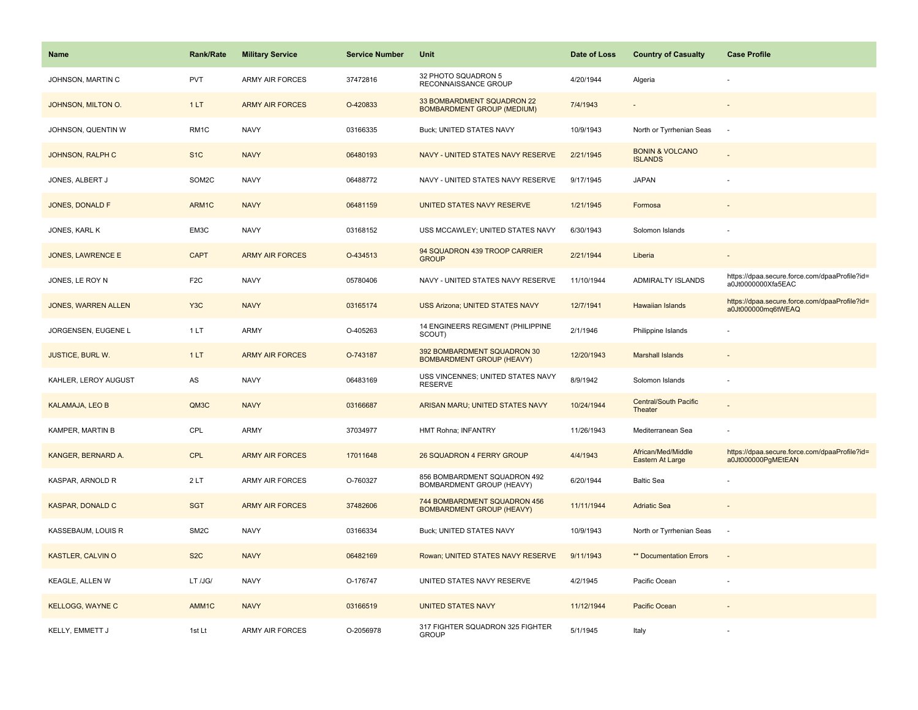| <b>Name</b>                | <b>Rank/Rate</b>  | <b>Military Service</b> | <b>Service Number</b> | Unit                                                             | Date of Loss | <b>Country of Casualty</b>                   | <b>Case Profile</b>                                                 |
|----------------------------|-------------------|-------------------------|-----------------------|------------------------------------------------------------------|--------------|----------------------------------------------|---------------------------------------------------------------------|
| JOHNSON, MARTIN C          | <b>PVT</b>        | ARMY AIR FORCES         | 37472816              | 32 PHOTO SQUADRON 5<br>RECONNAISSANCE GROUP                      | 4/20/1944    | Algeria                                      |                                                                     |
| JOHNSON, MILTON O.         | 1LT               | <b>ARMY AIR FORCES</b>  | O-420833              | 33 BOMBARDMENT SQUADRON 22<br><b>BOMBARDMENT GROUP (MEDIUM)</b>  | 7/4/1943     |                                              |                                                                     |
| JOHNSON, QUENTIN W         | RM <sub>1</sub> C | <b>NAVY</b>             | 03166335              | Buck; UNITED STATES NAVY                                         | 10/9/1943    | North or Tyrrhenian Seas                     |                                                                     |
| <b>JOHNSON, RALPH C</b>    | S <sub>1</sub> C  | <b>NAVY</b>             | 06480193              | NAVY - UNITED STATES NAVY RESERVE                                | 2/21/1945    | <b>BONIN &amp; VOLCANO</b><br><b>ISLANDS</b> |                                                                     |
| JONES, ALBERT J            | SOM2C             | <b>NAVY</b>             | 06488772              | NAVY - UNITED STATES NAVY RESERVE                                | 9/17/1945    | <b>JAPAN</b>                                 |                                                                     |
| JONES, DONALD F            | ARM1C             | <b>NAVY</b>             | 06481159              | UNITED STATES NAVY RESERVE                                       | 1/21/1945    | Formosa                                      |                                                                     |
| JONES, KARL K              | EM3C              | <b>NAVY</b>             | 03168152              | USS MCCAWLEY; UNITED STATES NAVY                                 | 6/30/1943    | Solomon Islands                              |                                                                     |
| <b>JONES, LAWRENCE E</b>   | <b>CAPT</b>       | <b>ARMY AIR FORCES</b>  | O-434513              | 94 SQUADRON 439 TROOP CARRIER<br><b>GROUP</b>                    | 2/21/1944    | Liberia                                      |                                                                     |
| JONES, LE ROY N            | F <sub>2</sub> C  | <b>NAVY</b>             | 05780406              | NAVY - UNITED STATES NAVY RESERVE                                | 11/10/1944   | ADMIRALTY ISLANDS                            | https://dpaa.secure.force.com/dpaaProfile?id=<br>a0Jt0000000Xfa5EAC |
| <b>JONES, WARREN ALLEN</b> | Y <sub>3</sub> C  | <b>NAVY</b>             | 03165174              | <b>USS Arizona; UNITED STATES NAVY</b>                           | 12/7/1941    | <b>Hawaiian Islands</b>                      | https://dpaa.secure.force.com/dpaaProfile?id=<br>a0Jt000000mq6tWEAQ |
| JORGENSEN, EUGENE L        | 1 LT              | ARMY                    | O-405263              | 14 ENGINEERS REGIMENT (PHILIPPINE<br>SCOUT)                      | 2/1/1946     | Philippine Islands                           |                                                                     |
| <b>JUSTICE, BURL W.</b>    | 1LT               | <b>ARMY AIR FORCES</b>  | O-743187              | 392 BOMBARDMENT SQUADRON 30<br><b>BOMBARDMENT GROUP (HEAVY)</b>  | 12/20/1943   | <b>Marshall Islands</b>                      |                                                                     |
| KAHLER, LEROY AUGUST       | AS                | <b>NAVY</b>             | 06483169              | USS VINCENNES; UNITED STATES NAVY<br><b>RESERVE</b>              | 8/9/1942     | Solomon Islands                              |                                                                     |
| <b>KALAMAJA, LEO B</b>     | QM3C              | <b>NAVY</b>             | 03166687              | ARISAN MARU; UNITED STATES NAVY                                  | 10/24/1944   | Central/South Pacific<br>Theater             |                                                                     |
| KAMPER, MARTIN B           | CPL               | ARMY                    | 37034977              | HMT Rohna; INFANTRY                                              | 11/26/1943   | Mediterranean Sea                            |                                                                     |
| KANGER, BERNARD A.         | <b>CPL</b>        | <b>ARMY AIR FORCES</b>  | 17011648              | 26 SQUADRON 4 FERRY GROUP                                        | 4/4/1943     | African/Med/Middle<br>Eastern At Large       | https://dpaa.secure.force.com/dpaaProfile?id=<br>a0Jt000000PgMEtEAN |
| KASPAR, ARNOLD R           | 2LT               | ARMY AIR FORCES         | O-760327              | 856 BOMBARDMENT SQUADRON 492<br>BOMBARDMENT GROUP (HEAVY)        | 6/20/1944    | <b>Baltic Sea</b>                            |                                                                     |
| <b>KASPAR, DONALD C</b>    | <b>SGT</b>        | <b>ARMY AIR FORCES</b>  | 37482606              | 744 BOMBARDMENT SQUADRON 456<br><b>BOMBARDMENT GROUP (HEAVY)</b> | 11/11/1944   | <b>Adriatic Sea</b>                          |                                                                     |
| KASSEBAUM, LOUIS R         | SM <sub>2</sub> C | <b>NAVY</b>             | 03166334              | <b>Buck; UNITED STATES NAVY</b>                                  | 10/9/1943    | North or Tyrrhenian Seas                     | $\sim$                                                              |
| KASTLER, CALVIN O          | S <sub>2</sub> C  | <b>NAVY</b>             | 06482169              | Rowan; UNITED STATES NAVY RESERVE                                | 9/11/1943    | ** Documentation Errors                      | $\sim$                                                              |
| KEAGLE, ALLEN W            | LT /JG/           | <b>NAVY</b>             | O-176747              | UNITED STATES NAVY RESERVE                                       | 4/2/1945     | Pacific Ocean                                |                                                                     |
| <b>KELLOGG, WAYNE C</b>    | AMM1C             | <b>NAVY</b>             | 03166519              | <b>UNITED STATES NAVY</b>                                        | 11/12/1944   | Pacific Ocean                                |                                                                     |
| KELLY, EMMETT J            | 1st Lt            | <b>ARMY AIR FORCES</b>  | O-2056978             | 317 FIGHTER SQUADRON 325 FIGHTER<br><b>GROUP</b>                 | 5/1/1945     | Italy                                        |                                                                     |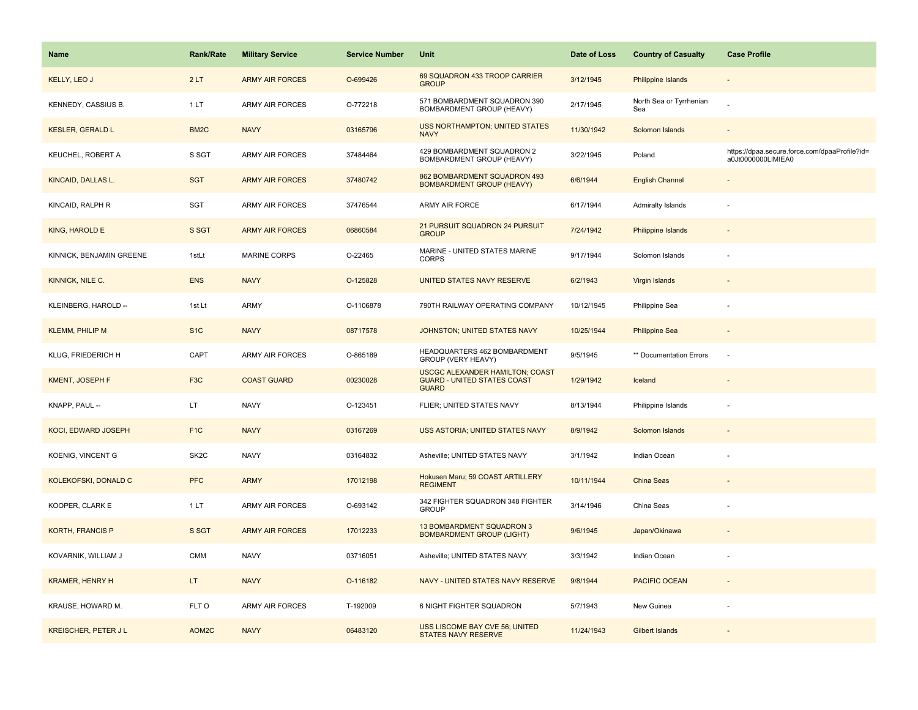| <b>Name</b>                | <b>Rank/Rate</b>  | <b>Military Service</b> | <b>Service Number</b> | Unit                                                                                         | Date of Loss | <b>Country of Casualty</b>     | <b>Case Profile</b>                                                 |
|----------------------------|-------------------|-------------------------|-----------------------|----------------------------------------------------------------------------------------------|--------------|--------------------------------|---------------------------------------------------------------------|
| KELLY, LEO J               | 2LT               | <b>ARMY AIR FORCES</b>  | O-699426              | 69 SQUADRON 433 TROOP CARRIER<br><b>GROUP</b>                                                | 3/12/1945    | <b>Philippine Islands</b>      |                                                                     |
| KENNEDY, CASSIUS B.        | 1LT               | ARMY AIR FORCES         | O-772218              | 571 BOMBARDMENT SQUADRON 390<br><b>BOMBARDMENT GROUP (HEAVY)</b>                             | 2/17/1945    | North Sea or Tyrrhenian<br>Sea |                                                                     |
| <b>KESLER, GERALD L</b>    | BM <sub>2</sub> C | <b>NAVY</b>             | 03165796              | <b>USS NORTHAMPTON; UNITED STATES</b><br><b>NAVY</b>                                         | 11/30/1942   | Solomon Islands                |                                                                     |
| KEUCHEL, ROBERT A          | S SGT             | <b>ARMY AIR FORCES</b>  | 37484464              | 429 BOMBARDMENT SQUADRON 2<br>BOMBARDMENT GROUP (HEAVY)                                      | 3/22/1945    | Poland                         | https://dpaa.secure.force.com/dpaaProfile?id=<br>a0Jt0000000LIMIEA0 |
| KINCAID, DALLAS L.         | <b>SGT</b>        | <b>ARMY AIR FORCES</b>  | 37480742              | 862 BOMBARDMENT SQUADRON 493<br><b>BOMBARDMENT GROUP (HEAVY)</b>                             | 6/6/1944     | <b>English Channel</b>         |                                                                     |
| KINCAID, RALPH R           | SGT               | <b>ARMY AIR FORCES</b>  | 37476544              | ARMY AIR FORCE                                                                               | 6/17/1944    | <b>Admiralty Islands</b>       |                                                                     |
| KING, HAROLD E             | S SGT             | <b>ARMY AIR FORCES</b>  | 06860584              | 21 PURSUIT SQUADRON 24 PURSUIT<br><b>GROUP</b>                                               | 7/24/1942    | Philippine Islands             | $\sim$                                                              |
| KINNICK, BENJAMIN GREENE   | 1stLt             | MARINE CORPS            | O-22465               | MARINE - UNITED STATES MARINE<br>CORPS                                                       | 9/17/1944    | Solomon Islands                |                                                                     |
| KINNICK, NILE C.           | <b>ENS</b>        | <b>NAVY</b>             | O-125828              | UNITED STATES NAVY RESERVE                                                                   | 6/2/1943     | Virgin Islands                 |                                                                     |
| KLEINBERG, HAROLD --       | 1st Lt            | ARMY                    | O-1106878             | 790TH RAILWAY OPERATING COMPANY                                                              | 10/12/1945   | Philippine Sea                 |                                                                     |
| <b>KLEMM, PHILIP M</b>     | S <sub>1</sub> C  | <b>NAVY</b>             | 08717578              | JOHNSTON; UNITED STATES NAVY                                                                 | 10/25/1944   | <b>Philippine Sea</b>          |                                                                     |
| KLUG, FRIEDERICH H         | CAPT              | ARMY AIR FORCES         | O-865189              | HEADQUARTERS 462 BOMBARDMENT<br>GROUP (VERY HEAVY)                                           | 9/5/1945     | ** Documentation Errors        | ÷,                                                                  |
| KMENT, JOSEPH F            | F <sub>3</sub> C  | <b>COAST GUARD</b>      | 00230028              | <b>USCGC ALEXANDER HAMILTON; COAST</b><br><b>GUARD - UNITED STATES COAST</b><br><b>GUARD</b> | 1/29/1942    | Iceland                        |                                                                     |
| KNAPP, PAUL --             | LT.               | <b>NAVY</b>             | O-123451              | FLIER; UNITED STATES NAVY                                                                    | 8/13/1944    | Philippine Islands             | ÷,                                                                  |
| <b>KOCI, EDWARD JOSEPH</b> | F <sub>1C</sub>   | <b>NAVY</b>             | 03167269              | USS ASTORIA; UNITED STATES NAVY                                                              | 8/9/1942     | Solomon Islands                |                                                                     |
| KOENIG, VINCENT G          | SK <sub>2</sub> C | <b>NAVY</b>             | 03164832              | Asheville; UNITED STATES NAVY                                                                | 3/1/1942     | Indian Ocean                   |                                                                     |
| KOLEKOFSKI, DONALD C       | <b>PFC</b>        | <b>ARMY</b>             | 17012198              | Hokusen Maru; 59 COAST ARTILLERY<br><b>REGIMENT</b>                                          | 10/11/1944   | China Seas                     |                                                                     |
| KOOPER, CLARK E            | 1LT               | ARMY AIR FORCES         | O-693142              | 342 FIGHTER SQUADRON 348 FIGHTER<br><b>GROUP</b>                                             | 3/14/1946    | China Seas                     |                                                                     |
| <b>KORTH, FRANCIS P</b>    | S SGT             | <b>ARMY AIR FORCES</b>  | 17012233              | 13 BOMBARDMENT SQUADRON 3<br><b>BOMBARDMENT GROUP (LIGHT)</b>                                | 9/6/1945     | Japan/Okinawa                  |                                                                     |
| KOVARNIK, WILLIAM J        | CMM               | <b>NAVY</b>             | 03716051              | Asheville; UNITED STATES NAVY                                                                | 3/3/1942     | Indian Ocean                   |                                                                     |
| <b>KRAMER, HENRY H</b>     | LT.               | <b>NAVY</b>             | O-116182              | NAVY - UNITED STATES NAVY RESERVE                                                            | 9/8/1944     | PACIFIC OCEAN                  | $\overline{\phantom{a}}$                                            |
| KRAUSE, HOWARD M.          | FLT O             | ARMY AIR FORCES         | T-192009              | 6 NIGHT FIGHTER SQUADRON                                                                     | 5/7/1943     | New Guinea                     |                                                                     |
| <b>KREISCHER, PETER JL</b> | AOM2C             | <b>NAVY</b>             | 06483120              | USS LISCOME BAY CVE 56; UNITED<br><b>STATES NAVY RESERVE</b>                                 | 11/24/1943   | Gilbert Islands                |                                                                     |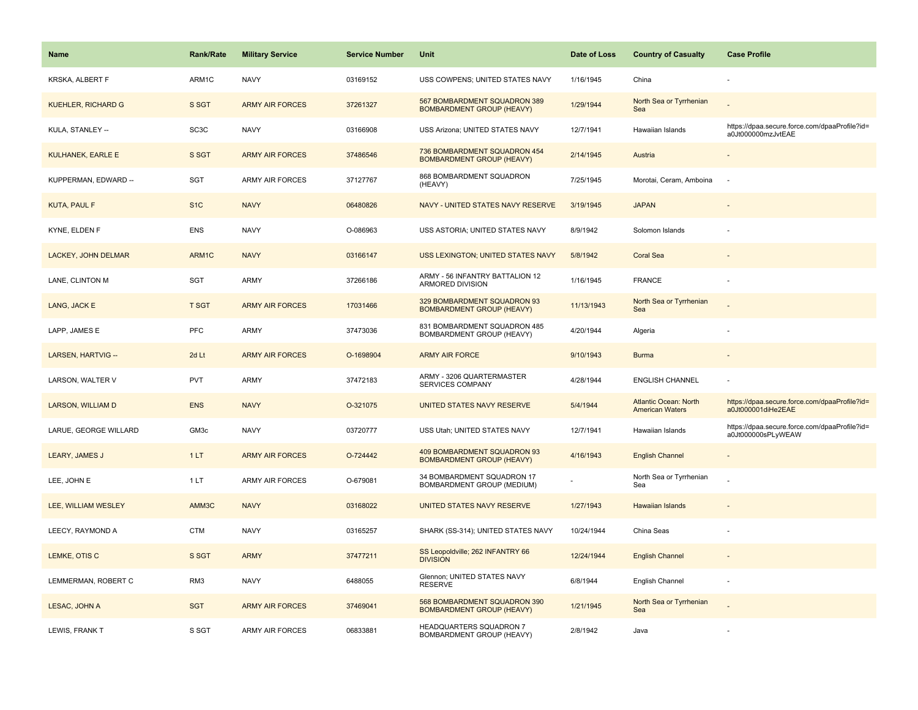| Name                      | Rank/Rate         | <b>Military Service</b> | <b>Service Number</b> | Unit                                                             | Date of Loss | <b>Country of Casualty</b>                             | <b>Case Profile</b>                                                 |
|---------------------------|-------------------|-------------------------|-----------------------|------------------------------------------------------------------|--------------|--------------------------------------------------------|---------------------------------------------------------------------|
| KRSKA, ALBERT F           | ARM1C             | <b>NAVY</b>             | 03169152              | USS COWPENS; UNITED STATES NAVY                                  | 1/16/1945    | China                                                  |                                                                     |
| <b>KUEHLER, RICHARD G</b> | S SGT             | <b>ARMY AIR FORCES</b>  | 37261327              | 567 BOMBARDMENT SQUADRON 389<br><b>BOMBARDMENT GROUP (HEAVY)</b> | 1/29/1944    | North Sea or Tyrrhenian<br>Sea                         |                                                                     |
| KULA, STANLEY --          | SC <sub>3</sub> C | <b>NAVY</b>             | 03166908              | USS Arizona; UNITED STATES NAVY                                  | 12/7/1941    | Hawaiian Islands                                       | https://dpaa.secure.force.com/dpaaProfile?id=<br>a0Jt000000mzJvtEAE |
| <b>KULHANEK, EARLE E</b>  | S SGT             | <b>ARMY AIR FORCES</b>  | 37486546              | 736 BOMBARDMENT SQUADRON 454<br><b>BOMBARDMENT GROUP (HEAVY)</b> | 2/14/1945    | Austria                                                |                                                                     |
| KUPPERMAN, EDWARD --      | <b>SGT</b>        | <b>ARMY AIR FORCES</b>  | 37127767              | 868 BOMBARDMENT SQUADRON<br>(HEAVY)                              | 7/25/1945    | Morotai, Ceram, Amboina                                | $\sim$                                                              |
| <b>KUTA, PAUL F</b>       | S <sub>1</sub> C  | <b>NAVY</b>             | 06480826              | NAVY - UNITED STATES NAVY RESERVE                                | 3/19/1945    | <b>JAPAN</b>                                           |                                                                     |
| KYNE, ELDEN F             | <b>ENS</b>        | <b>NAVY</b>             | O-086963              | USS ASTORIA; UNITED STATES NAVY                                  | 8/9/1942     | Solomon Islands                                        |                                                                     |
| LACKEY, JOHN DELMAR       | ARM1C             | <b>NAVY</b>             | 03166147              | USS LEXINGTON; UNITED STATES NAVY                                | 5/8/1942     | <b>Coral Sea</b>                                       |                                                                     |
| LANE, CLINTON M           | SGT               | ARMY                    | 37266186              | ARMY - 56 INFANTRY BATTALION 12<br><b>ARMORED DIVISION</b>       | 1/16/1945    | <b>FRANCE</b>                                          |                                                                     |
| LANG, JACK E              | <b>T SGT</b>      | <b>ARMY AIR FORCES</b>  | 17031466              | 329 BOMBARDMENT SQUADRON 93<br><b>BOMBARDMENT GROUP (HEAVY)</b>  | 11/13/1943   | North Sea or Tyrrhenian<br>Sea                         |                                                                     |
| LAPP, JAMES E             | PFC               | ARMY                    | 37473036              | 831 BOMBARDMENT SQUADRON 485<br>BOMBARDMENT GROUP (HEAVY)        | 4/20/1944    | Algeria                                                |                                                                     |
| LARSEN, HARTVIG --        | 2d Lt             | <b>ARMY AIR FORCES</b>  | O-1698904             | <b>ARMY AIR FORCE</b>                                            | 9/10/1943    | <b>Burma</b>                                           |                                                                     |
| LARSON, WALTER V          | <b>PVT</b>        | <b>ARMY</b>             | 37472183              | ARMY - 3206 QUARTERMASTER<br>SERVICES COMPANY                    | 4/28/1944    | <b>ENGLISH CHANNEL</b>                                 |                                                                     |
| <b>LARSON, WILLIAM D</b>  | <b>ENS</b>        | <b>NAVY</b>             | O-321075              | UNITED STATES NAVY RESERVE                                       | 5/4/1944     | <b>Atlantic Ocean: North</b><br><b>American Waters</b> | https://dpaa.secure.force.com/dpaaProfile?id=<br>a0Jt000001diHe2EAE |
| LARUE, GEORGE WILLARD     | GM <sub>3c</sub>  | <b>NAVY</b>             | 03720777              | USS Utah; UNITED STATES NAVY                                     | 12/7/1941    | Hawaiian Islands                                       | https://dpaa.secure.force.com/dpaaProfile?id=<br>a0Jt000000sPLyWEAW |
| LEARY, JAMES J            | 1LT               | <b>ARMY AIR FORCES</b>  | O-724442              | 409 BOMBARDMENT SQUADRON 93<br><b>BOMBARDMENT GROUP (HEAVY)</b>  | 4/16/1943    | <b>English Channel</b>                                 |                                                                     |
| LEE, JOHN E               | 1LT               | <b>ARMY AIR FORCES</b>  | O-679081              | 34 BOMBARDMENT SQUADRON 17<br>BOMBARDMENT GROUP (MEDIUM)         |              | North Sea or Tyrrhenian<br>Sea                         |                                                                     |
| LEE, WILLIAM WESLEY       | AMM3C             | <b>NAVY</b>             | 03168022              | UNITED STATES NAVY RESERVE                                       | 1/27/1943    | <b>Hawaiian Islands</b>                                |                                                                     |
| LEECY, RAYMOND A          | <b>CTM</b>        | <b>NAVY</b>             | 03165257              | SHARK (SS-314); UNITED STATES NAVY                               | 10/24/1944   | China Seas                                             |                                                                     |
| LEMKE, OTIS C             | S SGT             | <b>ARMY</b>             | 37477211              | SS Leopoldville; 262 INFANTRY 66<br><b>DIVISION</b>              | 12/24/1944   | <b>English Channel</b>                                 |                                                                     |
| LEMMERMAN, ROBERT C       | RM3               | <b>NAVY</b>             | 6488055               | Glennon; UNITED STATES NAVY<br><b>RESERVE</b>                    | 6/8/1944     | English Channel                                        |                                                                     |
| LESAC, JOHN A             | <b>SGT</b>        | <b>ARMY AIR FORCES</b>  | 37469041              | 568 BOMBARDMENT SQUADRON 390<br><b>BOMBARDMENT GROUP (HEAVY)</b> | 1/21/1945    | North Sea or Tyrrhenian<br>Sea                         |                                                                     |
| LEWIS, FRANK T            | S SGT             | <b>ARMY AIR FORCES</b>  | 06833881              | HEADQUARTERS SQUADRON 7<br>BOMBARDMENT GROUP (HEAVY)             | 2/8/1942     | Java                                                   |                                                                     |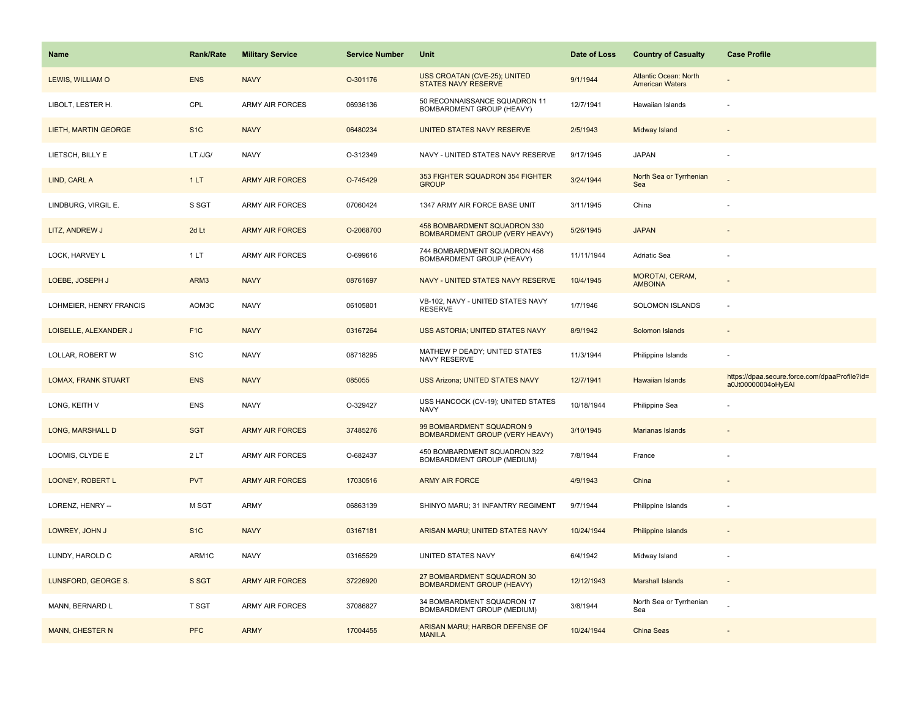| <b>Name</b>                | <b>Rank/Rate</b> | <b>Military Service</b> | <b>Service Number</b> | Unit                                                                  | Date of Loss | <b>Country of Casualty</b>                             | <b>Case Profile</b>                                                 |
|----------------------------|------------------|-------------------------|-----------------------|-----------------------------------------------------------------------|--------------|--------------------------------------------------------|---------------------------------------------------------------------|
| LEWIS, WILLIAM O           | <b>ENS</b>       | <b>NAVY</b>             | O-301176              | USS CROATAN (CVE-25); UNITED<br>STATES NAVY RESERVE                   | 9/1/1944     | <b>Atlantic Ocean: North</b><br><b>American Waters</b> |                                                                     |
| LIBOLT, LESTER H.          | CPL              | <b>ARMY AIR FORCES</b>  | 06936136              | 50 RECONNAISSANCE SQUADRON 11<br>BOMBARDMENT GROUP (HEAVY)            | 12/7/1941    | Hawaiian Islands                                       |                                                                     |
| LIETH, MARTIN GEORGE       | S <sub>1</sub> C | <b>NAVY</b>             | 06480234              | UNITED STATES NAVY RESERVE                                            | 2/5/1943     | Midway Island                                          |                                                                     |
| LIETSCH, BILLY E           | LT /JG/          | <b>NAVY</b>             | O-312349              | NAVY - UNITED STATES NAVY RESERVE                                     | 9/17/1945    | <b>JAPAN</b>                                           |                                                                     |
| LIND, CARL A               | 1LT              | <b>ARMY AIR FORCES</b>  | O-745429              | 353 FIGHTER SQUADRON 354 FIGHTER<br><b>GROUP</b>                      | 3/24/1944    | North Sea or Tyrrhenian<br>Sea                         |                                                                     |
| LINDBURG, VIRGIL E.        | S SGT            | ARMY AIR FORCES         | 07060424              | 1347 ARMY AIR FORCE BASE UNIT                                         | 3/11/1945    | China                                                  |                                                                     |
| LITZ, ANDREW J             | 2d Lt            | <b>ARMY AIR FORCES</b>  | O-2068700             | 458 BOMBARDMENT SQUADRON 330<br><b>BOMBARDMENT GROUP (VERY HEAVY)</b> | 5/26/1945    | <b>JAPAN</b>                                           |                                                                     |
| LOCK, HARVEY L             | 1 LT             | ARMY AIR FORCES         | O-699616              | 744 BOMBARDMENT SQUADRON 456<br>BOMBARDMENT GROUP (HEAVY)             | 11/11/1944   | Adriatic Sea                                           |                                                                     |
| LOEBE, JOSEPH J            | ARM3             | <b>NAVY</b>             | 08761697              | NAVY - UNITED STATES NAVY RESERVE                                     | 10/4/1945    | MOROTAI, CERAM,<br><b>AMBOINA</b>                      |                                                                     |
| LOHMEIER, HENRY FRANCIS    | AOM3C            | <b>NAVY</b>             | 06105801              | VB-102, NAVY - UNITED STATES NAVY<br><b>RESERVE</b>                   | 1/7/1946     | SOLOMON ISLANDS                                        |                                                                     |
| LOISELLE, ALEXANDER J      | F <sub>1</sub> C | <b>NAVY</b>             | 03167264              | <b>USS ASTORIA; UNITED STATES NAVY</b>                                | 8/9/1942     | Solomon Islands                                        |                                                                     |
| LOLLAR, ROBERT W           | S <sub>1</sub> C | <b>NAVY</b>             | 08718295              | MATHEW P DEADY; UNITED STATES<br>NAVY RESERVE                         | 11/3/1944    | Philippine Islands                                     |                                                                     |
| <b>LOMAX, FRANK STUART</b> | <b>ENS</b>       | <b>NAVY</b>             | 085055                | <b>USS Arizona; UNITED STATES NAVY</b>                                | 12/7/1941    | <b>Hawaiian Islands</b>                                | https://dpaa.secure.force.com/dpaaProfile?id=<br>a0Jt00000004oHyEAI |
| LONG, KEITH V              | <b>ENS</b>       | <b>NAVY</b>             | O-329427              | USS HANCOCK (CV-19); UNITED STATES<br><b>NAVY</b>                     | 10/18/1944   | Philippine Sea                                         |                                                                     |
| LONG, MARSHALL D           | <b>SGT</b>       | <b>ARMY AIR FORCES</b>  | 37485276              | 99 BOMBARDMENT SQUADRON 9<br><b>BOMBARDMENT GROUP (VERY HEAVY)</b>    | 3/10/1945    | <b>Marianas Islands</b>                                |                                                                     |
| LOOMIS, CLYDE E            | 2LT              | ARMY AIR FORCES         | O-682437              | 450 BOMBARDMENT SQUADRON 322<br><b>BOMBARDMENT GROUP (MEDIUM)</b>     | 7/8/1944     | France                                                 |                                                                     |
| LOONEY, ROBERT L           | <b>PVT</b>       | <b>ARMY AIR FORCES</b>  | 17030516              | <b>ARMY AIR FORCE</b>                                                 | 4/9/1943     | China                                                  |                                                                     |
| LORENZ, HENRY --           | M SGT            | ARMY                    | 06863139              | SHINYO MARU; 31 INFANTRY REGIMENT                                     | 9/7/1944     | Philippine Islands                                     |                                                                     |
| LOWREY, JOHN J             | S <sub>1</sub> C | <b>NAVY</b>             | 03167181              | ARISAN MARU; UNITED STATES NAVY                                       | 10/24/1944   | <b>Philippine Islands</b>                              |                                                                     |
| LUNDY, HAROLD C            | ARM1C            | <b>NAVY</b>             | 03165529              | UNITED STATES NAVY                                                    | 6/4/1942     | Midway Island                                          |                                                                     |
| LUNSFORD, GEORGE S.        | S SGT            | <b>ARMY AIR FORCES</b>  | 37226920              | 27 BOMBARDMENT SQUADRON 30<br><b>BOMBARDMENT GROUP (HEAVY)</b>        | 12/12/1943   | <b>Marshall Islands</b>                                |                                                                     |
| MANN, BERNARD L            | T SGT            | <b>ARMY AIR FORCES</b>  | 37086827              | 34 BOMBARDMENT SQUADRON 17<br>BOMBARDMENT GROUP (MEDIUM)              | 3/8/1944     | North Sea or Tyrrhenian<br>Sea                         |                                                                     |
| MANN, CHESTER N            | <b>PFC</b>       | <b>ARMY</b>             | 17004455              | ARISAN MARU; HARBOR DEFENSE OF<br><b>MANILA</b>                       | 10/24/1944   | <b>China Seas</b>                                      |                                                                     |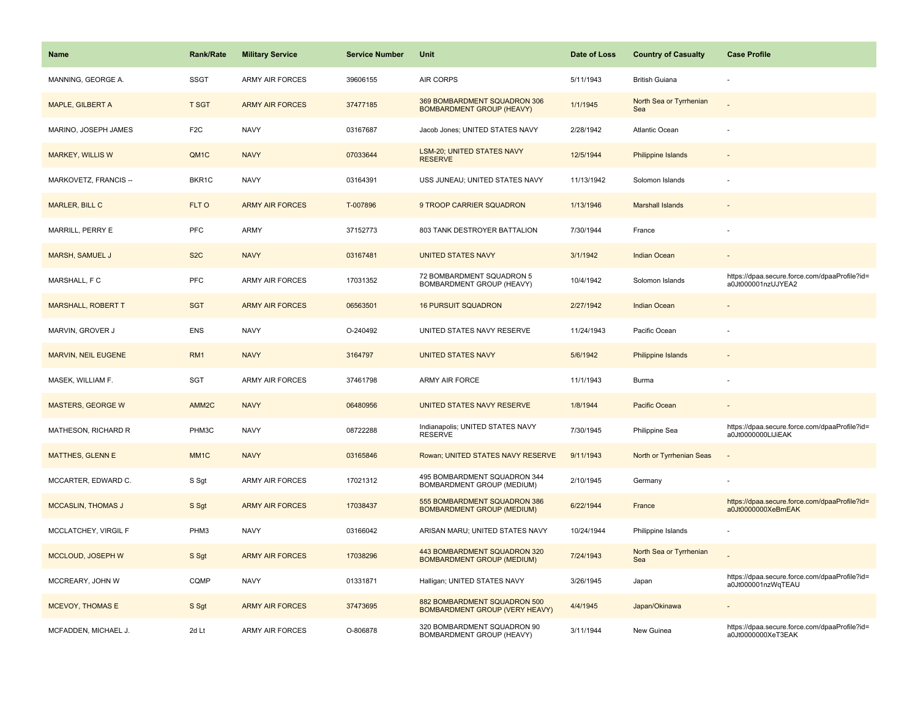| <b>Name</b>                | <b>Rank/Rate</b>  | <b>Military Service</b> | <b>Service Number</b> | <b>Unit</b>                                                           | Date of Loss | <b>Country of Casualty</b>     | <b>Case Profile</b>                                                 |
|----------------------------|-------------------|-------------------------|-----------------------|-----------------------------------------------------------------------|--------------|--------------------------------|---------------------------------------------------------------------|
| MANNING, GEORGE A.         | <b>SSGT</b>       | <b>ARMY AIR FORCES</b>  | 39606155              | AIR CORPS                                                             | 5/11/1943    | <b>British Guiana</b>          |                                                                     |
| MAPLE, GILBERT A           | <b>T SGT</b>      | <b>ARMY AIR FORCES</b>  | 37477185              | 369 BOMBARDMENT SQUADRON 306<br><b>BOMBARDMENT GROUP (HEAVY)</b>      | 1/1/1945     | North Sea or Tyrrhenian<br>Sea |                                                                     |
| MARINO, JOSEPH JAMES       | F <sub>2</sub> C  | <b>NAVY</b>             | 03167687              | Jacob Jones; UNITED STATES NAVY                                       | 2/28/1942    | Atlantic Ocean                 |                                                                     |
| <b>MARKEY, WILLIS W</b>    | QM1C              | <b>NAVY</b>             | 07033644              | LSM-20; UNITED STATES NAVY<br><b>RESERVE</b>                          | 12/5/1944    | Philippine Islands             |                                                                     |
| MARKOVETZ, FRANCIS --      | BKR1C             | <b>NAVY</b>             | 03164391              | USS JUNEAU; UNITED STATES NAVY                                        | 11/13/1942   | Solomon Islands                |                                                                     |
| <b>MARLER, BILL C</b>      | FLT O             | <b>ARMY AIR FORCES</b>  | T-007896              | 9 TROOP CARRIER SQUADRON                                              | 1/13/1946    | <b>Marshall Islands</b>        |                                                                     |
| MARRILL, PERRY E           | <b>PFC</b>        | <b>ARMY</b>             | 37152773              | 803 TANK DESTROYER BATTALION                                          | 7/30/1944    | France                         |                                                                     |
| <b>MARSH, SAMUEL J</b>     | S <sub>2</sub> C  | <b>NAVY</b>             | 03167481              | <b>UNITED STATES NAVY</b>                                             | 3/1/1942     | Indian Ocean                   |                                                                     |
| MARSHALL, F C              | <b>PFC</b>        | <b>ARMY AIR FORCES</b>  | 17031352              | 72 BOMBARDMENT SQUADRON 5<br>BOMBARDMENT GROUP (HEAVY)                | 10/4/1942    | Solomon Islands                | https://dpaa.secure.force.com/dpaaProfile?id=<br>a0Jt000001nzUJYEA2 |
| <b>MARSHALL, ROBERT T</b>  | <b>SGT</b>        | <b>ARMY AIR FORCES</b>  | 06563501              | <b>16 PURSUIT SQUADRON</b>                                            | 2/27/1942    | <b>Indian Ocean</b>            |                                                                     |
| MARVIN, GROVER J           | <b>ENS</b>        | <b>NAVY</b>             | O-240492              | UNITED STATES NAVY RESERVE                                            | 11/24/1943   | Pacific Ocean                  |                                                                     |
| <b>MARVIN, NEIL EUGENE</b> | RM <sub>1</sub>   | <b>NAVY</b>             | 3164797               | <b>UNITED STATES NAVY</b>                                             | 5/6/1942     | Philippine Islands             |                                                                     |
| MASEK, WILLIAM F.          | SGT               | <b>ARMY AIR FORCES</b>  | 37461798              | ARMY AIR FORCE                                                        | 11/1/1943    | Burma                          |                                                                     |
| <b>MASTERS, GEORGE W</b>   | AMM <sub>2C</sub> | <b>NAVY</b>             | 06480956              | UNITED STATES NAVY RESERVE                                            | 1/8/1944     | Pacific Ocean                  |                                                                     |
| MATHESON, RICHARD R        | PHM3C             | <b>NAVY</b>             | 08722288              | Indianapolis; UNITED STATES NAVY<br><b>RESERVE</b>                    | 7/30/1945    | Philippine Sea                 | https://dpaa.secure.force.com/dpaaProfile?id=<br>a0Jt0000000LIJiEAK |
| <b>MATTHES, GLENN E</b>    | MM <sub>1</sub> C | <b>NAVY</b>             | 03165846              | Rowan; UNITED STATES NAVY RESERVE                                     | 9/11/1943    | North or Tyrrhenian Seas       |                                                                     |
| MCCARTER, EDWARD C.        | S Sgt             | ARMY AIR FORCES         | 17021312              | 495 BOMBARDMENT SQUADRON 344<br>BOMBARDMENT GROUP (MEDIUM)            | 2/10/1945    | Germany                        |                                                                     |
| <b>MCCASLIN, THOMAS J</b>  | S Sgt             | <b>ARMY AIR FORCES</b>  | 17038437              | 555 BOMBARDMENT SQUADRON 386<br><b>BOMBARDMENT GROUP (MEDIUM)</b>     | 6/22/1944    | France                         | https://dpaa.secure.force.com/dpaaProfile?id=<br>a0Jt0000000XeBmEAK |
| MCCLATCHEY, VIRGIL F       | PHM3              | <b>NAVY</b>             | 03166042              | ARISAN MARU; UNITED STATES NAVY                                       | 10/24/1944   | Philippine Islands             |                                                                     |
| MCCLOUD, JOSEPH W          | S Sgt             | <b>ARMY AIR FORCES</b>  | 17038296              | 443 BOMBARDMENT SQUADRON 320<br><b>BOMBARDMENT GROUP (MEDIUM)</b>     | 7/24/1943    | North Sea or Tyrrhenian<br>Sea |                                                                     |
| MCCREARY, JOHN W           | CQMP              | <b>NAVY</b>             | 01331871              | Halligan; UNITED STATES NAVY                                          | 3/26/1945    | Japan                          | https://dpaa.secure.force.com/dpaaProfile?id=<br>a0Jt000001nzWqTEAU |
| <b>MCEVOY, THOMAS E</b>    | S Sgt             | <b>ARMY AIR FORCES</b>  | 37473695              | 882 BOMBARDMENT SQUADRON 500<br><b>BOMBARDMENT GROUP (VERY HEAVY)</b> | 4/4/1945     | Japan/Okinawa                  |                                                                     |
| MCFADDEN, MICHAEL J.       | 2d Lt             | <b>ARMY AIR FORCES</b>  | O-806878              | 320 BOMBARDMENT SQUADRON 90<br><b>BOMBARDMENT GROUP (HEAVY)</b>       | 3/11/1944    | New Guinea                     | https://dpaa.secure.force.com/dpaaProfile?id=<br>a0Jt0000000XeT3EAK |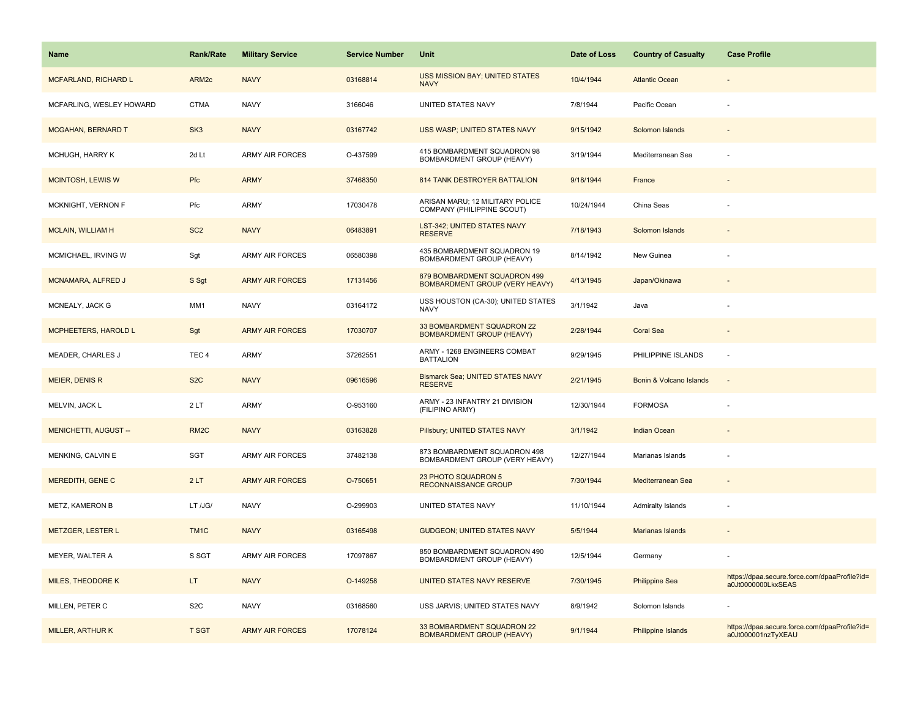| <b>Name</b>                  | <b>Rank/Rate</b>  | <b>Military Service</b> | <b>Service Number</b> | Unit                                                                  | Date of Loss | <b>Country of Casualty</b> | <b>Case Profile</b>                                                 |
|------------------------------|-------------------|-------------------------|-----------------------|-----------------------------------------------------------------------|--------------|----------------------------|---------------------------------------------------------------------|
| MCFARLAND, RICHARD L         | ARM <sub>2c</sub> | <b>NAVY</b>             | 03168814              | USS MISSION BAY; UNITED STATES<br><b>NAVY</b>                         | 10/4/1944    | <b>Atlantic Ocean</b>      |                                                                     |
| MCFARLING, WESLEY HOWARD     | <b>CTMA</b>       | <b>NAVY</b>             | 3166046               | UNITED STATES NAVY                                                    | 7/8/1944     | Pacific Ocean              |                                                                     |
| MCGAHAN, BERNARD T           | SK <sub>3</sub>   | <b>NAVY</b>             | 03167742              | USS WASP; UNITED STATES NAVY                                          | 9/15/1942    | Solomon Islands            |                                                                     |
| MCHUGH, HARRY K              | 2d Lt             | <b>ARMY AIR FORCES</b>  | O-437599              | 415 BOMBARDMENT SQUADRON 98<br>BOMBARDMENT GROUP (HEAVY)              | 3/19/1944    | Mediterranean Sea          |                                                                     |
| <b>MCINTOSH, LEWIS W</b>     | Pfc               | <b>ARMY</b>             | 37468350              | 814 TANK DESTROYER BATTALION                                          | 9/18/1944    | France                     |                                                                     |
| MCKNIGHT, VERNON F           | Pfc               | ARMY                    | 17030478              | ARISAN MARU; 12 MILITARY POLICE<br>COMPANY (PHILIPPINE SCOUT)         | 10/24/1944   | China Seas                 |                                                                     |
| <b>MCLAIN, WILLIAM H</b>     | SC <sub>2</sub>   | <b>NAVY</b>             | 06483891              | <b>LST-342; UNITED STATES NAVY</b><br><b>RESERVE</b>                  | 7/18/1943    | Solomon Islands            |                                                                     |
| MCMICHAEL, IRVING W          | Sgt               | <b>ARMY AIR FORCES</b>  | 06580398              | 435 BOMBARDMENT SQUADRON 19<br>BOMBARDMENT GROUP (HEAVY)              | 8/14/1942    | New Guinea                 |                                                                     |
| <b>MCNAMARA, ALFRED J</b>    | S Sgt             | <b>ARMY AIR FORCES</b>  | 17131456              | 879 BOMBARDMENT SQUADRON 499<br><b>BOMBARDMENT GROUP (VERY HEAVY)</b> | 4/13/1945    | Japan/Okinawa              |                                                                     |
| MCNEALY, JACK G              | MM1               | <b>NAVY</b>             | 03164172              | USS HOUSTON (CA-30); UNITED STATES<br><b>NAVY</b>                     | 3/1/1942     | Java                       |                                                                     |
| <b>MCPHEETERS, HAROLD L</b>  | Sgt               | <b>ARMY AIR FORCES</b>  | 17030707              | 33 BOMBARDMENT SQUADRON 22<br><b>BOMBARDMENT GROUP (HEAVY)</b>        | 2/28/1944    | <b>Coral Sea</b>           |                                                                     |
| <b>MEADER, CHARLES J</b>     | TEC <sub>4</sub>  | ARMY                    | 37262551              | ARMY - 1268 ENGINEERS COMBAT<br><b>BATTALION</b>                      | 9/29/1945    | PHILIPPINE ISLANDS         | $\sim$                                                              |
| MEIER, DENIS R               | S <sub>2</sub> C  | <b>NAVY</b>             | 09616596              | <b>Bismarck Sea; UNITED STATES NAVY</b><br><b>RESERVE</b>             | 2/21/1945    | Bonin & Volcano Islands    |                                                                     |
| MELVIN, JACK L               | 2LT               | ARMY                    | O-953160              | ARMY - 23 INFANTRY 21 DIVISION<br>(FILIPINO ARMY)                     | 12/30/1944   | <b>FORMOSA</b>             |                                                                     |
| <b>MENICHETTI, AUGUST --</b> | RM <sub>2</sub> C | <b>NAVY</b>             | 03163828              | Pillsbury; UNITED STATES NAVY                                         | 3/1/1942     | Indian Ocean               |                                                                     |
| MENKING, CALVIN E            | SGT               | <b>ARMY AIR FORCES</b>  | 37482138              | 873 BOMBARDMENT SQUADRON 498<br>BOMBARDMENT GROUP (VERY HEAVY)        | 12/27/1944   | Marianas Islands           |                                                                     |
| MEREDITH, GENE C             | 2LT               | <b>ARMY AIR FORCES</b>  | O-750651              | 23 PHOTO SQUADRON 5<br><b>RECONNAISSANCE GROUP</b>                    | 7/30/1944    | Mediterranean Sea          |                                                                     |
| METZ, KAMERON B              | LT /JG/           | <b>NAVY</b>             | O-299903              | UNITED STATES NAVY                                                    | 11/10/1944   | Admiralty Islands          |                                                                     |
| METZGER, LESTER L            | TM <sub>1</sub> C | <b>NAVY</b>             | 03165498              | <b>GUDGEON; UNITED STATES NAVY</b>                                    | 5/5/1944     | Marianas Islands           |                                                                     |
| MEYER, WALTER A              | S SGT             | <b>ARMY AIR FORCES</b>  | 17097867              | 850 BOMBARDMENT SQUADRON 490<br>BOMBARDMENT GROUP (HEAVY)             | 12/5/1944    | Germany                    |                                                                     |
| <b>MILES, THEODORE K</b>     | LT.               | <b>NAVY</b>             | O-149258              | UNITED STATES NAVY RESERVE                                            | 7/30/1945    | <b>Philippine Sea</b>      | https://dpaa.secure.force.com/dpaaProfile?id=<br>a0Jt0000000LkxSEAS |
| MILLEN, PETER C              | S <sub>2</sub> C  | <b>NAVY</b>             | 03168560              | USS JARVIS; UNITED STATES NAVY                                        | 8/9/1942     | Solomon Islands            |                                                                     |
| <b>MILLER, ARTHUR K</b>      | <b>T SGT</b>      | <b>ARMY AIR FORCES</b>  | 17078124              | 33 BOMBARDMENT SQUADRON 22<br><b>BOMBARDMENT GROUP (HEAVY)</b>        | 9/1/1944     | Philippine Islands         | https://dpaa.secure.force.com/dpaaProfile?id=<br>a0Jt000001nzTyXEAU |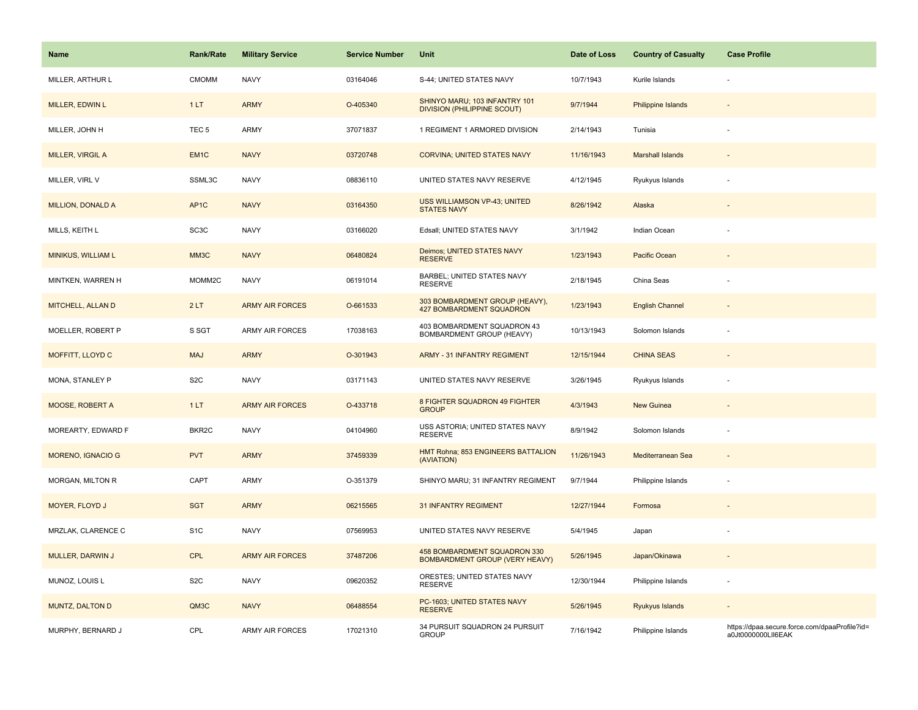| Name                     | <b>Rank/Rate</b>   | <b>Military Service</b> | <b>Service Number</b> | Unit                                                                  | Date of Loss | <b>Country of Casualty</b> | <b>Case Profile</b>                                                 |
|--------------------------|--------------------|-------------------------|-----------------------|-----------------------------------------------------------------------|--------------|----------------------------|---------------------------------------------------------------------|
| MILLER, ARTHUR L         | <b>CMOMM</b>       | <b>NAVY</b>             | 03164046              | S-44; UNITED STATES NAVY                                              | 10/7/1943    | Kurile Islands             |                                                                     |
| <b>MILLER, EDWIN L</b>   | 1LT                | <b>ARMY</b>             | O-405340              | SHINYO MARU; 103 INFANTRY 101<br><b>DIVISION (PHILIPPINE SCOUT)</b>   | 9/7/1944     | <b>Philippine Islands</b>  |                                                                     |
| MILLER, JOHN H           | TEC <sub>5</sub>   | <b>ARMY</b>             | 37071837              | 1 REGIMENT 1 ARMORED DIVISION                                         | 2/14/1943    | Tunisia                    |                                                                     |
| MILLER, VIRGIL A         | EM <sub>1C</sub>   | <b>NAVY</b>             | 03720748              | CORVINA; UNITED STATES NAVY                                           | 11/16/1943   | <b>Marshall Islands</b>    |                                                                     |
| MILLER, VIRL V           | SSML3C             | <b>NAVY</b>             | 08836110              | UNITED STATES NAVY RESERVE                                            | 4/12/1945    | Ryukyus Islands            |                                                                     |
| <b>MILLION, DONALD A</b> | AP <sub>1</sub> C  | <b>NAVY</b>             | 03164350              | USS WILLIAMSON VP-43; UNITED<br><b>STATES NAVY</b>                    | 8/26/1942    | Alaska                     |                                                                     |
| MILLS, KEITH L           | SC <sub>3</sub> C  | <b>NAVY</b>             | 03166020              | Edsall; UNITED STATES NAVY                                            | 3/1/1942     | Indian Ocean               |                                                                     |
| MINIKUS, WILLIAM L       | MM3C               | <b>NAVY</b>             | 06480824              | Deimos; UNITED STATES NAVY<br><b>RESERVE</b>                          | 1/23/1943    | Pacific Ocean              |                                                                     |
| MINTKEN, WARREN H        | MOMM2C             | <b>NAVY</b>             | 06191014              | <b>BARBEL; UNITED STATES NAVY</b><br><b>RESERVE</b>                   | 2/18/1945    | China Seas                 |                                                                     |
| MITCHELL, ALLAN D        | 2LT                | <b>ARMY AIR FORCES</b>  | O-661533              | 303 BOMBARDMENT GROUP (HEAVY),<br>427 BOMBARDMENT SQUADRON            | 1/23/1943    | <b>English Channel</b>     |                                                                     |
| MOELLER, ROBERT P        | S SGT              | <b>ARMY AIR FORCES</b>  | 17038163              | 403 BOMBARDMENT SQUADRON 43<br><b>BOMBARDMENT GROUP (HEAVY)</b>       | 10/13/1943   | Solomon Islands            |                                                                     |
| <b>MOFFITT, LLOYD C</b>  | <b>MAJ</b>         | <b>ARMY</b>             | O-301943              | <b>ARMY - 31 INFANTRY REGIMENT</b>                                    | 12/15/1944   | <b>CHINA SEAS</b>          |                                                                     |
| MONA, STANLEY P          | S <sub>2</sub> C   | <b>NAVY</b>             | 03171143              | UNITED STATES NAVY RESERVE                                            | 3/26/1945    | Ryukyus Islands            |                                                                     |
| MOOSE, ROBERT A          | 1LT                | <b>ARMY AIR FORCES</b>  | O-433718              | 8 FIGHTER SQUADRON 49 FIGHTER<br><b>GROUP</b>                         | 4/3/1943     | New Guinea                 | $\overline{\phantom{a}}$                                            |
| MOREARTY, EDWARD F       | BKR <sub>2</sub> C | <b>NAVY</b>             | 04104960              | USS ASTORIA; UNITED STATES NAVY<br><b>RESERVE</b>                     | 8/9/1942     | Solomon Islands            | $\sim$                                                              |
| MORENO, IGNACIO G        | <b>PVT</b>         | <b>ARMY</b>             | 37459339              | HMT Rohna; 853 ENGINEERS BATTALION<br>(AVIATION)                      | 11/26/1943   | Mediterranean Sea          |                                                                     |
| MORGAN, MILTON R         | CAPT               | <b>ARMY</b>             | O-351379              | SHINYO MARU; 31 INFANTRY REGIMENT                                     | 9/7/1944     | Philippine Islands         |                                                                     |
| MOYER, FLOYD J           | <b>SGT</b>         | <b>ARMY</b>             | 06215565              | <b>31 INFANTRY REGIMENT</b>                                           | 12/27/1944   | Formosa                    |                                                                     |
| MRZLAK, CLARENCE C       | S <sub>1</sub> C   | <b>NAVY</b>             | 07569953              | UNITED STATES NAVY RESERVE                                            | 5/4/1945     | Japan                      |                                                                     |
| <b>MULLER, DARWIN J</b>  | <b>CPL</b>         | <b>ARMY AIR FORCES</b>  | 37487206              | 458 BOMBARDMENT SQUADRON 330<br><b>BOMBARDMENT GROUP (VERY HEAVY)</b> | 5/26/1945    | Japan/Okinawa              |                                                                     |
| MUNOZ, LOUIS L           | S <sub>2</sub> C   | <b>NAVY</b>             | 09620352              | ORESTES; UNITED STATES NAVY<br><b>RESERVE</b>                         | 12/30/1944   | Philippine Islands         | ÷,                                                                  |
| MUNTZ, DALTON D          | QM3C               | <b>NAVY</b>             | 06488554              | PC-1603; UNITED STATES NAVY<br><b>RESERVE</b>                         | 5/26/1945    | Ryukyus Islands            | $\sim$                                                              |
| MURPHY, BERNARD J        | CPL                | <b>ARMY AIR FORCES</b>  | 17021310              | 34 PURSUIT SQUADRON 24 PURSUIT<br><b>GROUP</b>                        | 7/16/1942    | Philippine Islands         | https://dpaa.secure.force.com/dpaaProfile?id=<br>a0Jt0000000LII6EAK |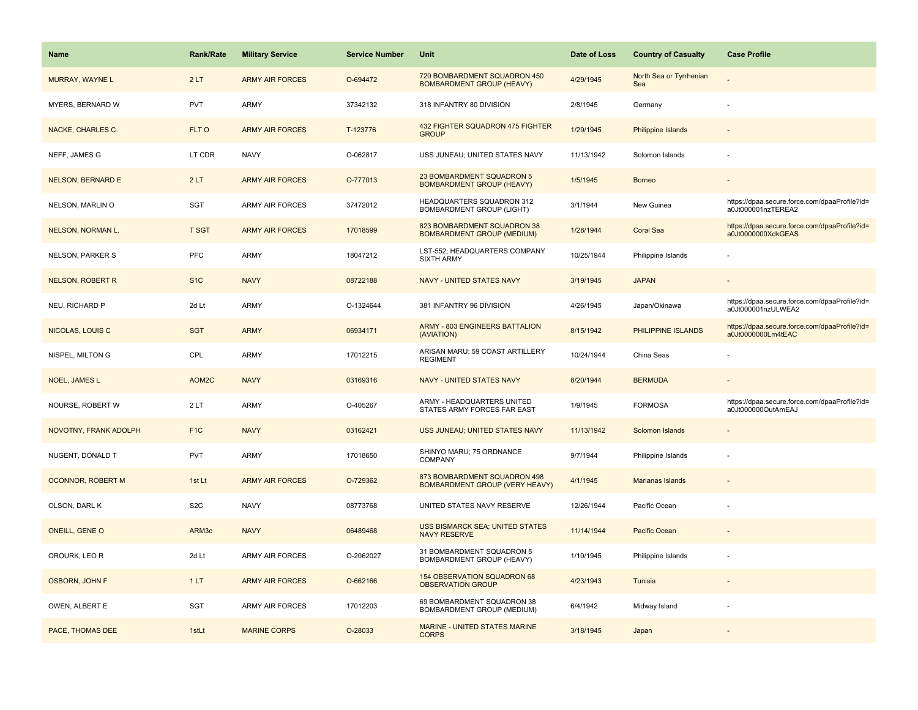| <b>Name</b>              | Rank/Rate        | <b>Military Service</b> | <b>Service Number</b> | <b>Unit</b>                                                           | Date of Loss | <b>Country of Casualty</b>     | <b>Case Profile</b>                                                 |
|--------------------------|------------------|-------------------------|-----------------------|-----------------------------------------------------------------------|--------------|--------------------------------|---------------------------------------------------------------------|
| MURRAY, WAYNE L          | 2LT              | <b>ARMY AIR FORCES</b>  | O-694472              | 720 BOMBARDMENT SQUADRON 450<br><b>BOMBARDMENT GROUP (HEAVY)</b>      | 4/29/1945    | North Sea or Tyrrhenian<br>Sea |                                                                     |
| MYERS, BERNARD W         | PVT              | <b>ARMY</b>             | 37342132              | 318 INFANTRY 80 DIVISION                                              | 2/8/1945     | Germany                        | ÷,                                                                  |
| NACKE, CHARLES C.        | FLT O            | <b>ARMY AIR FORCES</b>  | T-123776              | 432 FIGHTER SQUADRON 475 FIGHTER<br><b>GROUP</b>                      | 1/29/1945    | <b>Philippine Islands</b>      |                                                                     |
| NEFF, JAMES G            | LT CDR           | <b>NAVY</b>             | O-062817              | USS JUNEAU; UNITED STATES NAVY                                        | 11/13/1942   | Solomon Islands                |                                                                     |
| <b>NELSON, BERNARD E</b> | 2LT              | <b>ARMY AIR FORCES</b>  | O-777013              | 23 BOMBARDMENT SQUADRON 5<br><b>BOMBARDMENT GROUP (HEAVY)</b>         | 1/5/1945     | <b>Borneo</b>                  |                                                                     |
| NELSON, MARLIN O         | SGT              | <b>ARMY AIR FORCES</b>  | 37472012              | HEADQUARTERS SQUADRON 312<br>BOMBARDMENT GROUP (LIGHT)                | 3/1/1944     | New Guinea                     | https://dpaa.secure.force.com/dpaaProfile?id=<br>a0Jt000001nzTEREA2 |
| NELSON, NORMAN L.        | T SGT            | <b>ARMY AIR FORCES</b>  | 17018599              | 823 BOMBARDMENT SQUADRON 38<br><b>BOMBARDMENT GROUP (MEDIUM)</b>      | 1/28/1944    | <b>Coral Sea</b>               | https://dpaa.secure.force.com/dpaaProfile?id=<br>a0Jt0000000XdkGEAS |
| <b>NELSON, PARKER S</b>  | <b>PFC</b>       | <b>ARMY</b>             | 18047212              | LST-552; HEADQUARTERS COMPANY<br><b>SIXTH ARMY</b>                    | 10/25/1944   | Philippine Islands             |                                                                     |
| <b>NELSON, ROBERT R</b>  | S <sub>1</sub> C | <b>NAVY</b>             | 08722188              | NAVY - UNITED STATES NAVY                                             | 3/19/1945    | <b>JAPAN</b>                   |                                                                     |
| NEU, RICHARD P           | 2d Lt            | <b>ARMY</b>             | O-1324644             | 381 INFANTRY 96 DIVISION                                              | 4/26/1945    | Japan/Okinawa                  | https://dpaa.secure.force.com/dpaaProfile?id=<br>a0Jt000001nzULWEA2 |
| NICOLAS, LOUIS C         | <b>SGT</b>       | <b>ARMY</b>             | 06934171              | ARMY - 803 ENGINEERS BATTALION<br>(AVIATION)                          | 8/15/1942    | PHILIPPINE ISLANDS             | https://dpaa.secure.force.com/dpaaProfile?id=<br>a0Jt0000000Lm4tEAC |
| NISPEL, MILTON G         | CPL              | <b>ARMY</b>             | 17012215              | ARISAN MARU; 59 COAST ARTILLERY<br><b>REGIMENT</b>                    | 10/24/1944   | China Seas                     |                                                                     |
| <b>NOEL, JAMES L</b>     | AOM2C            | <b>NAVY</b>             | 03169316              | <b>NAVY - UNITED STATES NAVY</b>                                      | 8/20/1944    | <b>BERMUDA</b>                 |                                                                     |
| NOURSE, ROBERT W         | 2LT              | <b>ARMY</b>             | O-405267              | ARMY - HEADQUARTERS UNITED<br>STATES ARMY FORCES FAR EAST             | 1/9/1945     | <b>FORMOSA</b>                 | https://dpaa.secure.force.com/dpaaProfile?id=<br>a0Jt000000OutAmEAJ |
| NOVOTNY, FRANK ADOLPH    | F <sub>1</sub> C | <b>NAVY</b>             | 03162421              | USS JUNEAU; UNITED STATES NAVY                                        | 11/13/1942   | Solomon Islands                | $\overline{\phantom{a}}$                                            |
| NUGENT, DONALD T         | <b>PVT</b>       | ARMY                    | 17018650              | SHINYO MARU; 75 ORDNANCE<br>COMPANY                                   | 9/7/1944     | Philippine Islands             | $\overline{\phantom{a}}$                                            |
| OCONNOR, ROBERT M        | 1st Lt           | <b>ARMY AIR FORCES</b>  | O-729362              | 873 BOMBARDMENT SQUADRON 498<br><b>BOMBARDMENT GROUP (VERY HEAVY)</b> | 4/1/1945     | Marianas Islands               |                                                                     |
| OLSON, DARL K            | S <sub>2</sub> C | <b>NAVY</b>             | 08773768              | UNITED STATES NAVY RESERVE                                            | 12/26/1944   | Pacific Ocean                  |                                                                     |
| <b>ONEILL, GENE O</b>    | ARM3c            | <b>NAVY</b>             | 06489468              | USS BISMARCK SEA; UNITED STATES<br><b>NAVY RESERVE</b>                | 11/14/1944   | Pacific Ocean                  |                                                                     |
| OROURK, LEO R            | 2d Lt            | <b>ARMY AIR FORCES</b>  | O-2062027             | 31 BOMBARDMENT SQUADRON 5<br>BOMBARDMENT GROUP (HEAVY)                | 1/10/1945    | Philippine Islands             |                                                                     |
| <b>OSBORN, JOHN F</b>    | 1LT              | <b>ARMY AIR FORCES</b>  | O-662166              | 154 OBSERVATION SQUADRON 68<br><b>OBSERVATION GROUP</b>               | 4/23/1943    | Tunisia                        |                                                                     |
| OWEN, ALBERT E           | SGT              | <b>ARMY AIR FORCES</b>  | 17012203              | 69 BOMBARDMENT SQUADRON 38<br>BOMBARDMENT GROUP (MEDIUM)              | 6/4/1942     | Midway Island                  |                                                                     |
| PACE, THOMAS DEE         | 1stLt            | <b>MARINE CORPS</b>     | O-28033               | <b>MARINE - UNITED STATES MARINE</b><br><b>CORPS</b>                  | 3/18/1945    | Japan                          |                                                                     |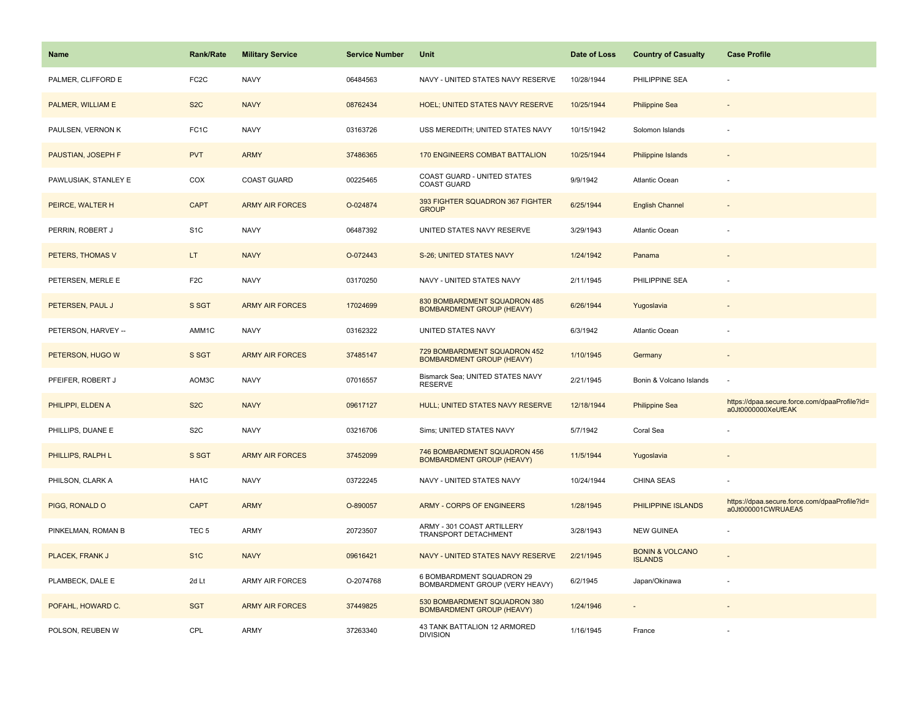| <b>Name</b>          | <b>Rank/Rate</b>  | <b>Military Service</b> | <b>Service Number</b> | Unit                                                             | Date of Loss | <b>Country of Casualty</b>                   | <b>Case Profile</b>                                                 |
|----------------------|-------------------|-------------------------|-----------------------|------------------------------------------------------------------|--------------|----------------------------------------------|---------------------------------------------------------------------|
| PALMER, CLIFFORD E   | FC <sub>2</sub> C | <b>NAVY</b>             | 06484563              | NAVY - UNITED STATES NAVY RESERVE                                | 10/28/1944   | PHILIPPINE SEA                               |                                                                     |
| PALMER, WILLIAM E    | S <sub>2</sub> C  | <b>NAVY</b>             | 08762434              | HOEL; UNITED STATES NAVY RESERVE                                 | 10/25/1944   | <b>Philippine Sea</b>                        |                                                                     |
| PAULSEN, VERNON K    | FC <sub>1</sub> C | <b>NAVY</b>             | 03163726              | USS MEREDITH; UNITED STATES NAVY                                 | 10/15/1942   | Solomon Islands                              |                                                                     |
| PAUSTIAN, JOSEPH F   | <b>PVT</b>        | <b>ARMY</b>             | 37486365              | <b>170 ENGINEERS COMBAT BATTALION</b>                            | 10/25/1944   | <b>Philippine Islands</b>                    |                                                                     |
| PAWLUSIAK, STANLEY E | COX               | <b>COAST GUARD</b>      | 00225465              | COAST GUARD - UNITED STATES<br><b>COAST GUARD</b>                | 9/9/1942     | <b>Atlantic Ocean</b>                        |                                                                     |
| PEIRCE, WALTER H     | <b>CAPT</b>       | <b>ARMY AIR FORCES</b>  | O-024874              | 393 FIGHTER SQUADRON 367 FIGHTER<br><b>GROUP</b>                 | 6/25/1944    | <b>English Channel</b>                       |                                                                     |
| PERRIN, ROBERT J     | S <sub>1</sub> C  | <b>NAVY</b>             | 06487392              | UNITED STATES NAVY RESERVE                                       | 3/29/1943    | <b>Atlantic Ocean</b>                        |                                                                     |
| PETERS, THOMAS V     | LT.               | <b>NAVY</b>             | O-072443              | S-26; UNITED STATES NAVY                                         | 1/24/1942    | Panama                                       |                                                                     |
| PETERSEN, MERLE E    | F <sub>2</sub> C  | <b>NAVY</b>             | 03170250              | NAVY - UNITED STATES NAVY                                        | 2/11/1945    | PHILIPPINE SEA                               |                                                                     |
| PETERSEN, PAUL J     | S SGT             | <b>ARMY AIR FORCES</b>  | 17024699              | 830 BOMBARDMENT SQUADRON 485<br><b>BOMBARDMENT GROUP (HEAVY)</b> | 6/26/1944    | Yugoslavia                                   |                                                                     |
| PETERSON, HARVEY --  | AMM1C             | <b>NAVY</b>             | 03162322              | UNITED STATES NAVY                                               | 6/3/1942     | <b>Atlantic Ocean</b>                        |                                                                     |
| PETERSON, HUGO W     | S SGT             | <b>ARMY AIR FORCES</b>  | 37485147              | 729 BOMBARDMENT SQUADRON 452<br><b>BOMBARDMENT GROUP (HEAVY)</b> | 1/10/1945    | Germany                                      |                                                                     |
| PFEIFER, ROBERT J    | AOM3C             | <b>NAVY</b>             | 07016557              | Bismarck Sea; UNITED STATES NAVY<br><b>RESERVE</b>               | 2/21/1945    | Bonin & Volcano Islands                      |                                                                     |
| PHILIPPI, ELDEN A    | S <sub>2</sub> C  | <b>NAVY</b>             | 09617127              | HULL; UNITED STATES NAVY RESERVE                                 | 12/18/1944   | <b>Philippine Sea</b>                        | https://dpaa.secure.force.com/dpaaProfile?id=<br>a0Jt0000000XeUfEAK |
| PHILLIPS, DUANE E    | S <sub>2</sub> C  | <b>NAVY</b>             | 03216706              | Sims; UNITED STATES NAVY                                         | 5/7/1942     | Coral Sea                                    |                                                                     |
| PHILLIPS, RALPH L    | S SGT             | <b>ARMY AIR FORCES</b>  | 37452099              | 746 BOMBARDMENT SQUADRON 456<br><b>BOMBARDMENT GROUP (HEAVY)</b> | 11/5/1944    | Yugoslavia                                   |                                                                     |
| PHILSON, CLARK A     | HA <sub>1</sub> C | <b>NAVY</b>             | 03722245              | NAVY - UNITED STATES NAVY                                        | 10/24/1944   | <b>CHINA SEAS</b>                            |                                                                     |
| PIGG, RONALD O       | <b>CAPT</b>       | <b>ARMY</b>             | O-890057              | ARMY - CORPS OF ENGINEERS                                        | 1/28/1945    | PHILIPPINE ISLANDS                           | https://dpaa.secure.force.com/dpaaProfile?id=<br>a0Jt000001CWRUAEA5 |
| PINKELMAN, ROMAN B   | TEC <sub>5</sub>  | ARMY                    | 20723507              | ARMY - 301 COAST ARTILLERY<br>TRANSPORT DETACHMENT               | 3/28/1943    | <b>NEW GUINEA</b>                            |                                                                     |
| PLACEK, FRANK J      | S <sub>1C</sub>   | <b>NAVY</b>             | 09616421              | NAVY - UNITED STATES NAVY RESERVE                                | 2/21/1945    | <b>BONIN &amp; VOLCANO</b><br><b>ISLANDS</b> |                                                                     |
| PLAMBECK, DALE E     | 2d Lt             | <b>ARMY AIR FORCES</b>  | O-2074768             | 6 BOMBARDMENT SQUADRON 29<br>BOMBARDMENT GROUP (VERY HEAVY)      | 6/2/1945     | Japan/Okinawa                                |                                                                     |
| POFAHL, HOWARD C.    | <b>SGT</b>        | <b>ARMY AIR FORCES</b>  | 37449825              | 530 BOMBARDMENT SQUADRON 380<br><b>BOMBARDMENT GROUP (HEAVY)</b> | 1/24/1946    | $\overline{\phantom{a}}$                     |                                                                     |
| POLSON, REUBEN W     | CPL               | ARMY                    | 37263340              | 43 TANK BATTALION 12 ARMORED<br><b>DIVISION</b>                  | 1/16/1945    | France                                       |                                                                     |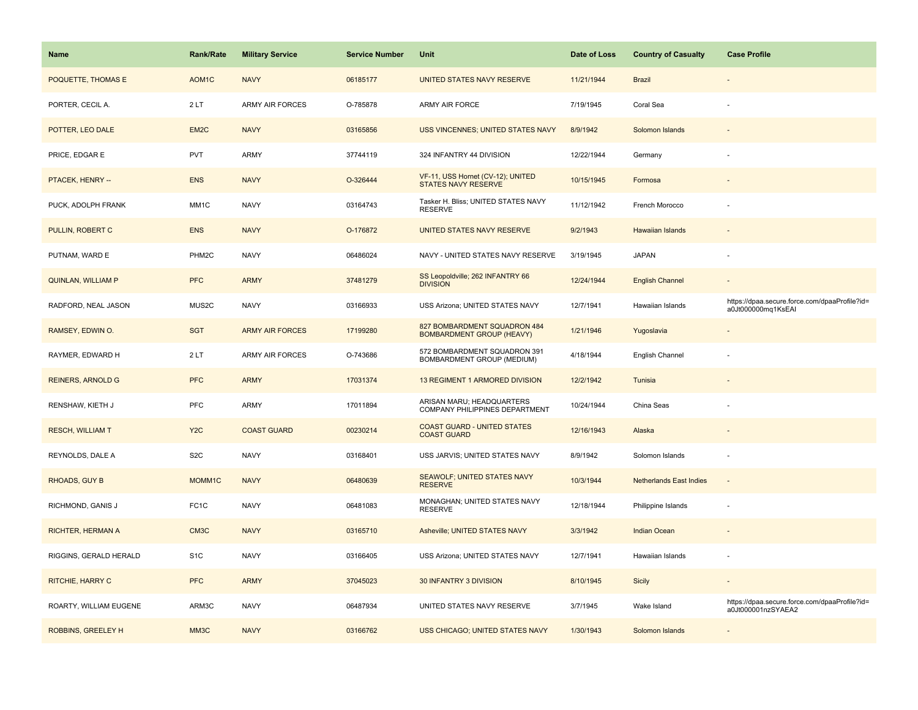| Name                      | <b>Rank/Rate</b>   | <b>Military Service</b> | <b>Service Number</b> | Unit                                                             | Date of Loss | <b>Country of Casualty</b>     | <b>Case Profile</b>                                                 |
|---------------------------|--------------------|-------------------------|-----------------------|------------------------------------------------------------------|--------------|--------------------------------|---------------------------------------------------------------------|
| POQUETTE, THOMAS E        | AOM <sub>1</sub> C | <b>NAVY</b>             | 06185177              | UNITED STATES NAVY RESERVE                                       | 11/21/1944   | <b>Brazil</b>                  |                                                                     |
| PORTER, CECIL A.          | 2LT                | <b>ARMY AIR FORCES</b>  | O-785878              | ARMY AIR FORCE                                                   | 7/19/1945    | Coral Sea                      |                                                                     |
| POTTER, LEO DALE          | EM <sub>2</sub> C  | <b>NAVY</b>             | 03165856              | <b>USS VINCENNES; UNITED STATES NAVY</b>                         | 8/9/1942     | Solomon Islands                |                                                                     |
| PRICE, EDGAR E            | PVT                | <b>ARMY</b>             | 37744119              | 324 INFANTRY 44 DIVISION                                         | 12/22/1944   | Germany                        |                                                                     |
| PTACEK, HENRY --          | <b>ENS</b>         | <b>NAVY</b>             | O-326444              | VF-11, USS Hornet (CV-12); UNITED<br><b>STATES NAVY RESERVE</b>  | 10/15/1945   | Formosa                        |                                                                     |
| PUCK, ADOLPH FRANK        | MM1C               | <b>NAVY</b>             | 03164743              | Tasker H. Bliss; UNITED STATES NAVY<br><b>RESERVE</b>            | 11/12/1942   | French Morocco                 |                                                                     |
| PULLIN, ROBERT C          | <b>ENS</b>         | <b>NAVY</b>             | O-176872              | UNITED STATES NAVY RESERVE                                       | 9/2/1943     | Hawaiian Islands               |                                                                     |
| PUTNAM, WARD E            | PHM2C              | <b>NAVY</b>             | 06486024              | NAVY - UNITED STATES NAVY RESERVE                                | 3/19/1945    | <b>JAPAN</b>                   |                                                                     |
| <b>QUINLAN, WILLIAM P</b> | <b>PFC</b>         | <b>ARMY</b>             | 37481279              | SS Leopoldville; 262 INFANTRY 66<br><b>DIVISION</b>              | 12/24/1944   | <b>English Channel</b>         |                                                                     |
| RADFORD, NEAL JASON       | MUS2C              | <b>NAVY</b>             | 03166933              | USS Arizona; UNITED STATES NAVY                                  | 12/7/1941    | Hawaiian Islands               | https://dpaa.secure.force.com/dpaaProfile?id=<br>a0Jt000000mq1KsEAI |
| RAMSEY, EDWIN O.          | <b>SGT</b>         | <b>ARMY AIR FORCES</b>  | 17199280              | 827 BOMBARDMENT SQUADRON 484<br><b>BOMBARDMENT GROUP (HEAVY)</b> | 1/21/1946    | Yugoslavia                     |                                                                     |
| RAYMER, EDWARD H          | 2LT                | <b>ARMY AIR FORCES</b>  | O-743686              | 572 BOMBARDMENT SQUADRON 391<br>BOMBARDMENT GROUP (MEDIUM)       | 4/18/1944    | English Channel                |                                                                     |
| <b>REINERS, ARNOLD G</b>  | <b>PFC</b>         | <b>ARMY</b>             | 17031374              | 13 REGIMENT 1 ARMORED DIVISION                                   | 12/2/1942    | Tunisia                        |                                                                     |
| RENSHAW, KIETH J          | PFC                | <b>ARMY</b>             | 17011894              | ARISAN MARU; HEADQUARTERS<br>COMPANY PHILIPPINES DEPARTMENT      | 10/24/1944   | China Seas                     |                                                                     |
| <b>RESCH, WILLIAM T</b>   | Y <sub>2</sub> C   | <b>COAST GUARD</b>      | 00230214              | <b>COAST GUARD - UNITED STATES</b><br><b>COAST GUARD</b>         | 12/16/1943   | Alaska                         |                                                                     |
| REYNOLDS, DALE A          | S <sub>2</sub> C   | <b>NAVY</b>             | 03168401              | USS JARVIS; UNITED STATES NAVY                                   | 8/9/1942     | Solomon Islands                |                                                                     |
| RHOADS, GUY B             | MOMM1C             | <b>NAVY</b>             | 06480639              | SEAWOLF; UNITED STATES NAVY<br><b>RESERVE</b>                    | 10/3/1944    | <b>Netherlands East Indies</b> |                                                                     |
| RICHMOND, GANIS J         | FC <sub>1</sub> C  | <b>NAVY</b>             | 06481083              | MONAGHAN; UNITED STATES NAVY<br><b>RESERVE</b>                   | 12/18/1944   | Philippine Islands             |                                                                     |
| <b>RICHTER, HERMAN A</b>  | CM3C               | <b>NAVY</b>             | 03165710              | Asheville; UNITED STATES NAVY                                    | 3/3/1942     | <b>Indian Ocean</b>            |                                                                     |
| RIGGINS, GERALD HERALD    | S <sub>1</sub> C   | <b>NAVY</b>             | 03166405              | USS Arizona; UNITED STATES NAVY                                  | 12/7/1941    | Hawaiian Islands               |                                                                     |
| RITCHIE, HARRY C          | <b>PFC</b>         | <b>ARMY</b>             | 37045023              | 30 INFANTRY 3 DIVISION                                           | 8/10/1945    | <b>Sicily</b>                  |                                                                     |
| ROARTY, WILLIAM EUGENE    | ARM3C              | <b>NAVY</b>             | 06487934              | UNITED STATES NAVY RESERVE                                       | 3/7/1945     | Wake Island                    | https://dpaa.secure.force.com/dpaaProfile?id=<br>a0Jt000001nzSYAEA2 |
| ROBBINS, GREELEY H        | MM3C               | <b>NAVY</b>             | 03166762              | USS CHICAGO; UNITED STATES NAVY                                  | 1/30/1943    | Solomon Islands                |                                                                     |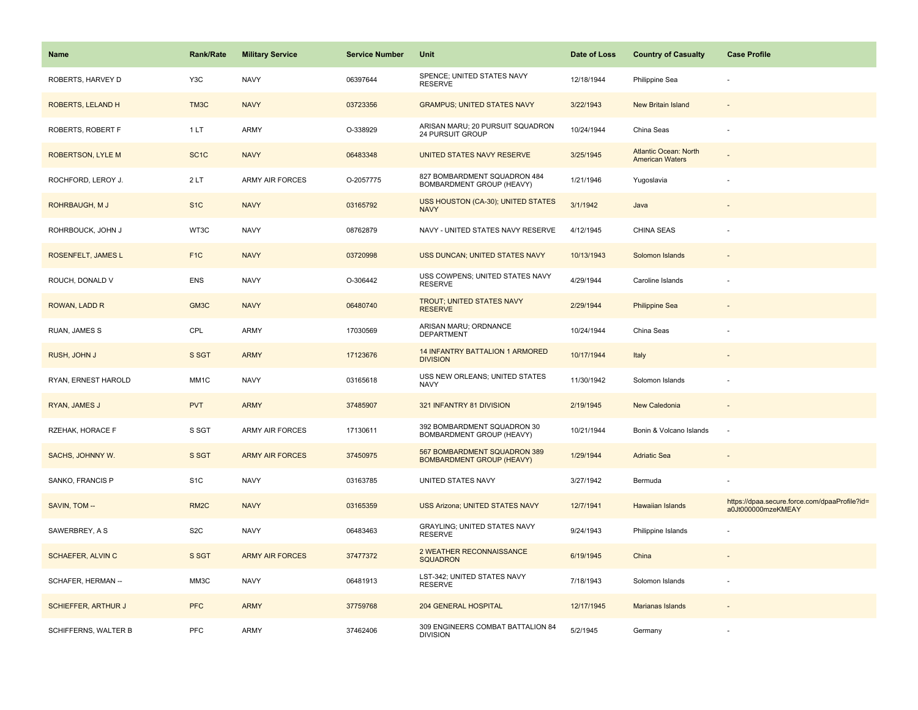| <b>Name</b>                | <b>Rank/Rate</b>  | <b>Military Service</b> | <b>Service Number</b> | Unit                                                             | Date of Loss | <b>Country of Casualty</b>                      | <b>Case Profile</b>                                                 |
|----------------------------|-------------------|-------------------------|-----------------------|------------------------------------------------------------------|--------------|-------------------------------------------------|---------------------------------------------------------------------|
| ROBERTS, HARVEY D          | Y3C               | <b>NAVY</b>             | 06397644              | SPENCE; UNITED STATES NAVY<br><b>RESERVE</b>                     | 12/18/1944   | Philippine Sea                                  |                                                                     |
| ROBERTS, LELAND H          | TM3C              | <b>NAVY</b>             | 03723356              | <b>GRAMPUS; UNITED STATES NAVY</b>                               | 3/22/1943    | New Britain Island                              |                                                                     |
| ROBERTS, ROBERT F          | 1LT               | <b>ARMY</b>             | O-338929              | ARISAN MARU; 20 PURSUIT SQUADRON<br>24 PURSUIT GROUP             | 10/24/1944   | China Seas                                      |                                                                     |
| <b>ROBERTSON, LYLE M</b>   | SC <sub>1</sub> C | <b>NAVY</b>             | 06483348              | UNITED STATES NAVY RESERVE                                       | 3/25/1945    | Atlantic Ocean: North<br><b>American Waters</b> |                                                                     |
| ROCHFORD, LEROY J.         | 2LT               | <b>ARMY AIR FORCES</b>  | O-2057775             | 827 BOMBARDMENT SQUADRON 484<br>BOMBARDMENT GROUP (HEAVY)        | 1/21/1946    | Yugoslavia                                      |                                                                     |
| ROHRBAUGH, M J             | S <sub>1</sub> C  | <b>NAVY</b>             | 03165792              | USS HOUSTON (CA-30); UNITED STATES<br><b>NAVY</b>                | 3/1/1942     | Java                                            |                                                                     |
| ROHRBOUCK, JOHN J          | WT3C              | <b>NAVY</b>             | 08762879              | NAVY - UNITED STATES NAVY RESERVE                                | 4/12/1945    | <b>CHINA SEAS</b>                               |                                                                     |
| ROSENFELT, JAMES L         | F <sub>1C</sub>   | <b>NAVY</b>             | 03720998              | USS DUNCAN; UNITED STATES NAVY                                   | 10/13/1943   | Solomon Islands                                 |                                                                     |
| ROUCH, DONALD V            | <b>ENS</b>        | <b>NAVY</b>             | O-306442              | USS COWPENS; UNITED STATES NAVY<br><b>RESERVE</b>                | 4/29/1944    | Caroline Islands                                |                                                                     |
| ROWAN, LADD R              | GM3C              | <b>NAVY</b>             | 06480740              | TROUT; UNITED STATES NAVY<br><b>RESERVE</b>                      | 2/29/1944    | <b>Philippine Sea</b>                           |                                                                     |
| RUAN, JAMES S              | CPL               | ARMY                    | 17030569              | ARISAN MARU; ORDNANCE<br><b>DEPARTMENT</b>                       | 10/24/1944   | China Seas                                      |                                                                     |
| RUSH, JOHN J               | S SGT             | <b>ARMY</b>             | 17123676              | 14 INFANTRY BATTALION 1 ARMORED<br><b>DIVISION</b>               | 10/17/1944   | Italy                                           |                                                                     |
| RYAN, ERNEST HAROLD        | MM <sub>1</sub> C | <b>NAVY</b>             | 03165618              | USS NEW ORLEANS; UNITED STATES<br><b>NAVY</b>                    | 11/30/1942   | Solomon Islands                                 |                                                                     |
| RYAN, JAMES J              | <b>PVT</b>        | <b>ARMY</b>             | 37485907              | 321 INFANTRY 81 DIVISION                                         | 2/19/1945    | New Caledonia                                   | $\sim$                                                              |
| RZEHAK, HORACE F           | S SGT             | ARMY AIR FORCES         | 17130611              | 392 BOMBARDMENT SQUADRON 30<br>BOMBARDMENT GROUP (HEAVY)         | 10/21/1944   | Bonin & Volcano Islands                         | $\overline{\phantom{a}}$                                            |
| SACHS, JOHNNY W.           | S SGT             | <b>ARMY AIR FORCES</b>  | 37450975              | 567 BOMBARDMENT SQUADRON 389<br><b>BOMBARDMENT GROUP (HEAVY)</b> | 1/29/1944    | <b>Adriatic Sea</b>                             |                                                                     |
| SANKO, FRANCIS P           | S <sub>1</sub> C  | <b>NAVY</b>             | 03163785              | UNITED STATES NAVY                                               | 3/27/1942    | Bermuda                                         |                                                                     |
| SAVIN, TOM --              | RM <sub>2</sub> C | <b>NAVY</b>             | 03165359              | <b>USS Arizona; UNITED STATES NAVY</b>                           | 12/7/1941    | <b>Hawaiian Islands</b>                         | https://dpaa.secure.force.com/dpaaProfile?id=<br>a0Jt000000mzeKMEAY |
| SAWERBREY, A S             | S <sub>2</sub> C  | <b>NAVY</b>             | 06483463              | <b>GRAYLING: UNITED STATES NAVY</b><br><b>RESERVE</b>            | 9/24/1943    | Philippine Islands                              |                                                                     |
| <b>SCHAEFER, ALVIN C</b>   | S SGT             | <b>ARMY AIR FORCES</b>  | 37477372              | 2 WEATHER RECONNAISSANCE<br><b>SQUADRON</b>                      | 6/19/1945    | China                                           |                                                                     |
| SCHAFER, HERMAN --         | MM3C              | <b>NAVY</b>             | 06481913              | LST-342; UNITED STATES NAVY<br><b>RESERVE</b>                    | 7/18/1943    | Solomon Islands                                 |                                                                     |
| <b>SCHIEFFER, ARTHUR J</b> | <b>PFC</b>        | <b>ARMY</b>             | 37759768              | 204 GENERAL HOSPITAL                                             | 12/17/1945   | Marianas Islands                                |                                                                     |
| SCHIFFERNS, WALTER B       | <b>PFC</b>        | ARMY                    | 37462406              | 309 ENGINEERS COMBAT BATTALION 84<br><b>DIVISION</b>             | 5/2/1945     | Germany                                         |                                                                     |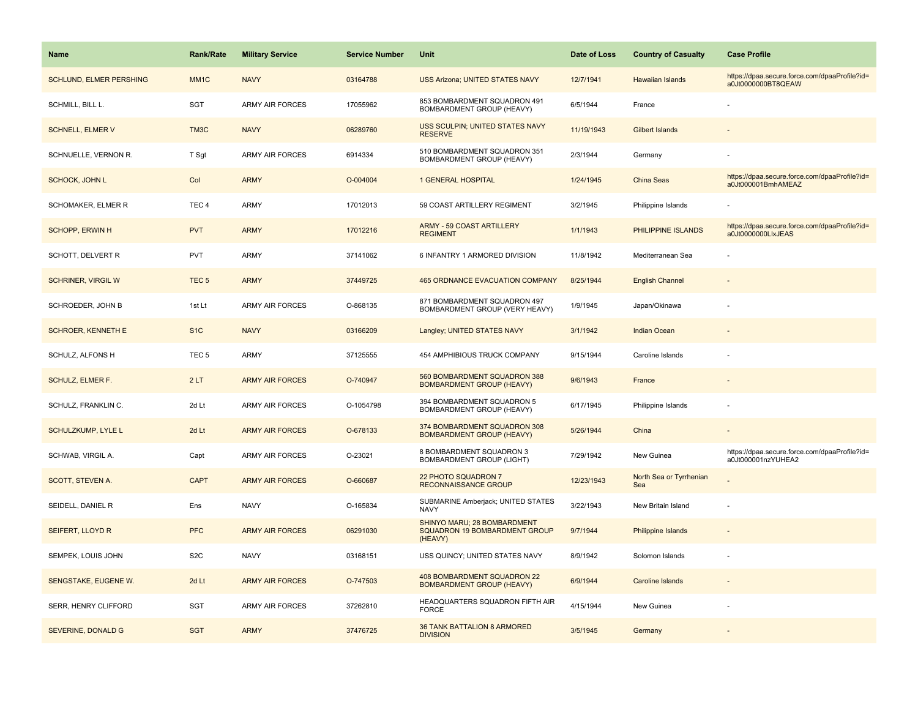| <b>Name</b>               | <b>Rank/Rate</b>  | <b>Military Service</b> | <b>Service Number</b> | Unit                                                                    | Date of Loss | <b>Country of Casualty</b>     | <b>Case Profile</b>                                                 |
|---------------------------|-------------------|-------------------------|-----------------------|-------------------------------------------------------------------------|--------------|--------------------------------|---------------------------------------------------------------------|
| SCHLUND, ELMER PERSHING   | MM <sub>1</sub> C | <b>NAVY</b>             | 03164788              | <b>USS Arizona; UNITED STATES NAVY</b>                                  | 12/7/1941    | Hawaiian Islands               | https://dpaa.secure.force.com/dpaaProfile?id=<br>a0Jt0000000BT8QEAW |
| SCHMILL, BILL L.          | SGT               | <b>ARMY AIR FORCES</b>  | 17055962              | 853 BOMBARDMENT SQUADRON 491<br>BOMBARDMENT GROUP (HEAVY)               | 6/5/1944     | France                         |                                                                     |
| <b>SCHNELL, ELMER V</b>   | TM3C              | <b>NAVY</b>             | 06289760              | USS SCULPIN; UNITED STATES NAVY<br><b>RESERVE</b>                       | 11/19/1943   | <b>Gilbert Islands</b>         |                                                                     |
| SCHNUELLE, VERNON R.      | T Sgt             | <b>ARMY AIR FORCES</b>  | 6914334               | 510 BOMBARDMENT SQUADRON 351<br>BOMBARDMENT GROUP (HEAVY)               | 2/3/1944     | Germany                        |                                                                     |
| <b>SCHOCK, JOHN L</b>     | Col               | <b>ARMY</b>             | O-004004              | 1 GENERAL HOSPITAL                                                      | 1/24/1945    | China Seas                     | https://dpaa.secure.force.com/dpaaProfile?id=<br>a0Jt000001BmhAMEAZ |
| SCHOMAKER, ELMER R        | TEC <sub>4</sub>  | <b>ARMY</b>             | 17012013              | 59 COAST ARTILLERY REGIMENT                                             | 3/2/1945     | Philippine Islands             |                                                                     |
| <b>SCHOPP, ERWIN H</b>    | <b>PVT</b>        | <b>ARMY</b>             | 17012216              | <b>ARMY - 59 COAST ARTILLERY</b><br><b>REGIMENT</b>                     | 1/1/1943     | PHILIPPINE ISLANDS             | https://dpaa.secure.force.com/dpaaProfile?id=<br>a0Jt0000000LlxJEAS |
| SCHOTT, DELVERT R         | <b>PVT</b>        | <b>ARMY</b>             | 37141062              | 6 INFANTRY 1 ARMORED DIVISION                                           | 11/8/1942    | Mediterranean Sea              |                                                                     |
| <b>SCHRINER, VIRGIL W</b> | TEC <sub>5</sub>  | <b>ARMY</b>             | 37449725              | <b>465 ORDNANCE EVACUATION COMPANY</b>                                  | 8/25/1944    | <b>English Channel</b>         |                                                                     |
| SCHROEDER, JOHN B         | 1st Lt            | <b>ARMY AIR FORCES</b>  | O-868135              | 871 BOMBARDMENT SQUADRON 497<br>BOMBARDMENT GROUP (VERY HEAVY)          | 1/9/1945     | Japan/Okinawa                  |                                                                     |
| <b>SCHROER, KENNETH E</b> | S <sub>1</sub> C  | <b>NAVY</b>             | 03166209              | Langley; UNITED STATES NAVY                                             | 3/1/1942     | <b>Indian Ocean</b>            |                                                                     |
| SCHULZ, ALFONS H          | TEC <sub>5</sub>  | <b>ARMY</b>             | 37125555              | 454 AMPHIBIOUS TRUCK COMPANY                                            | 9/15/1944    | Caroline Islands               |                                                                     |
| <b>SCHULZ, ELMER F.</b>   | 2LT               | <b>ARMY AIR FORCES</b>  | O-740947              | 560 BOMBARDMENT SQUADRON 388<br><b>BOMBARDMENT GROUP (HEAVY)</b>        | 9/6/1943     | France                         |                                                                     |
| SCHULZ, FRANKLIN C.       | 2d Lt             | <b>ARMY AIR FORCES</b>  | O-1054798             | 394 BOMBARDMENT SQUADRON 5<br>BOMBARDMENT GROUP (HEAVY)                 | 6/17/1945    | Philippine Islands             |                                                                     |
| <b>SCHULZKUMP, LYLE L</b> | 2d Lt             | <b>ARMY AIR FORCES</b>  | O-678133              | 374 BOMBARDMENT SQUADRON 308<br><b>BOMBARDMENT GROUP (HEAVY)</b>        | 5/26/1944    | China                          |                                                                     |
| SCHWAB, VIRGIL A.         | Capt              | <b>ARMY AIR FORCES</b>  | O-23021               | 8 BOMBARDMENT SQUADRON 3<br><b>BOMBARDMENT GROUP (LIGHT)</b>            | 7/29/1942    | New Guinea                     | https://dpaa.secure.force.com/dpaaProfile?id=<br>a0Jt000001nzYUHEA2 |
| SCOTT, STEVEN A.          | <b>CAPT</b>       | <b>ARMY AIR FORCES</b>  | O-660687              | <b>22 PHOTO SQUADRON 7</b><br><b>RECONNAISSANCE GROUP</b>               | 12/23/1943   | North Sea or Tyrrhenian<br>Sea |                                                                     |
| SEIDELL, DANIEL R         | Ens               | <b>NAVY</b>             | O-165834              | SUBMARINE Amberjack; UNITED STATES<br><b>NAVY</b>                       | 3/22/1943    | New Britain Island             |                                                                     |
| SEIFERT, LLOYD R          | <b>PFC</b>        | <b>ARMY AIR FORCES</b>  | 06291030              | SHINYO MARU; 28 BOMBARDMENT<br>SQUADRON 19 BOMBARDMENT GROUP<br>(HEAVY) | 9/7/1944     | <b>Philippine Islands</b>      |                                                                     |
| SEMPEK, LOUIS JOHN        | S <sub>2</sub> C  | <b>NAVY</b>             | 03168151              | USS QUINCY; UNITED STATES NAVY                                          | 8/9/1942     | Solomon Islands                |                                                                     |
| SENGSTAKE, EUGENE W.      | 2d Lt             | <b>ARMY AIR FORCES</b>  | O-747503              | <b>408 BOMBARDMENT SQUADRON 22</b><br><b>BOMBARDMENT GROUP (HEAVY)</b>  | 6/9/1944     | <b>Caroline Islands</b>        |                                                                     |
| SERR, HENRY CLIFFORD      | SGT               | <b>ARMY AIR FORCES</b>  | 37262810              | HEADQUARTERS SQUADRON FIFTH AIR<br><b>FORCE</b>                         | 4/15/1944    | New Guinea                     |                                                                     |
| SEVERINE, DONALD G        | <b>SGT</b>        | <b>ARMY</b>             | 37476725              | <b>36 TANK BATTALION 8 ARMORED</b><br><b>DIVISION</b>                   | 3/5/1945     | Germany                        |                                                                     |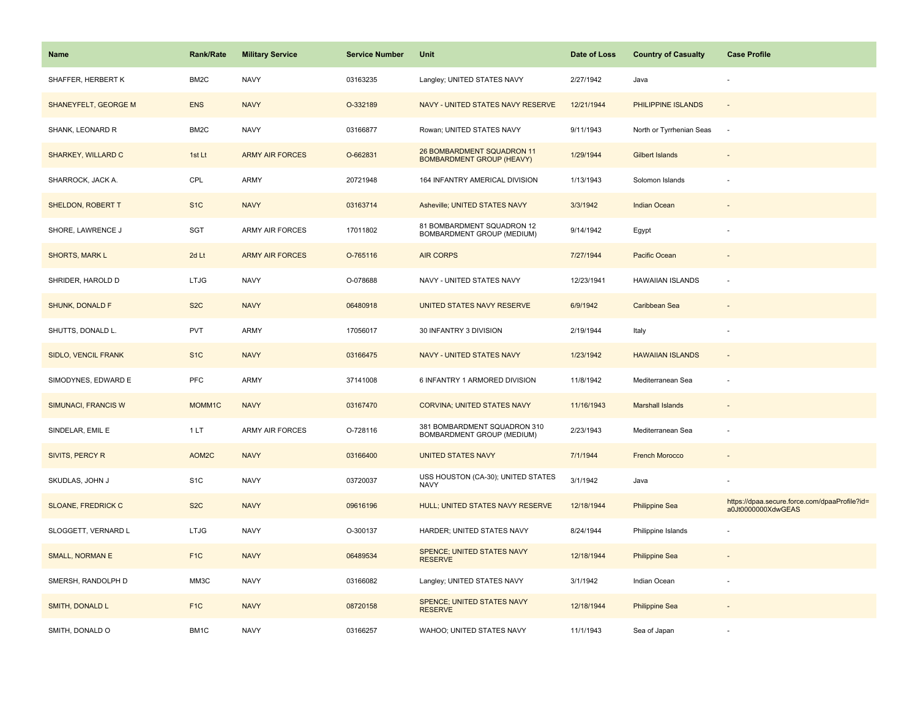| Name                       | <b>Rank/Rate</b>  | <b>Military Service</b> | <b>Service Number</b> | Unit                                                           | Date of Loss | <b>Country of Casualty</b> | <b>Case Profile</b>                                                 |
|----------------------------|-------------------|-------------------------|-----------------------|----------------------------------------------------------------|--------------|----------------------------|---------------------------------------------------------------------|
| SHAFFER, HERBERT K         | BM2C              | <b>NAVY</b>             | 03163235              | Langley; UNITED STATES NAVY                                    | 2/27/1942    | Java                       |                                                                     |
| SHANEYFELT, GEORGE M       | <b>ENS</b>        | <b>NAVY</b>             | O-332189              | NAVY - UNITED STATES NAVY RESERVE                              | 12/21/1944   | PHILIPPINE ISLANDS         | $\sim$                                                              |
| SHANK, LEONARD R           | BM <sub>2</sub> C | <b>NAVY</b>             | 03166877              | Rowan; UNITED STATES NAVY                                      | 9/11/1943    | North or Tyrrhenian Seas   | $\sim$                                                              |
| SHARKEY, WILLARD C         | 1st Lt            | <b>ARMY AIR FORCES</b>  | O-662831              | 26 BOMBARDMENT SQUADRON 11<br><b>BOMBARDMENT GROUP (HEAVY)</b> | 1/29/1944    | Gilbert Islands            |                                                                     |
| SHARROCK, JACK A.          | CPL               | <b>ARMY</b>             | 20721948              | 164 INFANTRY AMERICAL DIVISION                                 | 1/13/1943    | Solomon Islands            |                                                                     |
| SHELDON, ROBERT T          | S <sub>1</sub> C  | <b>NAVY</b>             | 03163714              | Asheville; UNITED STATES NAVY                                  | 3/3/1942     | Indian Ocean               |                                                                     |
| SHORE, LAWRENCE J          | SGT               | ARMY AIR FORCES         | 17011802              | 81 BOMBARDMENT SQUADRON 12<br>BOMBARDMENT GROUP (MEDIUM)       | 9/14/1942    | Egypt                      |                                                                     |
| SHORTS, MARK L             | 2d Lt             | <b>ARMY AIR FORCES</b>  | O-765116              | <b>AIR CORPS</b>                                               | 7/27/1944    | Pacific Ocean              |                                                                     |
| SHRIDER, HAROLD D          | <b>LTJG</b>       | <b>NAVY</b>             | O-078688              | NAVY - UNITED STATES NAVY                                      | 12/23/1941   | <b>HAWAIIAN ISLANDS</b>    | $\overline{\phantom{a}}$                                            |
| SHUNK, DONALD F            | S <sub>2</sub> C  | <b>NAVY</b>             | 06480918              | UNITED STATES NAVY RESERVE                                     | 6/9/1942     | Caribbean Sea              |                                                                     |
| SHUTTS, DONALD L.          | PVT               | <b>ARMY</b>             | 17056017              | 30 INFANTRY 3 DIVISION                                         | 2/19/1944    | Italy                      |                                                                     |
| SIDLO, VENCIL FRANK        | S <sub>1C</sub>   | <b>NAVY</b>             | 03166475              | NAVY - UNITED STATES NAVY                                      | 1/23/1942    | <b>HAWAIIAN ISLANDS</b>    | $\sim$                                                              |
| SIMODYNES, EDWARD E        | <b>PFC</b>        | ARMY                    | 37141008              | 6 INFANTRY 1 ARMORED DIVISION                                  | 11/8/1942    | Mediterranean Sea          | $\overline{\phantom{a}}$                                            |
| <b>SIMUNACI, FRANCIS W</b> | MOMM1C            | <b>NAVY</b>             | 03167470              | <b>CORVINA: UNITED STATES NAVY</b>                             | 11/16/1943   | <b>Marshall Islands</b>    |                                                                     |
| SINDELAR, EMIL E           | 1LT               | <b>ARMY AIR FORCES</b>  | O-728116              | 381 BOMBARDMENT SQUADRON 310<br>BOMBARDMENT GROUP (MEDIUM)     | 2/23/1943    | Mediterranean Sea          | $\sim$                                                              |
| SIVITS, PERCY R            | AOM2C             | <b>NAVY</b>             | 03166400              | <b>UNITED STATES NAVY</b>                                      | 7/1/1944     | <b>French Morocco</b>      |                                                                     |
| SKUDLAS, JOHN J            | S <sub>1</sub> C  | <b>NAVY</b>             | 03720037              | USS HOUSTON (CA-30); UNITED STATES<br><b>NAVY</b>              | 3/1/1942     | Java                       |                                                                     |
| <b>SLOANE, FREDRICK C</b>  | S <sub>2</sub> C  | <b>NAVY</b>             | 09616196              | HULL; UNITED STATES NAVY RESERVE                               | 12/18/1944   | <b>Philippine Sea</b>      | https://dpaa.secure.force.com/dpaaProfile?id=<br>a0Jt0000000XdwGEAS |
| SLOGGETT, VERNARD L        | <b>LTJG</b>       | <b>NAVY</b>             | O-300137              | HARDER; UNITED STATES NAVY                                     | 8/24/1944    | Philippine Islands         |                                                                     |
| SMALL, NORMAN E            | F <sub>1C</sub>   | <b>NAVY</b>             | 06489534              | SPENCE; UNITED STATES NAVY<br><b>RESERVE</b>                   | 12/18/1944   | <b>Philippine Sea</b>      |                                                                     |
| SMERSH, RANDOLPH D         | MM3C              | <b>NAVY</b>             | 03166082              | Langley; UNITED STATES NAVY                                    | 3/1/1942     | Indian Ocean               |                                                                     |
| <b>SMITH, DONALD L</b>     | F <sub>1</sub> C  | <b>NAVY</b>             | 08720158              | SPENCE; UNITED STATES NAVY<br><b>RESERVE</b>                   | 12/18/1944   | <b>Philippine Sea</b>      |                                                                     |
| SMITH, DONALD O            | BM1C              | <b>NAVY</b>             | 03166257              | WAHOO; UNITED STATES NAVY                                      | 11/1/1943    | Sea of Japan               |                                                                     |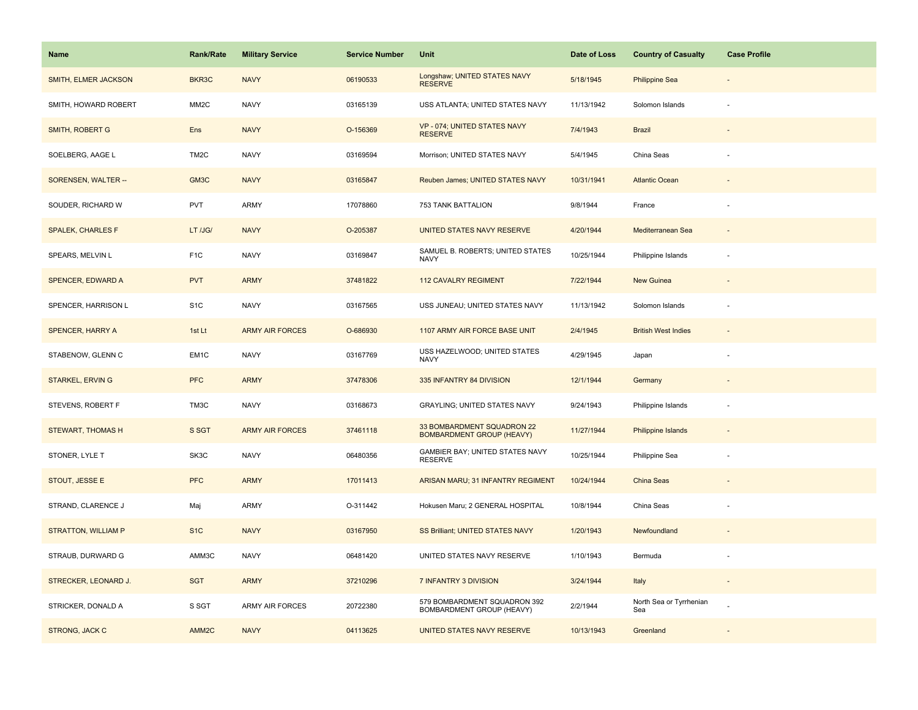| Name                       | <b>Rank/Rate</b>  | <b>Military Service</b> | <b>Service Number</b> | Unit                                                           | Date of Loss | <b>Country of Casualty</b>     | <b>Case Profile</b>      |
|----------------------------|-------------------|-------------------------|-----------------------|----------------------------------------------------------------|--------------|--------------------------------|--------------------------|
| SMITH, ELMER JACKSON       | BKR3C             | <b>NAVY</b>             | 06190533              | Longshaw; UNITED STATES NAVY<br><b>RESERVE</b>                 | 5/18/1945    | <b>Philippine Sea</b>          |                          |
| SMITH, HOWARD ROBERT       | MM <sub>2</sub> C | <b>NAVY</b>             | 03165139              | USS ATLANTA; UNITED STATES NAVY                                | 11/13/1942   | Solomon Islands                | $\sim$                   |
| <b>SMITH, ROBERT G</b>     | Ens               | <b>NAVY</b>             | O-156369              | VP - 074; UNITED STATES NAVY<br><b>RESERVE</b>                 | 7/4/1943     | <b>Brazil</b>                  |                          |
| SOELBERG, AAGE L           | TM <sub>2</sub> C | <b>NAVY</b>             | 03169594              | Morrison; UNITED STATES NAVY                                   | 5/4/1945     | China Seas                     |                          |
| SORENSEN, WALTER --        | GM <sub>3</sub> C | <b>NAVY</b>             | 03165847              | Reuben James; UNITED STATES NAVY                               | 10/31/1941   | <b>Atlantic Ocean</b>          |                          |
| SOUDER, RICHARD W          | PVT               | <b>ARMY</b>             | 17078860              | 753 TANK BATTALION                                             | 9/8/1944     | France                         |                          |
| <b>SPALEK, CHARLES F</b>   | LT /JG/           | <b>NAVY</b>             | O-205387              | UNITED STATES NAVY RESERVE                                     | 4/20/1944    | Mediterranean Sea              | $\overline{\phantom{a}}$ |
| SPEARS, MELVIN L           | F <sub>1</sub> C  | <b>NAVY</b>             | 03169847              | SAMUEL B. ROBERTS; UNITED STATES<br><b>NAVY</b>                | 10/25/1944   | Philippine Islands             | ÷,                       |
| <b>SPENCER, EDWARD A</b>   | <b>PVT</b>        | <b>ARMY</b>             | 37481822              | <b>112 CAVALRY REGIMENT</b>                                    | 7/22/1944    | <b>New Guinea</b>              |                          |
| SPENCER, HARRISON L        | S <sub>1</sub> C  | <b>NAVY</b>             | 03167565              | USS JUNEAU; UNITED STATES NAVY                                 | 11/13/1942   | Solomon Islands                | ÷,                       |
| <b>SPENCER, HARRY A</b>    | 1st Lt            | <b>ARMY AIR FORCES</b>  | O-686930              | 1107 ARMY AIR FORCE BASE UNIT                                  | 2/4/1945     | <b>British West Indies</b>     |                          |
| STABENOW, GLENN C          | EM <sub>1</sub> C | <b>NAVY</b>             | 03167769              | USS HAZELWOOD; UNITED STATES<br><b>NAVY</b>                    | 4/29/1945    | Japan                          |                          |
| <b>STARKEL, ERVING</b>     | <b>PFC</b>        | <b>ARMY</b>             | 37478306              | 335 INFANTRY 84 DIVISION                                       | 12/1/1944    | Germany                        | $\overline{\phantom{a}}$ |
| STEVENS, ROBERT F          | TM3C              | <b>NAVY</b>             | 03168673              | GRAYLING; UNITED STATES NAVY                                   | 9/24/1943    | Philippine Islands             | ÷,                       |
| <b>STEWART, THOMAS H</b>   | S SGT             | <b>ARMY AIR FORCES</b>  | 37461118              | 33 BOMBARDMENT SQUADRON 22<br><b>BOMBARDMENT GROUP (HEAVY)</b> | 11/27/1944   | <b>Philippine Islands</b>      | $\sim$                   |
| STONER, LYLE T             | SK3C              | <b>NAVY</b>             | 06480356              | GAMBIER BAY; UNITED STATES NAVY<br><b>RESERVE</b>              | 10/25/1944   | Philippine Sea                 | ÷,                       |
| STOUT, JESSE E             | <b>PFC</b>        | <b>ARMY</b>             | 17011413              | ARISAN MARU; 31 INFANTRY REGIMENT                              | 10/24/1944   | <b>China Seas</b>              |                          |
| STRAND, CLARENCE J         | Maj               | <b>ARMY</b>             | O-311442              | Hokusen Maru; 2 GENERAL HOSPITAL                               | 10/8/1944    | China Seas                     |                          |
| <b>STRATTON, WILLIAM P</b> | S <sub>1</sub> C  | <b>NAVY</b>             | 03167950              | SS Brilliant; UNITED STATES NAVY                               | 1/20/1943    | Newfoundland                   |                          |
| STRAUB, DURWARD G          | AMM3C             | <b>NAVY</b>             | 06481420              | UNITED STATES NAVY RESERVE                                     | 1/10/1943    | Bermuda                        |                          |
| STRECKER, LEONARD J.       | <b>SGT</b>        | <b>ARMY</b>             | 37210296              | 7 INFANTRY 3 DIVISION                                          | 3/24/1944    | Italy                          | $\overline{\phantom{a}}$ |
| STRICKER, DONALD A         | S SGT             | <b>ARMY AIR FORCES</b>  | 20722380              | 579 BOMBARDMENT SQUADRON 392<br>BOMBARDMENT GROUP (HEAVY)      | 2/2/1944     | North Sea or Tyrrhenian<br>Sea |                          |
| <b>STRONG, JACK C</b>      | AMM <sub>2C</sub> | <b>NAVY</b>             | 04113625              | UNITED STATES NAVY RESERVE                                     | 10/13/1943   | Greenland                      |                          |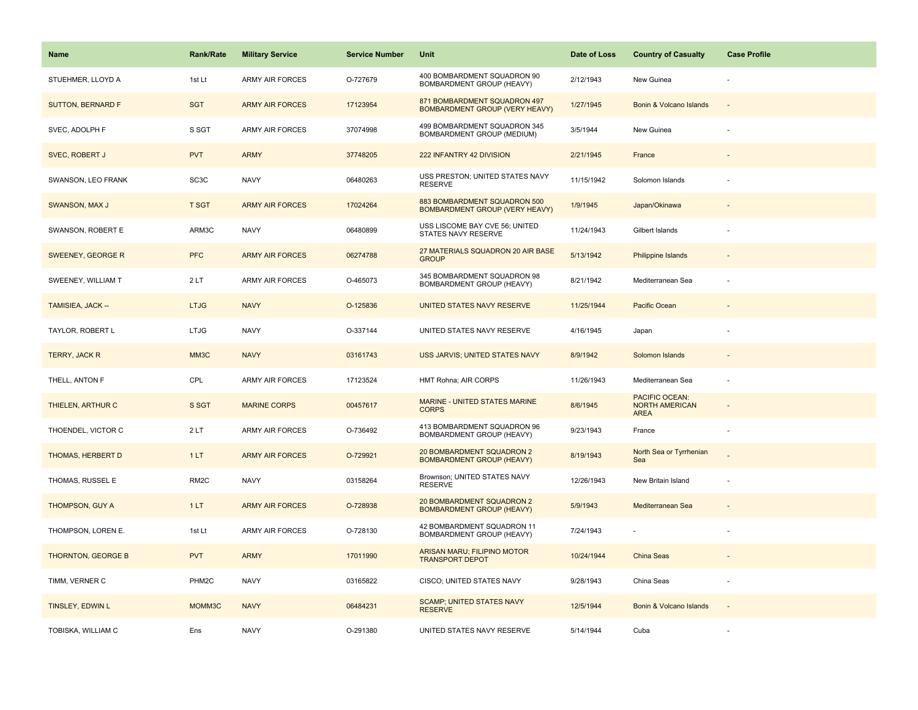| <b>Name</b>               | <b>Rank/Rate</b>   | <b>Military Service</b> | <b>Service Number</b> | Unit                                                                  | Date of Loss | <b>Country of Casualty</b>                             | <b>Case Profile</b> |
|---------------------------|--------------------|-------------------------|-----------------------|-----------------------------------------------------------------------|--------------|--------------------------------------------------------|---------------------|
| STUEHMER, LLOYD A         | 1st Lt             | <b>ARMY AIR FORCES</b>  | O-727679              | 400 BOMBARDMENT SQUADRON 90<br>BOMBARDMENT GROUP (HEAVY)              | 2/12/1943    | New Guinea                                             |                     |
| <b>SUTTON, BERNARD F</b>  | <b>SGT</b>         | <b>ARMY AIR FORCES</b>  | 17123954              | 871 BOMBARDMENT SQUADRON 497<br><b>BOMBARDMENT GROUP (VERY HEAVY)</b> | 1/27/1945    | Bonin & Volcano Islands                                | $\sim$              |
| SVEC, ADOLPH F            | S SGT              | <b>ARMY AIR FORCES</b>  | 37074998              | 499 BOMBARDMENT SQUADRON 345<br><b>BOMBARDMENT GROUP (MEDIUM)</b>     | 3/5/1944     | New Guinea                                             |                     |
| SVEC, ROBERT J            | <b>PVT</b>         | <b>ARMY</b>             | 37748205              | 222 INFANTRY 42 DIVISION                                              | 2/21/1945    | France                                                 |                     |
| SWANSON, LEO FRANK        | SC <sub>3</sub> C  | <b>NAVY</b>             | 06480263              | USS PRESTON; UNITED STATES NAVY<br><b>RESERVE</b>                     | 11/15/1942   | Solomon Islands                                        |                     |
| <b>SWANSON, MAX J</b>     | <b>T SGT</b>       | <b>ARMY AIR FORCES</b>  | 17024264              | 883 BOMBARDMENT SQUADRON 500<br><b>BOMBARDMENT GROUP (VERY HEAVY)</b> | 1/9/1945     | Japan/Okinawa                                          |                     |
| SWANSON, ROBERT E         | ARM3C              | <b>NAVY</b>             | 06480899              | USS LISCOME BAY CVE 56; UNITED<br>STATES NAVY RESERVE                 | 11/24/1943   | Gilbert Islands                                        |                     |
| SWEENEY, GEORGE R         | <b>PFC</b>         | <b>ARMY AIR FORCES</b>  | 06274788              | 27 MATERIALS SQUADRON 20 AIR BASE<br><b>GROUP</b>                     | 5/13/1942    | <b>Philippine Islands</b>                              |                     |
| SWEENEY, WILLIAM T        | 2LT                | ARMY AIR FORCES         | O-465073              | 345 BOMBARDMENT SQUADRON 98<br>BOMBARDMENT GROUP (HEAVY)              | 8/21/1942    | Mediterranean Sea                                      |                     |
| TAMISIEA, JACK --         | <b>LTJG</b>        | <b>NAVY</b>             | O-125836              | UNITED STATES NAVY RESERVE                                            | 11/25/1944   | Pacific Ocean                                          |                     |
| TAYLOR, ROBERT L          | <b>LTJG</b>        | <b>NAVY</b>             | O-337144              | UNITED STATES NAVY RESERVE                                            | 4/16/1945    | Japan                                                  |                     |
| TERRY, JACK R             | MM3C               | <b>NAVY</b>             | 03161743              | USS JARVIS; UNITED STATES NAVY                                        | 8/9/1942     | Solomon Islands                                        |                     |
| THELL, ANTON F            | CPL                | <b>ARMY AIR FORCES</b>  | 17123524              | HMT Rohna; AIR CORPS                                                  | 11/26/1943   | Mediterranean Sea                                      |                     |
| THIELEN, ARTHUR C         | S SGT              | <b>MARINE CORPS</b>     | 00457617              | <b>MARINE - UNITED STATES MARINE</b><br><b>CORPS</b>                  | 8/6/1945     | PACIFIC OCEAN:<br><b>NORTH AMERICAN</b><br><b>AREA</b> |                     |
| THOENDEL, VICTOR C        | 2LT                | <b>ARMY AIR FORCES</b>  | O-736492              | 413 BOMBARDMENT SQUADRON 96<br>BOMBARDMENT GROUP (HEAVY)              | 9/23/1943    | France                                                 | ÷,                  |
| <b>THOMAS, HERBERT D</b>  | 1LT                | <b>ARMY AIR FORCES</b>  | O-729921              | 20 BOMBARDMENT SQUADRON 2<br><b>BOMBARDMENT GROUP (HEAVY)</b>         | 8/19/1943    | North Sea or Tyrrhenian<br>Sea                         |                     |
| THOMAS, RUSSEL E          | RM <sub>2</sub> C  | <b>NAVY</b>             | 03158264              | Brownson; UNITED STATES NAVY<br><b>RESERVE</b>                        | 12/26/1943   | New Britain Island                                     |                     |
| <b>THOMPSON, GUY A</b>    | 1LT                | <b>ARMY AIR FORCES</b>  | O-728938              | 20 BOMBARDMENT SQUADRON 2<br><b>BOMBARDMENT GROUP (HEAVY)</b>         | 5/9/1943     | Mediterranean Sea                                      |                     |
| THOMPSON, LOREN E.        | 1st Lt             | <b>ARMY AIR FORCES</b>  | O-728130              | 42 BOMBARDMENT SQUADRON 11<br>BOMBARDMENT GROUP (HEAVY)               | 7/24/1943    |                                                        |                     |
| <b>THORNTON, GEORGE B</b> | <b>PVT</b>         | <b>ARMY</b>             | 17011990              | <b>ARISAN MARU; FILIPINO MOTOR</b><br><b>TRANSPORT DEPOT</b>          | 10/24/1944   | China Seas                                             |                     |
| TIMM, VERNER C            | PHM <sub>2</sub> C | <b>NAVY</b>             | 03165822              | CISCO; UNITED STATES NAVY                                             | 9/28/1943    | China Seas                                             | ÷,                  |
| TINSLEY, EDWIN L          | MOMM3C             | <b>NAVY</b>             | 06484231              | <b>SCAMP; UNITED STATES NAVY</b><br><b>RESERVE</b>                    | 12/5/1944    | Bonin & Volcano Islands                                | $\sim$              |
| TOBISKA, WILLIAM C        | Ens                | <b>NAVY</b>             | O-291380              | UNITED STATES NAVY RESERVE                                            | 5/14/1944    | Cuba                                                   |                     |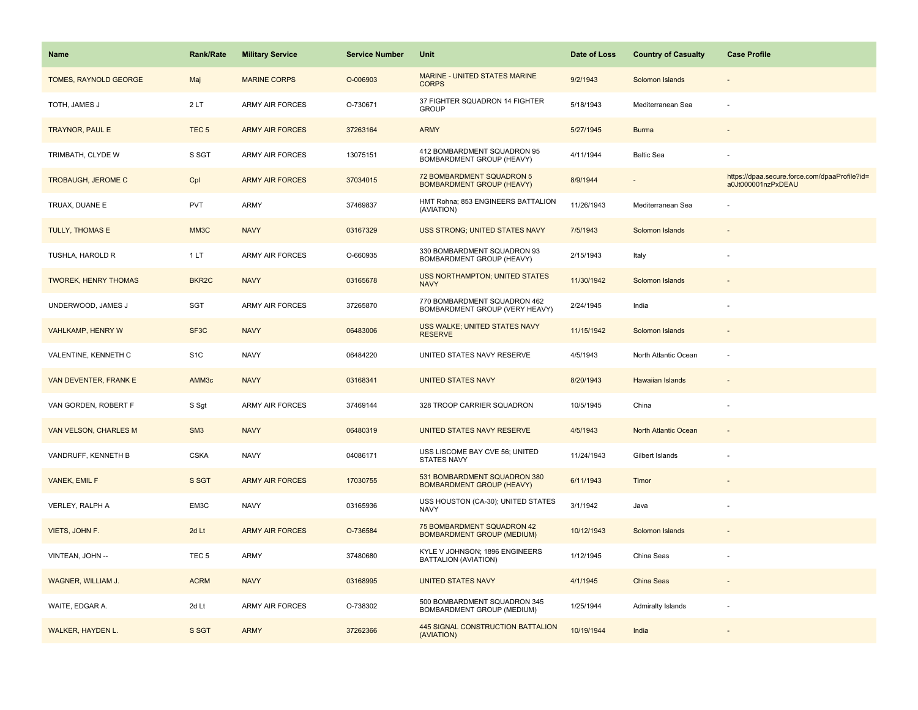| <b>Name</b>                 | Rank/Rate          | <b>Military Service</b> | <b>Service Number</b> | Unit                                                             | Date of Loss | <b>Country of Casualty</b> | <b>Case Profile</b>                                                 |
|-----------------------------|--------------------|-------------------------|-----------------------|------------------------------------------------------------------|--------------|----------------------------|---------------------------------------------------------------------|
| TOMES, RAYNOLD GEORGE       | Maj                | <b>MARINE CORPS</b>     | O-006903              | <b>MARINE - UNITED STATES MARINE</b><br><b>CORPS</b>             | 9/2/1943     | Solomon Islands            |                                                                     |
| TOTH, JAMES J               | 2LT                | ARMY AIR FORCES         | O-730671              | 37 FIGHTER SQUADRON 14 FIGHTER<br><b>GROUP</b>                   | 5/18/1943    | Mediterranean Sea          | ÷,                                                                  |
| <b>TRAYNOR, PAUL E</b>      | TEC <sub>5</sub>   | <b>ARMY AIR FORCES</b>  | 37263164              | <b>ARMY</b>                                                      | 5/27/1945    | <b>Burma</b>               |                                                                     |
| TRIMBATH, CLYDE W           | S SGT              | <b>ARMY AIR FORCES</b>  | 13075151              | 412 BOMBARDMENT SQUADRON 95<br>BOMBARDMENT GROUP (HEAVY)         | 4/11/1944    | <b>Baltic Sea</b>          |                                                                     |
| <b>TROBAUGH, JEROME C</b>   | Cpl                | <b>ARMY AIR FORCES</b>  | 37034015              | 72 BOMBARDMENT SQUADRON 5<br><b>BOMBARDMENT GROUP (HEAVY)</b>    | 8/9/1944     |                            | https://dpaa.secure.force.com/dpaaProfile?id=<br>a0Jt000001nzPxDEAU |
| TRUAX, DUANE E              | <b>PVT</b>         | <b>ARMY</b>             | 37469837              | HMT Rohna; 853 ENGINEERS BATTALION<br>(AVIATION)                 | 11/26/1943   | Mediterranean Sea          |                                                                     |
| <b>TULLY, THOMAS E</b>      | MM3C               | <b>NAVY</b>             | 03167329              | USS STRONG; UNITED STATES NAVY                                   | 7/5/1943     | Solomon Islands            |                                                                     |
| TUSHLA, HAROLD R            | 1LT                | <b>ARMY AIR FORCES</b>  | O-660935              | 330 BOMBARDMENT SQUADRON 93<br>BOMBARDMENT GROUP (HEAVY)         | 2/15/1943    | Italy                      |                                                                     |
| <b>TWOREK, HENRY THOMAS</b> | BKR <sub>2</sub> C | <b>NAVY</b>             | 03165678              | USS NORTHAMPTON; UNITED STATES<br><b>NAVY</b>                    | 11/30/1942   | Solomon Islands            |                                                                     |
| UNDERWOOD, JAMES J          | SGT                | <b>ARMY AIR FORCES</b>  | 37265870              | 770 BOMBARDMENT SQUADRON 462<br>BOMBARDMENT GROUP (VERY HEAVY)   | 2/24/1945    | India                      |                                                                     |
| VAHLKAMP, HENRY W           | SF3C               | <b>NAVY</b>             | 06483006              | USS WALKE; UNITED STATES NAVY<br><b>RESERVE</b>                  | 11/15/1942   | Solomon Islands            |                                                                     |
| VALENTINE, KENNETH C        | S <sub>1</sub> C   | <b>NAVY</b>             | 06484220              | UNITED STATES NAVY RESERVE                                       | 4/5/1943     | North Atlantic Ocean       |                                                                     |
| VAN DEVENTER, FRANK E       | AMM <sub>3c</sub>  | <b>NAVY</b>             | 03168341              | <b>UNITED STATES NAVY</b>                                        | 8/20/1943    | <b>Hawaiian Islands</b>    |                                                                     |
| VAN GORDEN, ROBERT F        | S Sgt              | <b>ARMY AIR FORCES</b>  | 37469144              | 328 TROOP CARRIER SQUADRON                                       | 10/5/1945    | China                      |                                                                     |
| VAN VELSON, CHARLES M       | SM <sub>3</sub>    | <b>NAVY</b>             | 06480319              | UNITED STATES NAVY RESERVE                                       | 4/5/1943     | North Atlantic Ocean       | $\sim$                                                              |
| VANDRUFF, KENNETH B         | <b>CSKA</b>        | <b>NAVY</b>             | 04086171              | USS LISCOME BAY CVE 56; UNITED<br><b>STATES NAVY</b>             | 11/24/1943   | Gilbert Islands            | $\overline{\phantom{a}}$                                            |
| VANEK, EMIL F               | S SGT              | <b>ARMY AIR FORCES</b>  | 17030755              | 531 BOMBARDMENT SQUADRON 380<br><b>BOMBARDMENT GROUP (HEAVY)</b> | 6/11/1943    | Timor                      |                                                                     |
| VERLEY, RALPH A             | EM3C               | <b>NAVY</b>             | 03165936              | USS HOUSTON (CA-30); UNITED STATES<br><b>NAVY</b>                | 3/1/1942     | Java                       |                                                                     |
| VIETS, JOHN F.              | 2d Lt              | <b>ARMY AIR FORCES</b>  | O-736584              | 75 BOMBARDMENT SQUADRON 42<br><b>BOMBARDMENT GROUP (MEDIUM)</b>  | 10/12/1943   | Solomon Islands            |                                                                     |
| VINTEAN, JOHN --            | TEC <sub>5</sub>   | ARMY                    | 37480680              | KYLE V JOHNSON; 1896 ENGINEERS<br>BATTALION (AVIATION)           | 1/12/1945    | China Seas                 |                                                                     |
| WAGNER, WILLIAM J.          | <b>ACRM</b>        | <b>NAVY</b>             | 03168995              | <b>UNITED STATES NAVY</b>                                        | 4/1/1945     | China Seas                 |                                                                     |
| WAITE, EDGAR A.             | 2d Lt              | <b>ARMY AIR FORCES</b>  | O-738302              | 500 BOMBARDMENT SQUADRON 345<br>BOMBARDMENT GROUP (MEDIUM)       | 1/25/1944    | Admiralty Islands          |                                                                     |
| WALKER, HAYDEN L.           | S SGT              | <b>ARMY</b>             | 37262366              | 445 SIGNAL CONSTRUCTION BATTALION<br>(AVIATION)                  | 10/19/1944   | India                      |                                                                     |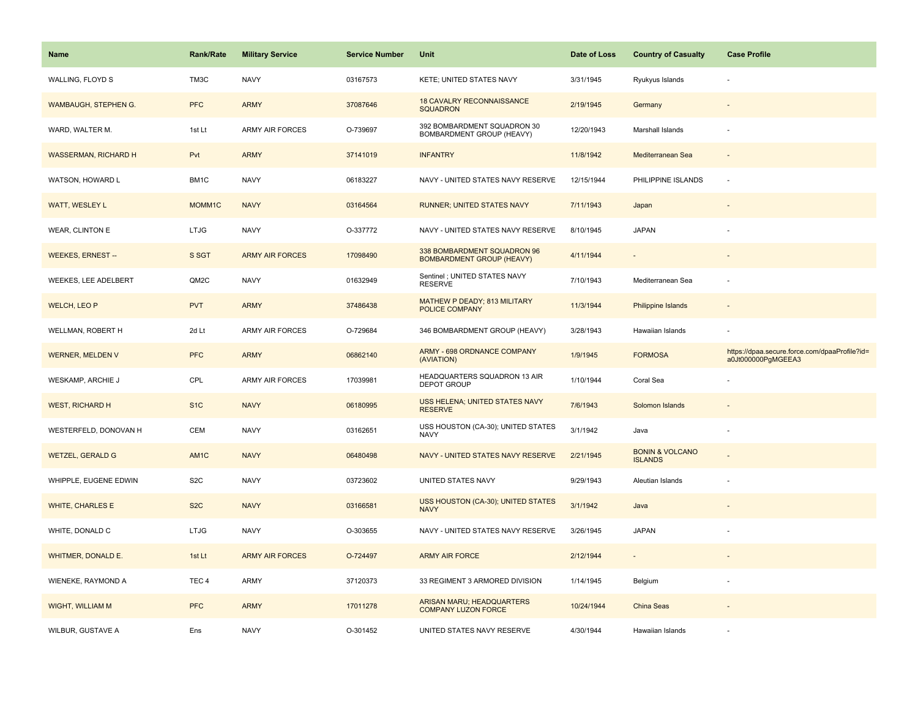| Name                        | <b>Rank/Rate</b>  | <b>Military Service</b> | <b>Service Number</b> | Unit                                                            | Date of Loss | <b>Country of Casualty</b>                   | <b>Case Profile</b>                                                 |
|-----------------------------|-------------------|-------------------------|-----------------------|-----------------------------------------------------------------|--------------|----------------------------------------------|---------------------------------------------------------------------|
| WALLING, FLOYD S            | TM3C              | <b>NAVY</b>             | 03167573              | KETE; UNITED STATES NAVY                                        | 3/31/1945    | Ryukyus Islands                              |                                                                     |
| WAMBAUGH, STEPHEN G.        | <b>PFC</b>        | <b>ARMY</b>             | 37087646              | <b>18 CAVALRY RECONNAISSANCE</b><br><b>SQUADRON</b>             | 2/19/1945    | Germany                                      |                                                                     |
| WARD, WALTER M.             | 1st Lt            | <b>ARMY AIR FORCES</b>  | O-739697              | 392 BOMBARDMENT SQUADRON 30<br><b>BOMBARDMENT GROUP (HEAVY)</b> | 12/20/1943   | Marshall Islands                             |                                                                     |
| <b>WASSERMAN, RICHARD H</b> | Pvt               | <b>ARMY</b>             | 37141019              | <b>INFANTRY</b>                                                 | 11/8/1942    | Mediterranean Sea                            |                                                                     |
| WATSON, HOWARD L            | BM1C              | <b>NAVY</b>             | 06183227              | NAVY - UNITED STATES NAVY RESERVE                               | 12/15/1944   | PHILIPPINE ISLANDS                           | ÷.                                                                  |
| WATT, WESLEY L              | MOMM1C            | <b>NAVY</b>             | 03164564              | RUNNER; UNITED STATES NAVY                                      | 7/11/1943    | Japan                                        |                                                                     |
| WEAR, CLINTON E             | <b>LTJG</b>       | <b>NAVY</b>             | O-337772              | NAVY - UNITED STATES NAVY RESERVE                               | 8/10/1945    | <b>JAPAN</b>                                 |                                                                     |
| <b>WEEKES, ERNEST --</b>    | S SGT             | <b>ARMY AIR FORCES</b>  | 17098490              | 338 BOMBARDMENT SQUADRON 96<br><b>BOMBARDMENT GROUP (HEAVY)</b> | 4/11/1944    |                                              |                                                                     |
| <b>WEEKES, LEE ADELBERT</b> | QM2C              | <b>NAVY</b>             | 01632949              | Sentinel ; UNITED STATES NAVY<br><b>RESERVE</b>                 | 7/10/1943    | Mediterranean Sea                            |                                                                     |
| <b>WELCH, LEO P</b>         | <b>PVT</b>        | <b>ARMY</b>             | 37486438              | MATHEW P DEADY; 813 MILITARY<br><b>POLICE COMPANY</b>           | 11/3/1944    | Philippine Islands                           |                                                                     |
| WELLMAN, ROBERT H           | 2d Lt             | <b>ARMY AIR FORCES</b>  | O-729684              | 346 BOMBARDMENT GROUP (HEAVY)                                   | 3/28/1943    | Hawaiian Islands                             |                                                                     |
| <b>WERNER, MELDEN V</b>     | <b>PFC</b>        | <b>ARMY</b>             | 06862140              | ARMY - 698 ORDNANCE COMPANY<br>(AVIATION)                       | 1/9/1945     | <b>FORMOSA</b>                               | https://dpaa.secure.force.com/dpaaProfile?id=<br>a0Jt000000PgMGEEA3 |
| WESKAMP, ARCHIE J           | CPL               | <b>ARMY AIR FORCES</b>  | 17039981              | HEADQUARTERS SQUADRON 13 AIR<br><b>DEPOT GROUP</b>              | 1/10/1944    | Coral Sea                                    |                                                                     |
| <b>WEST, RICHARD H</b>      | S <sub>1</sub> C  | <b>NAVY</b>             | 06180995              | USS HELENA; UNITED STATES NAVY<br><b>RESERVE</b>                | 7/6/1943     | Solomon Islands                              |                                                                     |
| WESTERFELD, DONOVAN H       | CEM               | <b>NAVY</b>             | 03162651              | USS HOUSTON (CA-30); UNITED STATES<br><b>NAVY</b>               | 3/1/1942     | Java                                         |                                                                     |
| <b>WETZEL, GERALD G</b>     | AM <sub>1</sub> C | <b>NAVY</b>             | 06480498              | NAVY - UNITED STATES NAVY RESERVE                               | 2/21/1945    | <b>BONIN &amp; VOLCANO</b><br><b>ISLANDS</b> |                                                                     |
| WHIPPLE, EUGENE EDWIN       | S <sub>2</sub> C  | <b>NAVY</b>             | 03723602              | UNITED STATES NAVY                                              | 9/29/1943    | Aleutian Islands                             |                                                                     |
| <b>WHITE, CHARLES E</b>     | S <sub>2</sub> C  | <b>NAVY</b>             | 03166581              | USS HOUSTON (CA-30); UNITED STATES<br><b>NAVY</b>               | 3/1/1942     | Java                                         |                                                                     |
| WHITE, DONALD C             | <b>LTJG</b>       | <b>NAVY</b>             | O-303655              | NAVY - UNITED STATES NAVY RESERVE                               | 3/26/1945    | <b>JAPAN</b>                                 |                                                                     |
| WHITMER, DONALD E.          | 1st Lt            | <b>ARMY AIR FORCES</b>  | O-724497              | <b>ARMY AIR FORCE</b>                                           | 2/12/1944    | $\sim$                                       |                                                                     |
| WIENEKE, RAYMOND A          | TEC <sub>4</sub>  | <b>ARMY</b>             | 37120373              | 33 REGIMENT 3 ARMORED DIVISION                                  | 1/14/1945    | Belgium                                      |                                                                     |
| <b>WIGHT, WILLIAM M</b>     | <b>PFC</b>        | <b>ARMY</b>             | 17011278              | ARISAN MARU; HEADQUARTERS<br><b>COMPANY LUZON FORCE</b>         | 10/24/1944   | China Seas                                   |                                                                     |
| WILBUR, GUSTAVE A           | Ens               | <b>NAVY</b>             | O-301452              | UNITED STATES NAVY RESERVE                                      | 4/30/1944    | Hawaiian Islands                             |                                                                     |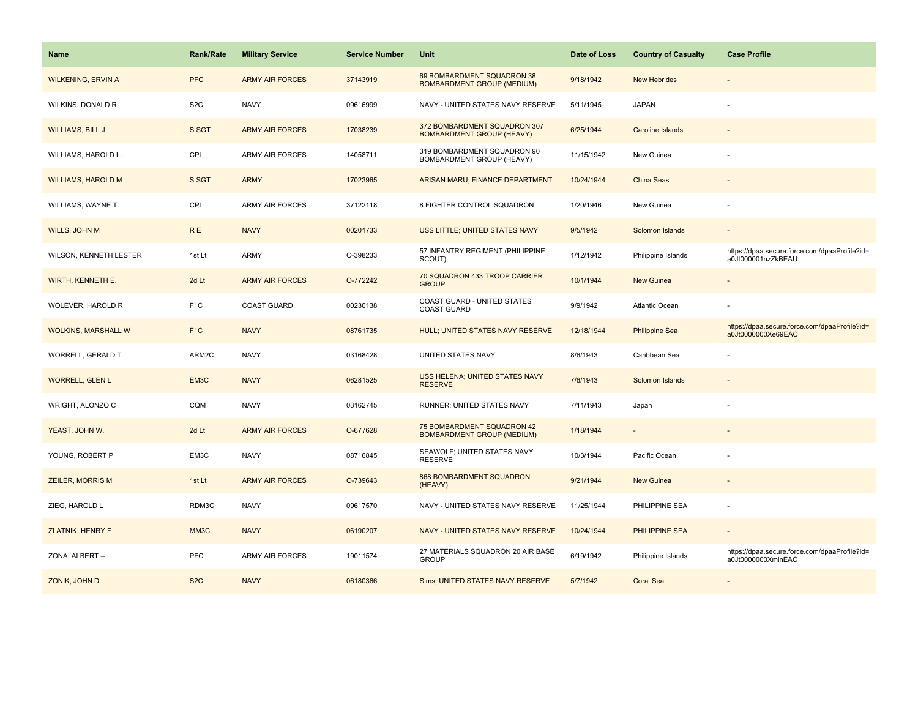| Name                       | <b>Rank/Rate</b> | <b>Military Service</b> | <b>Service Number</b> | Unit                                                             | Date of Loss | <b>Country of Casualty</b> | <b>Case Profile</b>                                                 |
|----------------------------|------------------|-------------------------|-----------------------|------------------------------------------------------------------|--------------|----------------------------|---------------------------------------------------------------------|
| <b>WILKENING, ERVIN A</b>  | <b>PFC</b>       | <b>ARMY AIR FORCES</b>  | 37143919              | 69 BOMBARDMENT SQUADRON 38<br><b>BOMBARDMENT GROUP (MEDIUM)</b>  | 9/18/1942    | <b>New Hebrides</b>        |                                                                     |
| WILKINS, DONALD R          | S <sub>2</sub> C | <b>NAVY</b>             | 09616999              | NAVY - UNITED STATES NAVY RESERVE                                | 5/11/1945    | <b>JAPAN</b>               |                                                                     |
| <b>WILLIAMS, BILL J</b>    | S SGT            | <b>ARMY AIR FORCES</b>  | 17038239              | 372 BOMBARDMENT SQUADRON 307<br><b>BOMBARDMENT GROUP (HEAVY)</b> | 6/25/1944    | <b>Caroline Islands</b>    |                                                                     |
| WILLIAMS, HAROLD L.        | CPL              | <b>ARMY AIR FORCES</b>  | 14058711              | 319 BOMBARDMENT SQUADRON 90<br>BOMBARDMENT GROUP (HEAVY)         | 11/15/1942   | New Guinea                 |                                                                     |
| <b>WILLIAMS, HAROLD M</b>  | S SGT            | <b>ARMY</b>             | 17023965              | ARISAN MARU; FINANCE DEPARTMENT                                  | 10/24/1944   | China Seas                 |                                                                     |
| WILLIAMS, WAYNE T          | CPL              | <b>ARMY AIR FORCES</b>  | 37122118              | 8 FIGHTER CONTROL SQUADRON                                       | 1/20/1946    | New Guinea                 |                                                                     |
| <b>WILLS, JOHN M</b>       | <b>RE</b>        | <b>NAVY</b>             | 00201733              | USS LITTLE; UNITED STATES NAVY                                   | 9/5/1942     | Solomon Islands            | $\sim$                                                              |
| WILSON, KENNETH LESTER     | 1st Lt           | <b>ARMY</b>             | O-398233              | 57 INFANTRY REGIMENT (PHILIPPINE<br>SCOUT)                       | 1/12/1942    | Philippine Islands         | https://dpaa.secure.force.com/dpaaProfile?id=<br>a0Jt000001nzZkBEAU |
| <b>WIRTH, KENNETH E.</b>   | 2d Lt            | <b>ARMY AIR FORCES</b>  | O-772242              | 70 SQUADRON 433 TROOP CARRIER<br><b>GROUP</b>                    | 10/1/1944    | <b>New Guinea</b>          |                                                                     |
| WOLEVER, HAROLD R          | F <sub>1</sub> C | <b>COAST GUARD</b>      | 00230138              | COAST GUARD - UNITED STATES<br><b>COAST GUARD</b>                | 9/9/1942     | Atlantic Ocean             |                                                                     |
| <b>WOLKINS, MARSHALL W</b> | F <sub>1C</sub>  | <b>NAVY</b>             | 08761735              | <b>HULL; UNITED STATES NAVY RESERVE</b>                          | 12/18/1944   | <b>Philippine Sea</b>      | https://dpaa.secure.force.com/dpaaProfile?id=<br>a0Jt0000000Xe69EAC |
| WORRELL, GERALD T          | ARM2C            | <b>NAVY</b>             | 03168428              | UNITED STATES NAVY                                               | 8/6/1943     | Caribbean Sea              |                                                                     |
| <b>WORRELL, GLEN L</b>     | EM3C             | <b>NAVY</b>             | 06281525              | USS HELENA; UNITED STATES NAVY<br><b>RESERVE</b>                 | 7/6/1943     | Solomon Islands            |                                                                     |
| WRIGHT, ALONZO C           | CQM              | <b>NAVY</b>             | 03162745              | RUNNER; UNITED STATES NAVY                                       | 7/11/1943    | Japan                      |                                                                     |
| YEAST, JOHN W.             | 2d Lt            | <b>ARMY AIR FORCES</b>  | O-677628              | 75 BOMBARDMENT SQUADRON 42<br><b>BOMBARDMENT GROUP (MEDIUM)</b>  | 1/18/1944    |                            |                                                                     |
| YOUNG, ROBERT P            | EM3C             | <b>NAVY</b>             | 08716845              | SEAWOLF; UNITED STATES NAVY<br><b>RESERVE</b>                    | 10/3/1944    | Pacific Ocean              |                                                                     |
| <b>ZEILER, MORRIS M</b>    | 1st Lt           | <b>ARMY AIR FORCES</b>  | O-739643              | <b>868 BOMBARDMENT SQUADRON</b><br>(HEAVY)                       | 9/21/1944    | <b>New Guinea</b>          |                                                                     |
| ZIEG, HAROLD L             | RDM3C            | <b>NAVY</b>             | 09617570              | NAVY - UNITED STATES NAVY RESERVE                                | 11/25/1944   | PHILIPPINE SEA             |                                                                     |
| <b>ZLATNIK, HENRY F</b>    | MM3C             | <b>NAVY</b>             | 06190207              | NAVY - UNITED STATES NAVY RESERVE                                | 10/24/1944   | <b>PHILIPPINE SEA</b>      | $\sim$                                                              |
| ZONA, ALBERT --            | <b>PFC</b>       | <b>ARMY AIR FORCES</b>  | 19011574              | 27 MATERIALS SQUADRON 20 AIR BASE<br><b>GROUP</b>                | 6/19/1942    | Philippine Islands         | https://dpaa.secure.force.com/dpaaProfile?id=<br>a0Jt0000000XminEAC |
| ZONIK, JOHN D              | S <sub>2</sub> C | <b>NAVY</b>             | 06180366              | Sims; UNITED STATES NAVY RESERVE                                 | 5/7/1942     | <b>Coral Sea</b>           |                                                                     |